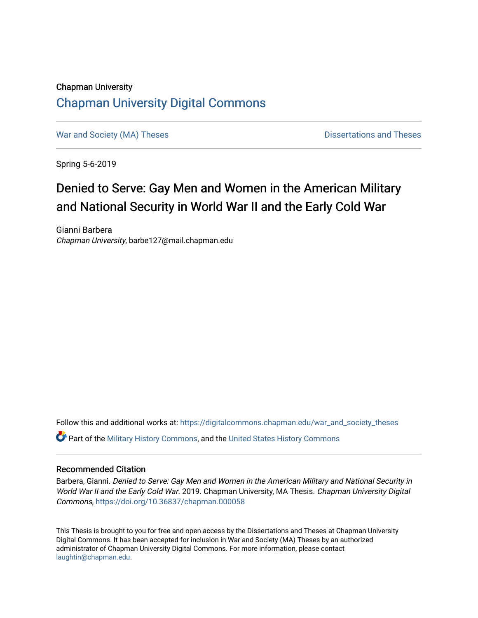### Chapman University [Chapman University Digital Commons](https://digitalcommons.chapman.edu/)

[War and Society \(MA\) Theses](https://digitalcommons.chapman.edu/war_and_society_theses) **Dissertations and Theses** Dissertations and Theses

Spring 5-6-2019

## Denied to Serve: Gay Men and Women in the American Military and National Security in World War II and the Early Cold War

Gianni Barbera Chapman University, barbe127@mail.chapman.edu

Follow this and additional works at: [https://digitalcommons.chapman.edu/war\\_and\\_society\\_theses](https://digitalcommons.chapman.edu/war_and_society_theses?utm_source=digitalcommons.chapman.edu%2Fwar_and_society_theses%2F3&utm_medium=PDF&utm_campaign=PDFCoverPages) 

**C** Part of the [Military History Commons](http://network.bepress.com/hgg/discipline/504?utm_source=digitalcommons.chapman.edu%2Fwar_and_society_theses%2F3&utm_medium=PDF&utm_campaign=PDFCoverPages), and the [United States History Commons](http://network.bepress.com/hgg/discipline/495?utm_source=digitalcommons.chapman.edu%2Fwar_and_society_theses%2F3&utm_medium=PDF&utm_campaign=PDFCoverPages)

#### Recommended Citation

Barbera, Gianni. Denied to Serve: Gay Men and Women in the American Military and National Security in World War II and the Early Cold War. 2019. Chapman University, MA Thesis. Chapman University Digital Commons, <https://doi.org/10.36837/chapman.000058>

This Thesis is brought to you for free and open access by the Dissertations and Theses at Chapman University Digital Commons. It has been accepted for inclusion in War and Society (MA) Theses by an authorized administrator of Chapman University Digital Commons. For more information, please contact [laughtin@chapman.edu.](mailto:laughtin@chapman.edu)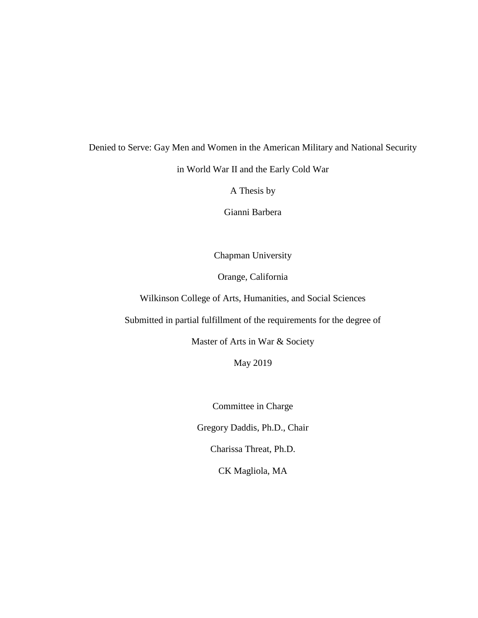# Denied to Serve: Gay Men and Women in the American Military and National Security in World War II and the Early Cold War

A Thesis by

Gianni Barbera

Chapman University

Orange, California

Wilkinson College of Arts, Humanities, and Social Sciences

Submitted in partial fulfillment of the requirements for the degree of

Master of Arts in War & Society

May 2019

Committee in Charge

Gregory Daddis, Ph.D., Chair

Charissa Threat, Ph.D.

CK Magliola, MA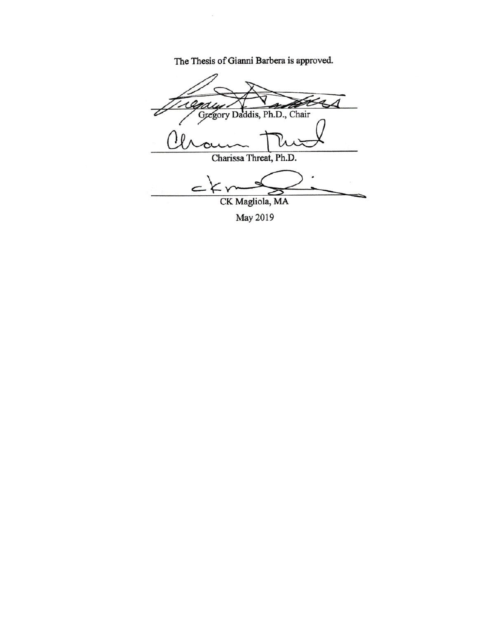The Thesis of Gianni Barbera is approved.

 $\bar{z}$ 

 $\frac{1}{2}$ Gregory Daddis, Ph.D., Chair  $U$  au  $\sim$ Charissa Threat, Ph.D.  $C+Y$ CK Magliola, MA

May 2019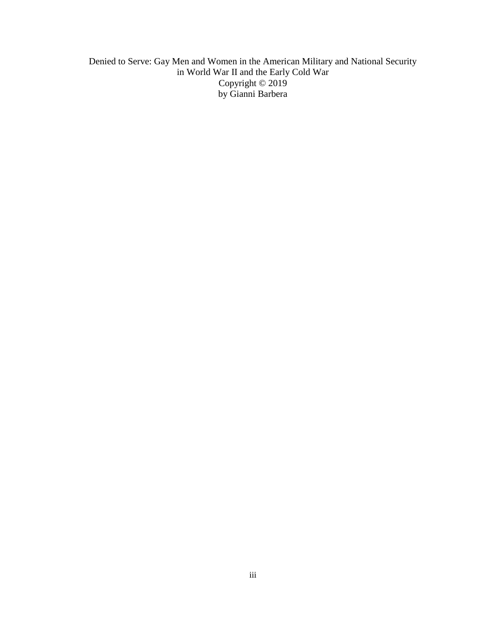Denied to Serve: Gay Men and Women in the American Military and National Security in World War II and the Early Cold War Copyright © 2019 by Gianni Barbera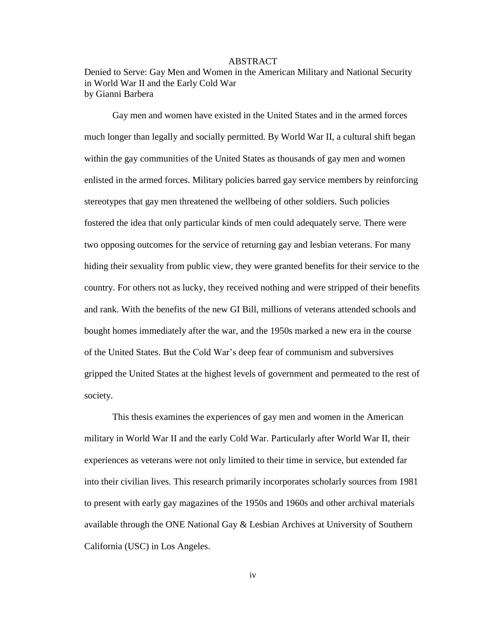#### ABSTRACT

Denied to Serve: Gay Men and Women in the American Military and National Security in World War II and the Early Cold War by Gianni Barbera

Gay men and women have existed in the United States and in the armed forces much longer than legally and socially permitted. By World War II, a cultural shift began within the gay communities of the United States as thousands of gay men and women enlisted in the armed forces. Military policies barred gay service members by reinforcing stereotypes that gay men threatened the wellbeing of other soldiers. Such policies fostered the idea that only particular kinds of men could adequately serve. There were two opposing outcomes for the service of returning gay and lesbian veterans. For many hiding their sexuality from public view, they were granted benefits for their service to the country. For others not as lucky, they received nothing and were stripped of their benefits and rank. With the benefits of the new GI Bill, millions of veterans attended schools and bought homes immediately after the war, and the 1950s marked a new era in the course of the United States. But the Cold War's deep fear of communism and subversives gripped the United States at the highest levels of government and permeated to the rest of society.

This thesis examines the experiences of gay men and women in the American military in World War II and the early Cold War. Particularly after World War II, their experiences as veterans were not only limited to their time in service, but extended far into their civilian lives. This research primarily incorporates scholarly sources from 1981 to present with early gay magazines of the 1950s and 1960s and other archival materials available through the ONE National Gay & Lesbian Archives at University of Southern California (USC) in Los Angeles.

iv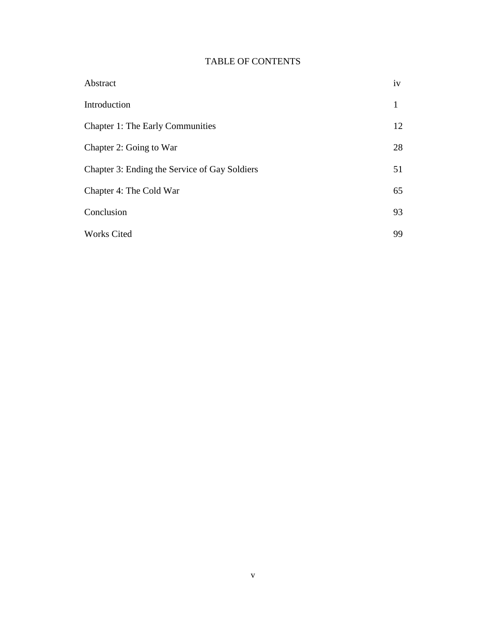### TABLE OF CONTENTS

| Abstract                                      | iv |
|-----------------------------------------------|----|
| Introduction                                  |    |
| <b>Chapter 1: The Early Communities</b>       | 12 |
| Chapter 2: Going to War                       | 28 |
| Chapter 3: Ending the Service of Gay Soldiers | 51 |
| Chapter 4: The Cold War                       | 65 |
| Conclusion                                    | 93 |
| <b>Works Cited</b>                            | 99 |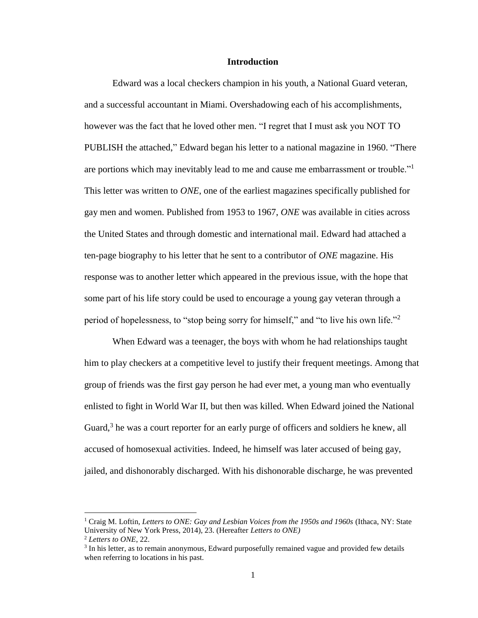#### **Introduction**

Edward was a local checkers champion in his youth, a National Guard veteran, and a successful accountant in Miami. Overshadowing each of his accomplishments, however was the fact that he loved other men. "I regret that I must ask you NOT TO PUBLISH the attached," Edward began his letter to a national magazine in 1960. "There are portions which may inevitably lead to me and cause me embarrassment or trouble."<sup>1</sup> This letter was written to *ONE*, one of the earliest magazines specifically published for gay men and women. Published from 1953 to 1967, *ONE* was available in cities across the United States and through domestic and international mail. Edward had attached a ten-page biography to his letter that he sent to a contributor of *ONE* magazine. His response was to another letter which appeared in the previous issue, with the hope that some part of his life story could be used to encourage a young gay veteran through a period of hopelessness, to "stop being sorry for himself," and "to live his own life."<sup>2</sup>

When Edward was a teenager, the boys with whom he had relationships taught him to play checkers at a competitive level to justify their frequent meetings. Among that group of friends was the first gay person he had ever met, a young man who eventually enlisted to fight in World War II, but then was killed. When Edward joined the National Guard, $3$  he was a court reporter for an early purge of officers and soldiers he knew, all accused of homosexual activities. Indeed, he himself was later accused of being gay, jailed, and dishonorably discharged. With his dishonorable discharge, he was prevented

 $\overline{a}$ 

<sup>1</sup> Craig M. Loftin*, Letters to ONE: Gay and Lesbian Voices from the 1950s and 1960s* (Ithaca, NY: State University of New York Press, 2014), 23. (Hereafter *Letters to ONE)*

<sup>2</sup> *Letters to ONE*, 22.

<sup>&</sup>lt;sup>3</sup> In his letter, as to remain anonymous, Edward purposefully remained vague and provided few details when referring to locations in his past.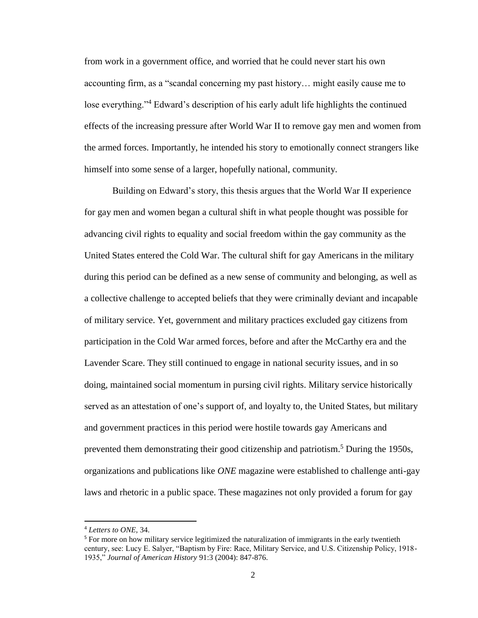from work in a government office, and worried that he could never start his own accounting firm, as a "scandal concerning my past history… might easily cause me to lose everything."<sup>4</sup> Edward's description of his early adult life highlights the continued effects of the increasing pressure after World War II to remove gay men and women from the armed forces. Importantly, he intended his story to emotionally connect strangers like himself into some sense of a larger, hopefully national, community.

Building on Edward's story, this thesis argues that the World War II experience for gay men and women began a cultural shift in what people thought was possible for advancing civil rights to equality and social freedom within the gay community as the United States entered the Cold War. The cultural shift for gay Americans in the military during this period can be defined as a new sense of community and belonging, as well as a collective challenge to accepted beliefs that they were criminally deviant and incapable of military service. Yet, government and military practices excluded gay citizens from participation in the Cold War armed forces, before and after the McCarthy era and the Lavender Scare. They still continued to engage in national security issues, and in so doing, maintained social momentum in pursing civil rights. Military service historically served as an attestation of one's support of, and loyalty to, the United States, but military and government practices in this period were hostile towards gay Americans and prevented them demonstrating their good citizenship and patriotism.<sup>5</sup> During the 1950s, organizations and publications like *ONE* magazine were established to challenge anti-gay laws and rhetoric in a public space. These magazines not only provided a forum for gay

<sup>4</sup> *Letters to ONE,* 34.

<sup>&</sup>lt;sup>5</sup> For more on how military service legitimized the naturalization of immigrants in the early twentieth century, see: Lucy E. Salyer, "Baptism by Fire: Race, Military Service, and U.S. Citizenship Policy, 1918- 1935," *Journal of American History* 91:3 (2004): 847-876.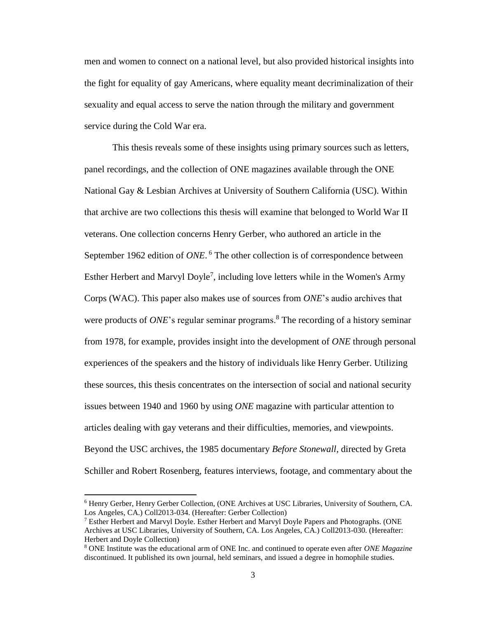men and women to connect on a national level, but also provided historical insights into the fight for equality of gay Americans, where equality meant decriminalization of their sexuality and equal access to serve the nation through the military and government service during the Cold War era.

This thesis reveals some of these insights using primary sources such as letters, panel recordings, and the collection of ONE magazines available through the ONE National Gay & Lesbian Archives at University of Southern California (USC). Within that archive are two collections this thesis will examine that belonged to World War II veterans. One collection concerns Henry Gerber, who authored an article in the September 1962 edition of ONE.<sup>6</sup> The other collection is of correspondence between Esther Herbert and Marvyl Doyle<sup>7</sup>, including love letters while in the Women's Army Corps (WAC). This paper also makes use of sources from *ONE*'s audio archives that were products of *ONE*'s regular seminar programs.<sup>8</sup> The recording of a history seminar from 1978, for example, provides insight into the development of *ONE* through personal experiences of the speakers and the history of individuals like Henry Gerber. Utilizing these sources, this thesis concentrates on the intersection of social and national security issues between 1940 and 1960 by using *ONE* magazine with particular attention to articles dealing with gay veterans and their difficulties, memories, and viewpoints. Beyond the USC archives, the 1985 documentary *Before Stonewall,* directed by Greta Schiller and Robert Rosenberg, features interviews, footage, and commentary about the

<sup>6</sup> Henry Gerber, Henry Gerber Collection, (ONE Archives at USC Libraries, University of Southern, CA. Los Angeles, CA.) Coll2013-034. (Hereafter: Gerber Collection)

 $7$  Esther Herbert and Marvyl Doyle. Esther Herbert and Marvyl Doyle Papers and Photographs. (ONE Archives at USC Libraries, University of Southern, CA. Los Angeles, CA.) Coll2013-030. (Hereafter: Herbert and Doyle Collection)

<sup>8</sup> ONE Institute was the educational arm of ONE Inc. and continued to operate even after *ONE Magazine*  discontinued. It published its own journal, held seminars, and issued a degree in homophile studies.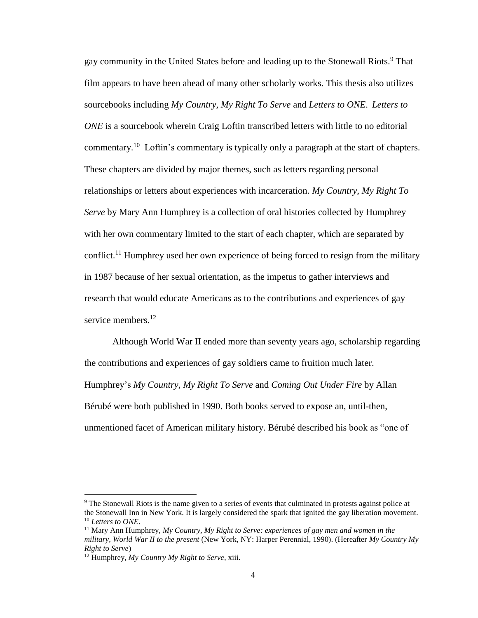gay community in the United States before and leading up to the Stonewall Riots.<sup>9</sup> That film appears to have been ahead of many other scholarly works. This thesis also utilizes sourcebooks including *My Country, My Right To Serve* and *Letters to ONE*. *Letters to ONE* is a sourcebook wherein Craig Loftin transcribed letters with little to no editorial commentary.<sup>10</sup> Loftin's commentary is typically only a paragraph at the start of chapters. These chapters are divided by major themes, such as letters regarding personal relationships or letters about experiences with incarceration. *My Country, My Right To Serve* by Mary Ann Humphrey is a collection of oral histories collected by Humphrey with her own commentary limited to the start of each chapter, which are separated by conflict.<sup>11</sup> Humphrey used her own experience of being forced to resign from the military in 1987 because of her sexual orientation, as the impetus to gather interviews and research that would educate Americans as to the contributions and experiences of gay service members.<sup>12</sup>

Although World War II ended more than seventy years ago, scholarship regarding the contributions and experiences of gay soldiers came to fruition much later. Humphrey's *My Country, My Right To Serve* and *Coming Out Under Fire* by Allan Bérubé were both published in 1990. Both books served to expose an, until-then, unmentioned facet of American military history. Bérubé described his book as "one of

<sup>9</sup> The Stonewall Riots is the name given to a series of events that culminated in protests against police at the Stonewall Inn in New York. It is largely considered the spark that ignited the gay liberation movement. <sup>10</sup> *Letters to ONE*.

<sup>&</sup>lt;sup>11</sup> Mary Ann Humphrey,  $My$  Country,  $My$  Right to Serve: experiences of gay men and women in the *military, World War II to the present* (New York, NY: Harper Perennial, 1990). (Hereafter *My Country My Right to Serve*)

<sup>12</sup> Humphrey, *My Country My Right to Serve,* xiii.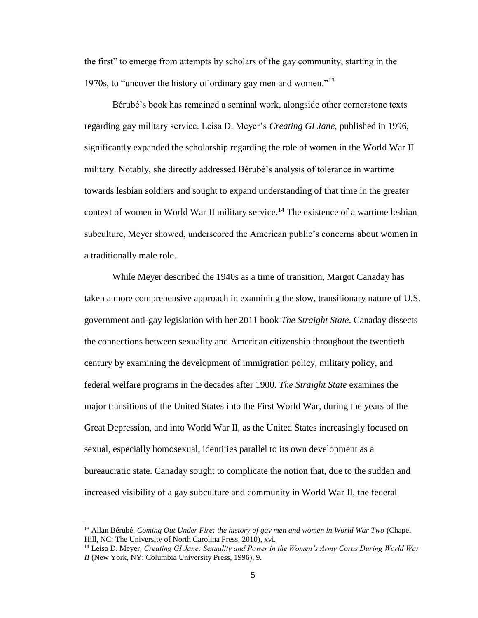the first" to emerge from attempts by scholars of the gay community, starting in the 1970s, to "uncover the history of ordinary gay men and women."<sup>13</sup>

Bérubé's book has remained a seminal work, alongside other cornerstone texts regarding gay military service. Leisa D. Meyer's *Creating GI Jane,* published in 1996, significantly expanded the scholarship regarding the role of women in the World War II military. Notably, she directly addressed Bérubé's analysis of tolerance in wartime towards lesbian soldiers and sought to expand understanding of that time in the greater context of women in World War II military service.<sup>14</sup> The existence of a wartime lesbian subculture, Meyer showed, underscored the American public's concerns about women in a traditionally male role.

While Meyer described the 1940s as a time of transition, Margot Canaday has taken a more comprehensive approach in examining the slow, transitionary nature of U.S. government anti-gay legislation with her 2011 book *The Straight State*. Canaday dissects the connections between sexuality and American citizenship throughout the twentieth century by examining the development of immigration policy, military policy, and federal welfare programs in the decades after 1900. *The Straight State* examines the major transitions of the United States into the First World War, during the years of the Great Depression, and into World War II, as the United States increasingly focused on sexual, especially homosexual, identities parallel to its own development as a bureaucratic state. Canaday sought to complicate the notion that, due to the sudden and increased visibility of a gay subculture and community in World War II, the federal

<sup>&</sup>lt;sup>13</sup> Allan Bérubé, *Coming Out Under Fire: the history of gay men and women in World War Two (Chapel*) Hill, NC: The University of North Carolina Press, 2010), xvi.

<sup>14</sup> Leisa D. Meyer, *Creating GI Jane: Sexuality and Power in the Women's Army Corps During World War II* (New York, NY: Columbia University Press, 1996), 9.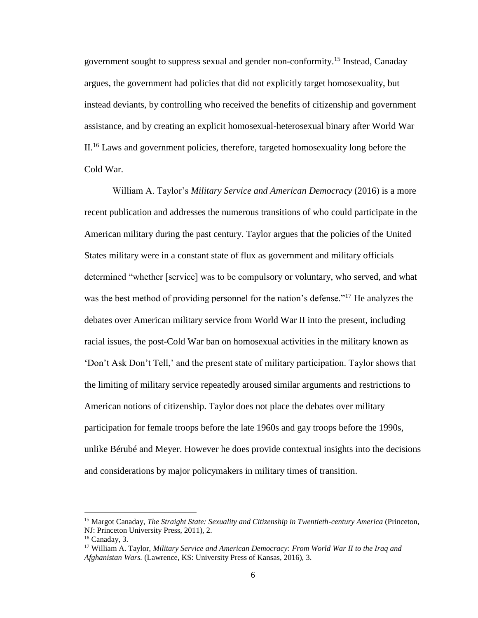government sought to suppress sexual and gender non-conformity.<sup>15</sup> Instead, Canaday argues, the government had policies that did not explicitly target homosexuality, but instead deviants, by controlling who received the benefits of citizenship and government assistance, and by creating an explicit homosexual-heterosexual binary after World War II.<sup>16</sup> Laws and government policies, therefore, targeted homosexuality long before the Cold War.

William A. Taylor's *Military Service and American Democracy* (2016) is a more recent publication and addresses the numerous transitions of who could participate in the American military during the past century. Taylor argues that the policies of the United States military were in a constant state of flux as government and military officials determined "whether [service] was to be compulsory or voluntary, who served, and what was the best method of providing personnel for the nation's defense."<sup>17</sup> He analyzes the debates over American military service from World War II into the present, including racial issues, the post-Cold War ban on homosexual activities in the military known as 'Don't Ask Don't Tell,' and the present state of military participation. Taylor shows that the limiting of military service repeatedly aroused similar arguments and restrictions to American notions of citizenship. Taylor does not place the debates over military participation for female troops before the late 1960s and gay troops before the 1990s, unlike Bérubé and Meyer. However he does provide contextual insights into the decisions and considerations by major policymakers in military times of transition.

 $\overline{a}$ 

<sup>15</sup> Margot Canaday, *The Straight State: Sexuality and Citizenship in Twentieth-century America* (Princeton, NJ: Princeton University Press, 2011), 2.

<sup>16</sup> Canaday, 3.

<sup>17</sup> William A. Taylor, *Military Service and American Democracy: From World War II to the Iraq and Afghanistan Wars.* (Lawrence, KS: University Press of Kansas, 2016), 3.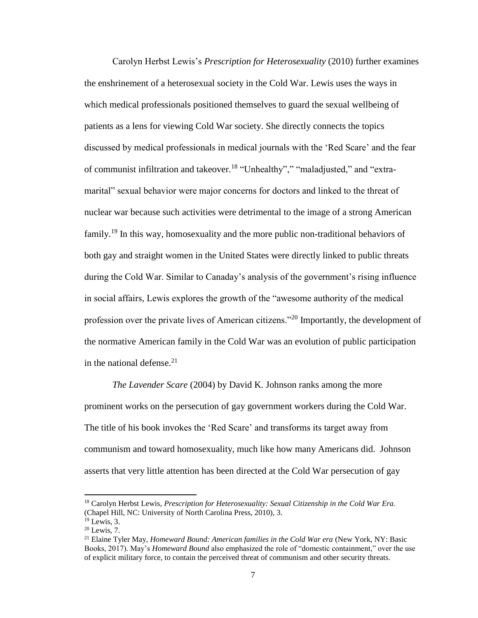Carolyn Herbst Lewis's *Prescription for Heterosexuality* (2010) further examines the enshrinement of a heterosexual society in the Cold War. Lewis uses the ways in which medical professionals positioned themselves to guard the sexual wellbeing of patients as a lens for viewing Cold War society. She directly connects the topics discussed by medical professionals in medical journals with the 'Red Scare' and the fear of communist infiltration and takeover.<sup>18</sup> "Unhealthy"," "maladjusted," and "extramarital" sexual behavior were major concerns for doctors and linked to the threat of nuclear war because such activities were detrimental to the image of a strong American family.<sup>19</sup> In this way, homosexuality and the more public non-traditional behaviors of both gay and straight women in the United States were directly linked to public threats during the Cold War. Similar to Canaday's analysis of the government's rising influence in social affairs, Lewis explores the growth of the "awesome authority of the medical profession over the private lives of American citizens."<sup>20</sup> Importantly, the development of the normative American family in the Cold War was an evolution of public participation in the national defense. $2<sup>1</sup>$ 

*The Lavender Scare* (2004) by David K. Johnson ranks among the more prominent works on the persecution of gay government workers during the Cold War. The title of his book invokes the 'Red Scare' and transforms its target away from communism and toward homosexuality, much like how many Americans did. Johnson asserts that very little attention has been directed at the Cold War persecution of gay

<sup>&</sup>lt;sup>18</sup> Carolyn Herbst Lewis, *Prescription for Heterosexuality: Sexual Citizenship in the Cold War Era.* (Chapel Hill, NC: University of North Carolina Press, 2010), 3.

 $19$  Lewis, 3.

 $20$  Lewis, 7.

<sup>21</sup> Elaine Tyler May, *Homeward Bound: American families in the Cold War era* (New York, NY: Basic Books, 2017). May's *Homeward Bound* also emphasized the role of "domestic containment," over the use of explicit military force, to contain the perceived threat of communism and other security threats.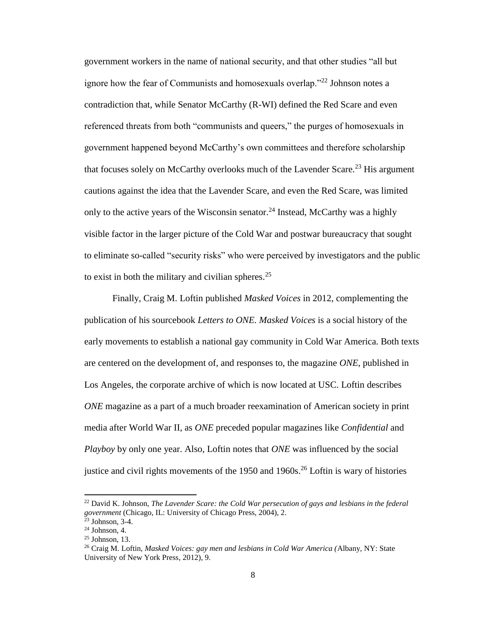government workers in the name of national security, and that other studies "all but ignore how the fear of Communists and homosexuals overlap."<sup>22</sup> Johnson notes a contradiction that, while Senator McCarthy (R-WI) defined the Red Scare and even referenced threats from both "communists and queers," the purges of homosexuals in government happened beyond McCarthy's own committees and therefore scholarship that focuses solely on McCarthy overlooks much of the Lavender Scare.<sup>23</sup> His argument cautions against the idea that the Lavender Scare, and even the Red Scare, was limited only to the active years of the Wisconsin senator.<sup>24</sup> Instead, McCarthy was a highly visible factor in the larger picture of the Cold War and postwar bureaucracy that sought to eliminate so-called "security risks" who were perceived by investigators and the public to exist in both the military and civilian spheres.<sup>25</sup>

Finally, Craig M. Loftin published *Masked Voices* in 2012, complementing the publication of his sourcebook *Letters to ONE. Masked Voices* is a social history of the early movements to establish a national gay community in Cold War America. Both texts are centered on the development of, and responses to, the magazine *ONE*, published in Los Angeles, the corporate archive of which is now located at USC. Loftin describes *ONE* magazine as a part of a much broader reexamination of American society in print media after World War II, as *ONE* preceded popular magazines like *Confidential* and *Playboy* by only one year. Also, Loftin notes that *ONE* was influenced by the social justice and civil rights movements of the  $1950$  and  $1960s$ <sup>26</sup> Loftin is wary of histories

<sup>22</sup> David K. Johnson, *The Lavender Scare: the Cold War persecution of gays and lesbians in the federal government* (Chicago, IL: University of Chicago Press, 2004), 2.

 $23$  Johnson, 3-4.

 $24$  Johnson, 4.

 $25$  Johnson, 13.

<sup>26</sup> Craig M. Loftin, *Masked Voices: gay men and lesbians in Cold War America (*Albany, NY: State University of New York Press, 2012)*,* 9.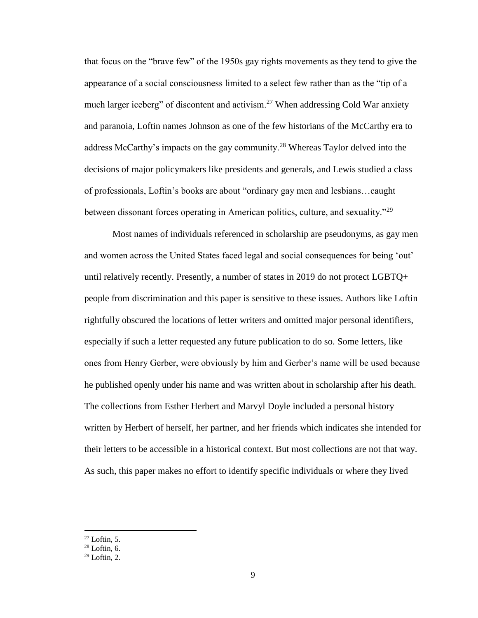that focus on the "brave few" of the 1950s gay rights movements as they tend to give the appearance of a social consciousness limited to a select few rather than as the "tip of a much larger iceberg" of discontent and activism.<sup>27</sup> When addressing Cold War anxiety and paranoia, Loftin names Johnson as one of the few historians of the McCarthy era to address McCarthy's impacts on the gay community.<sup>28</sup> Whereas Taylor delved into the decisions of major policymakers like presidents and generals, and Lewis studied a class of professionals, Loftin's books are about "ordinary gay men and lesbians…caught between dissonant forces operating in American politics, culture, and sexuality."<sup>29</sup>

Most names of individuals referenced in scholarship are pseudonyms, as gay men and women across the United States faced legal and social consequences for being 'out' until relatively recently. Presently, a number of states in 2019 do not protect LGBTQ+ people from discrimination and this paper is sensitive to these issues. Authors like Loftin rightfully obscured the locations of letter writers and omitted major personal identifiers, especially if such a letter requested any future publication to do so. Some letters, like ones from Henry Gerber, were obviously by him and Gerber's name will be used because he published openly under his name and was written about in scholarship after his death. The collections from Esther Herbert and Marvyl Doyle included a personal history written by Herbert of herself, her partner, and her friends which indicates she intended for their letters to be accessible in a historical context. But most collections are not that way. As such, this paper makes no effort to identify specific individuals or where they lived

 $27$  Loftin, 5.

 $28$  Loftin, 6.

 $29$  Loftin, 2.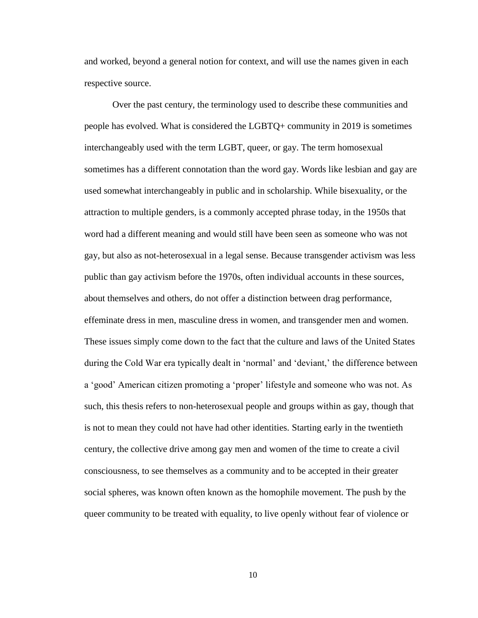and worked, beyond a general notion for context, and will use the names given in each respective source.

Over the past century, the terminology used to describe these communities and people has evolved. What is considered the LGBTQ+ community in 2019 is sometimes interchangeably used with the term LGBT, queer, or gay. The term homosexual sometimes has a different connotation than the word gay. Words like lesbian and gay are used somewhat interchangeably in public and in scholarship. While bisexuality, or the attraction to multiple genders, is a commonly accepted phrase today, in the 1950s that word had a different meaning and would still have been seen as someone who was not gay, but also as not-heterosexual in a legal sense. Because transgender activism was less public than gay activism before the 1970s, often individual accounts in these sources, about themselves and others, do not offer a distinction between drag performance, effeminate dress in men, masculine dress in women, and transgender men and women. These issues simply come down to the fact that the culture and laws of the United States during the Cold War era typically dealt in 'normal' and 'deviant,' the difference between a 'good' American citizen promoting a 'proper' lifestyle and someone who was not. As such, this thesis refers to non-heterosexual people and groups within as gay, though that is not to mean they could not have had other identities. Starting early in the twentieth century, the collective drive among gay men and women of the time to create a civil consciousness, to see themselves as a community and to be accepted in their greater social spheres, was known often known as the homophile movement. The push by the queer community to be treated with equality, to live openly without fear of violence or

10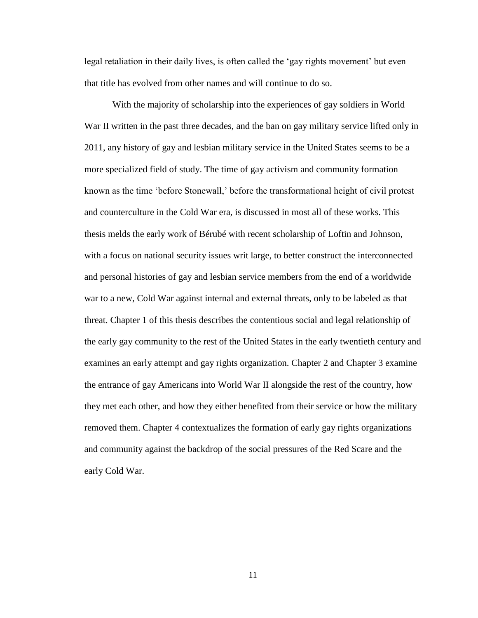legal retaliation in their daily lives, is often called the 'gay rights movement' but even that title has evolved from other names and will continue to do so.

With the majority of scholarship into the experiences of gay soldiers in World War II written in the past three decades, and the ban on gay military service lifted only in 2011, any history of gay and lesbian military service in the United States seems to be a more specialized field of study. The time of gay activism and community formation known as the time 'before Stonewall,' before the transformational height of civil protest and counterculture in the Cold War era, is discussed in most all of these works. This thesis melds the early work of Bérubé with recent scholarship of Loftin and Johnson, with a focus on national security issues writ large, to better construct the interconnected and personal histories of gay and lesbian service members from the end of a worldwide war to a new, Cold War against internal and external threats, only to be labeled as that threat. Chapter 1 of this thesis describes the contentious social and legal relationship of the early gay community to the rest of the United States in the early twentieth century and examines an early attempt and gay rights organization. Chapter 2 and Chapter 3 examine the entrance of gay Americans into World War II alongside the rest of the country, how they met each other, and how they either benefited from their service or how the military removed them. Chapter 4 contextualizes the formation of early gay rights organizations and community against the backdrop of the social pressures of the Red Scare and the early Cold War.

11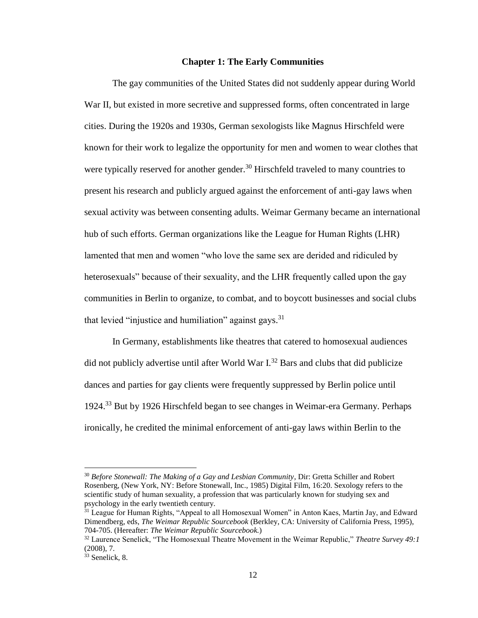#### **Chapter 1: The Early Communities**

The gay communities of the United States did not suddenly appear during World War II, but existed in more secretive and suppressed forms, often concentrated in large cities. During the 1920s and 1930s, German sexologists like Magnus Hirschfeld were known for their work to legalize the opportunity for men and women to wear clothes that were typically reserved for another gender.<sup>30</sup> Hirschfeld traveled to many countries to present his research and publicly argued against the enforcement of anti-gay laws when sexual activity was between consenting adults. Weimar Germany became an international hub of such efforts. German organizations like the League for Human Rights (LHR) lamented that men and women "who love the same sex are derided and ridiculed by heterosexuals" because of their sexuality, and the LHR frequently called upon the gay communities in Berlin to organize, to combat, and to boycott businesses and social clubs that levied "injustice and humiliation" against gays.<sup>31</sup>

In Germany, establishments like theatres that catered to homosexual audiences did not publicly advertise until after World War  $I^{32}$  Bars and clubs that did publicize dances and parties for gay clients were frequently suppressed by Berlin police until 1924.<sup>33</sup> But by 1926 Hirschfeld began to see changes in Weimar-era Germany. Perhaps ironically, he credited the minimal enforcement of anti-gay laws within Berlin to the

<sup>30</sup> *Before Stonewall: The Making of a Gay and Lesbian Community*, Dir: Gretta Schiller and Robert Rosenberg, (New York, NY: Before Stonewall, Inc., 1985) Digital Film, 16:20. Sexology refers to the scientific study of human sexuality, a profession that was particularly known for studying sex and psychology in the early twentieth century.

<sup>&</sup>lt;sup>31</sup> League for Human Rights, "Appeal to all Homosexual Women" in Anton Kaes, Martin Jay, and Edward Dimendberg, eds, *The Weimar Republic Sourcebook* (Berkley, CA: University of California Press, 1995), 704-705. (Hereafter: *The Weimar Republic Sourcebook.*)

<sup>32</sup> Laurence Senelick, "The Homosexual Theatre Movement in the Weimar Republic," *Theatre Survey 49:1*  (2008), 7.

 $33$  Senelick, 8.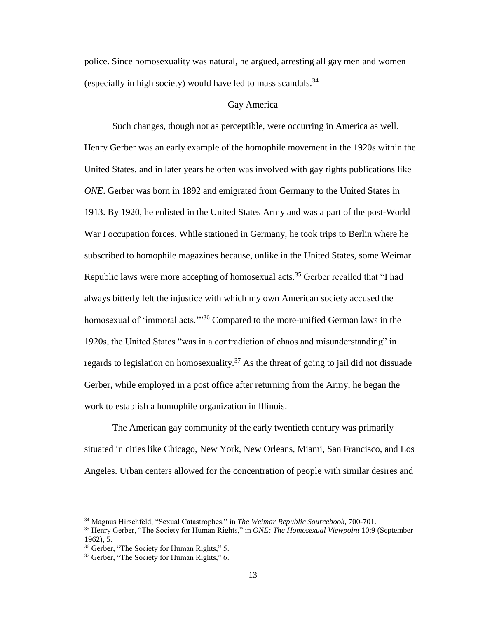police. Since homosexuality was natural, he argued, arresting all gay men and women (especially in high society) would have led to mass scandals.  $34$ 

#### Gay America

Such changes, though not as perceptible, were occurring in America as well. Henry Gerber was an early example of the homophile movement in the 1920s within the United States, and in later years he often was involved with gay rights publications like *ONE*. Gerber was born in 1892 and emigrated from Germany to the United States in 1913. By 1920, he enlisted in the United States Army and was a part of the post-World War I occupation forces. While stationed in Germany, he took trips to Berlin where he subscribed to homophile magazines because, unlike in the United States, some Weimar Republic laws were more accepting of homosexual acts.<sup>35</sup> Gerber recalled that "I had always bitterly felt the injustice with which my own American society accused the homosexual of 'immoral acts.'"<sup>36</sup> Compared to the more-unified German laws in the 1920s, the United States "was in a contradiction of chaos and misunderstanding" in regards to legislation on homosexuality.<sup>37</sup> As the threat of going to jail did not dissuade Gerber, while employed in a post office after returning from the Army, he began the work to establish a homophile organization in Illinois.

The American gay community of the early twentieth century was primarily situated in cities like Chicago, New York, New Orleans, Miami, San Francisco, and Los Angeles. Urban centers allowed for the concentration of people with similar desires and

 $\overline{a}$ 

<sup>34</sup> Magnus Hirschfeld, "Sexual Catastrophes," in *The Weimar Republic Sourcebook*, 700-701.

<sup>35</sup> Henry Gerber, "The Society for Human Rights," in *ONE: The Homosexual Viewpoint* 10:9 (September 1962), 5.

<sup>36</sup> Gerber, "The Society for Human Rights," 5.

<sup>&</sup>lt;sup>37</sup> Gerber, "The Society for Human Rights," 6.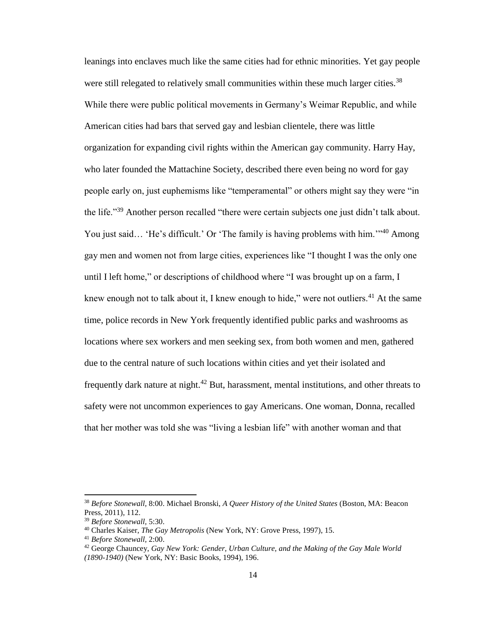leanings into enclaves much like the same cities had for ethnic minorities. Yet gay people were still relegated to relatively small communities within these much larger cities.<sup>38</sup> While there were public political movements in Germany's Weimar Republic, and while American cities had bars that served gay and lesbian clientele, there was little organization for expanding civil rights within the American gay community. Harry Hay, who later founded the Mattachine Society, described there even being no word for gay people early on, just euphemisms like "temperamental" or others might say they were "in the life."<sup>39</sup> Another person recalled "there were certain subjects one just didn't talk about. You just said... 'He's difficult.' Or 'The family is having problems with him.'"<sup>40</sup> Among gay men and women not from large cities, experiences like "I thought I was the only one until I left home," or descriptions of childhood where "I was brought up on a farm, I knew enough not to talk about it, I knew enough to hide," were not outliers.<sup>41</sup> At the same time, police records in New York frequently identified public parks and washrooms as locations where sex workers and men seeking sex, from both women and men, gathered due to the central nature of such locations within cities and yet their isolated and frequently dark nature at night.<sup>42</sup> But, harassment, mental institutions, and other threats to safety were not uncommon experiences to gay Americans. One woman, Donna, recalled that her mother was told she was "living a lesbian life" with another woman and that

<sup>38</sup> *Before Stonewall,* 8:00. Michael Bronski, *A Queer History of the United States* (Boston, MA: Beacon Press, 2011), 112.

<sup>39</sup> *Before Stonewall,* 5:30.

<sup>40</sup> Charles Kaiser, *The Gay Metropolis* (New York, NY: Grove Press, 1997), 15.

<sup>41</sup> *Before Stonewall,* 2:00.

<sup>42</sup> George Chauncey, *Gay New York: Gender, Urban Culture, and the Making of the Gay Male World (1890-1940)* (New York, NY: Basic Books, 1994), 196.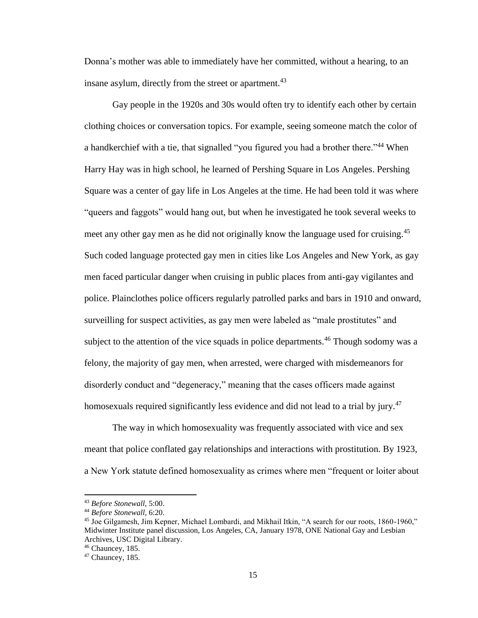Donna's mother was able to immediately have her committed, without a hearing, to an insane asylum, directly from the street or apartment.<sup>43</sup>

Gay people in the 1920s and 30s would often try to identify each other by certain clothing choices or conversation topics. For example, seeing someone match the color of a handkerchief with a tie, that signalled "you figured you had a brother there."<sup>44</sup> When Harry Hay was in high school, he learned of Pershing Square in Los Angeles. Pershing Square was a center of gay life in Los Angeles at the time. He had been told it was where "queers and faggots" would hang out, but when he investigated he took several weeks to meet any other gay men as he did not originally know the language used for cruising.<sup>45</sup> Such coded language protected gay men in cities like Los Angeles and New York, as gay men faced particular danger when cruising in public places from anti-gay vigilantes and police. Plainclothes police officers regularly patrolled parks and bars in 1910 and onward, surveilling for suspect activities, as gay men were labeled as "male prostitutes" and subject to the attention of the vice squads in police departments.<sup>46</sup> Though sodomy was a felony, the majority of gay men, when arrested, were charged with misdemeanors for disorderly conduct and "degeneracy," meaning that the cases officers made against homosexuals required significantly less evidence and did not lead to a trial by jury.<sup>47</sup>

The way in which homosexuality was frequently associated with vice and sex meant that police conflated gay relationships and interactions with prostitution. By 1923, a New York statute defined homosexuality as crimes where men "frequent or loiter about

<sup>43</sup> *Before Stonewall,* 5:00.

<sup>44</sup> *Before Stonewall,* 6:20.

<sup>45</sup> Joe Gilgamesh, Jim Kepner, Michael Lombardi, and Mikhail Itkin, "A search for our roots, 1860-1960," Midwinter Institute panel discussion, Los Angeles, CA, January 1978, ONE National Gay and Lesbian Archives, USC Digital Library.

<sup>46</sup> Chauncey, 185.

 $47$  Chauncey, 185.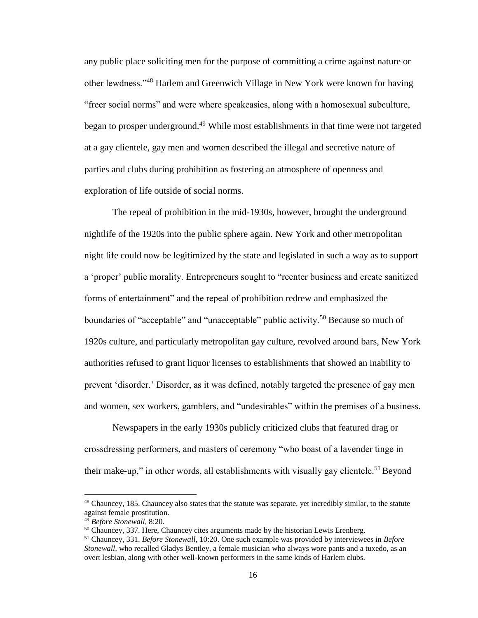any public place soliciting men for the purpose of committing a crime against nature or other lewdness."<sup>48</sup> Harlem and Greenwich Village in New York were known for having "freer social norms" and were where speakeasies, along with a homosexual subculture, began to prosper underground.<sup>49</sup> While most establishments in that time were not targeted at a gay clientele, gay men and women described the illegal and secretive nature of parties and clubs during prohibition as fostering an atmosphere of openness and exploration of life outside of social norms.

The repeal of prohibition in the mid-1930s, however, brought the underground nightlife of the 1920s into the public sphere again. New York and other metropolitan night life could now be legitimized by the state and legislated in such a way as to support a 'proper' public morality. Entrepreneurs sought to "reenter business and create sanitized forms of entertainment" and the repeal of prohibition redrew and emphasized the boundaries of "acceptable" and "unacceptable" public activity.<sup>50</sup> Because so much of 1920s culture, and particularly metropolitan gay culture, revolved around bars, New York authorities refused to grant liquor licenses to establishments that showed an inability to prevent 'disorder.' Disorder, as it was defined, notably targeted the presence of gay men and women, sex workers, gamblers, and "undesirables" within the premises of a business.

Newspapers in the early 1930s publicly criticized clubs that featured drag or crossdressing performers, and masters of ceremony "who boast of a lavender tinge in their make-up," in other words, all establishments with visually gay clientele.<sup>51</sup> Beyond

<sup>48</sup> Chauncey, 185. Chauncey also states that the statute was separate, yet incredibly similar, to the statute against female prostitution.

<sup>49</sup> *Before Stonewall,* 8:20.

<sup>&</sup>lt;sup>50</sup> Chauncey, 337. Here, Chauncey cites arguments made by the historian Lewis Erenberg.

<sup>51</sup> Chauncey, 331. *Before Stonewall,* 10:20. One such example was provided by interviewees in *Before Stonewall,* who recalled Gladys Bentley, a female musician who always wore pants and a tuxedo, as an overt lesbian, along with other well-known performers in the same kinds of Harlem clubs.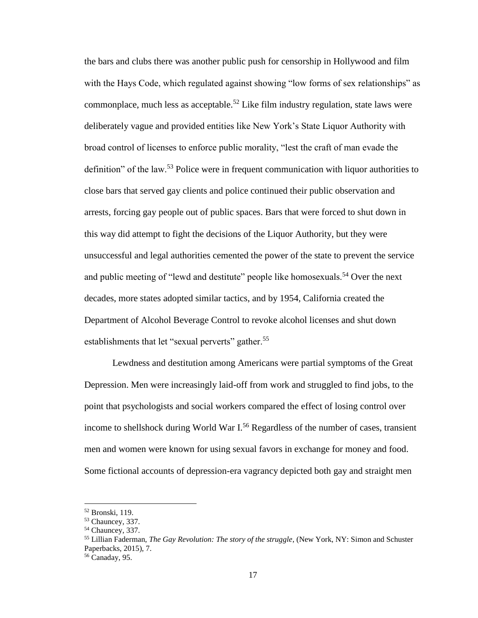the bars and clubs there was another public push for censorship in Hollywood and film with the Hays Code, which regulated against showing "low forms of sex relationships" as commonplace, much less as acceptable.<sup>52</sup> Like film industry regulation, state laws were deliberately vague and provided entities like New York's State Liquor Authority with broad control of licenses to enforce public morality, "lest the craft of man evade the definition" of the law.<sup>53</sup> Police were in frequent communication with liquor authorities to close bars that served gay clients and police continued their public observation and arrests, forcing gay people out of public spaces. Bars that were forced to shut down in this way did attempt to fight the decisions of the Liquor Authority, but they were unsuccessful and legal authorities cemented the power of the state to prevent the service and public meeting of "lewd and destitute" people like homosexuals.<sup>54</sup> Over the next decades, more states adopted similar tactics, and by 1954, California created the Department of Alcohol Beverage Control to revoke alcohol licenses and shut down establishments that let "sexual perverts" gather.<sup>55</sup>

Lewdness and destitution among Americans were partial symptoms of the Great Depression. Men were increasingly laid-off from work and struggled to find jobs, to the point that psychologists and social workers compared the effect of losing control over income to shellshock during World War  $I<sup>56</sup>$  Regardless of the number of cases, transient men and women were known for using sexual favors in exchange for money and food. Some fictional accounts of depression-era vagrancy depicted both gay and straight men

<sup>52</sup> Bronski, 119.

<sup>53</sup> Chauncey, 337.

<sup>54</sup> Chauncey, 337.

<sup>55</sup> Lillian Faderman, *The Gay Revolution: The story of the struggle*, (New York, NY: Simon and Schuster Paperbacks, 2015), 7.

<sup>56</sup> Canaday, 95.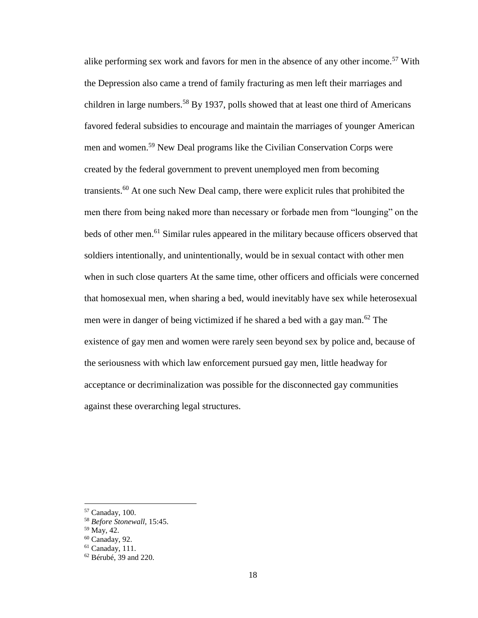alike performing sex work and favors for men in the absence of any other income.<sup>57</sup> With the Depression also came a trend of family fracturing as men left their marriages and children in large numbers.<sup>58</sup> By 1937, polls showed that at least one third of Americans favored federal subsidies to encourage and maintain the marriages of younger American men and women.<sup>59</sup> New Deal programs like the Civilian Conservation Corps were created by the federal government to prevent unemployed men from becoming transients.<sup>60</sup> At one such New Deal camp, there were explicit rules that prohibited the men there from being naked more than necessary or forbade men from "lounging" on the beds of other men.<sup>61</sup> Similar rules appeared in the military because officers observed that soldiers intentionally, and unintentionally, would be in sexual contact with other men when in such close quarters At the same time, other officers and officials were concerned that homosexual men, when sharing a bed, would inevitably have sex while heterosexual men were in danger of being victimized if he shared a bed with a gay man.<sup>62</sup> The existence of gay men and women were rarely seen beyond sex by police and, because of the seriousness with which law enforcement pursued gay men, little headway for acceptance or decriminalization was possible for the disconnected gay communities against these overarching legal structures.

<sup>57</sup> Canaday, 100.

<sup>58</sup> *Before Stonewall,* 15:45.

<sup>59</sup> May, 42.

<sup>60</sup> Canaday, 92.

 $61$  Canaday, 111.

<sup>62</sup> Bérubé, 39 and 220.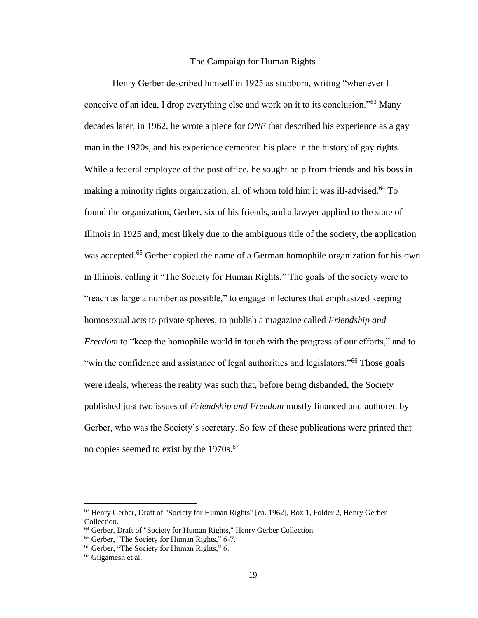#### The Campaign for Human Rights

Henry Gerber described himself in 1925 as stubborn, writing "whenever I conceive of an idea, I drop everything else and work on it to its conclusion."<sup>63</sup> Many decades later, in 1962, he wrote a piece for *ONE* that described his experience as a gay man in the 1920s, and his experience cemented his place in the history of gay rights. While a federal employee of the post office, he sought help from friends and his boss in making a minority rights organization, all of whom told him it was ill-advised.<sup>64</sup> To found the organization, Gerber, six of his friends, and a lawyer applied to the state of Illinois in 1925 and, most likely due to the ambiguous title of the society, the application was accepted.<sup>65</sup> Gerber copied the name of a German homophile organization for his own in Illinois, calling it "The Society for Human Rights." The goals of the society were to "reach as large a number as possible," to engage in lectures that emphasized keeping homosexual acts to private spheres, to publish a magazine called *Friendship and Freedom* to "keep the homophile world in touch with the progress of our efforts," and to "win the confidence and assistance of legal authorities and legislators."<sup>66</sup> Those goals were ideals, whereas the reality was such that, before being disbanded, the Society published just two issues of *Friendship and Freedom* mostly financed and authored by Gerber, who was the Society's secretary. So few of these publications were printed that no copies seemed to exist by the 1970s.<sup>67</sup>

<sup>63</sup> Henry Gerber, Draft of "Society for Human Rights" [ca. 1962], Box 1, Folder 2, Henry Gerber Collection.

<sup>64</sup> Gerber, Draft of "Society for Human Rights," Henry Gerber Collection.

<sup>65</sup> Gerber, "The Society for Human Rights," 6-7.

<sup>66</sup> Gerber, "The Society for Human Rights," 6.

<sup>67</sup> Gilgamesh et al.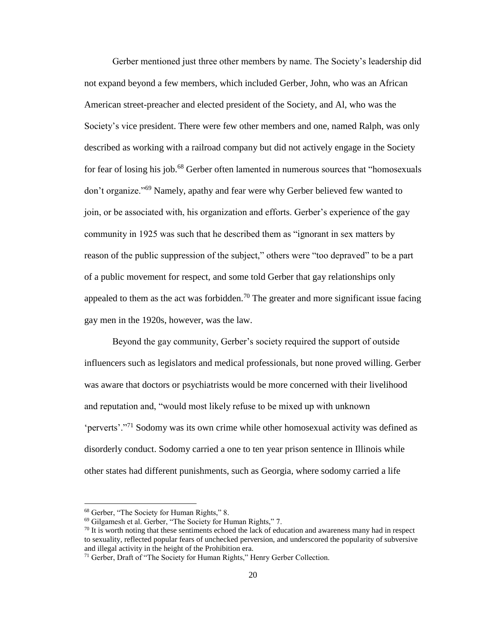Gerber mentioned just three other members by name. The Society's leadership did not expand beyond a few members, which included Gerber, John, who was an African American street-preacher and elected president of the Society, and Al, who was the Society's vice president. There were few other members and one, named Ralph, was only described as working with a railroad company but did not actively engage in the Society for fear of losing his job.<sup>68</sup> Gerber often lamented in numerous sources that "homosexuals" don't organize."<sup>69</sup> Namely, apathy and fear were why Gerber believed few wanted to join, or be associated with, his organization and efforts. Gerber's experience of the gay community in 1925 was such that he described them as "ignorant in sex matters by reason of the public suppression of the subject," others were "too depraved" to be a part of a public movement for respect, and some told Gerber that gay relationships only appealed to them as the act was forbidden.<sup>70</sup> The greater and more significant issue facing gay men in the 1920s, however, was the law.

Beyond the gay community, Gerber's society required the support of outside influencers such as legislators and medical professionals, but none proved willing. Gerber was aware that doctors or psychiatrists would be more concerned with their livelihood and reputation and, "would most likely refuse to be mixed up with unknown 'perverts'."<sup>71</sup> Sodomy was its own crime while other homosexual activity was defined as disorderly conduct. Sodomy carried a one to ten year prison sentence in Illinois while other states had different punishments, such as Georgia, where sodomy carried a life

<sup>68</sup> Gerber, "The Society for Human Rights," 8.

<sup>69</sup> Gilgamesh et al. Gerber, "The Society for Human Rights," 7.

 $70$  It is worth noting that these sentiments echoed the lack of education and awareness many had in respect to sexuality, reflected popular fears of unchecked perversion, and underscored the popularity of subversive and illegal activity in the height of the Prohibition era.

<sup>&</sup>lt;sup>71</sup> Gerber, Draft of "The Society for Human Rights," Henry Gerber Collection.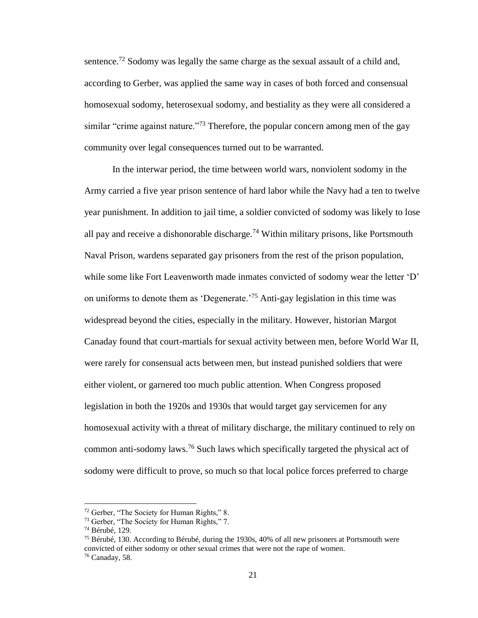sentence.<sup>72</sup> Sodomy was legally the same charge as the sexual assault of a child and, according to Gerber, was applied the same way in cases of both forced and consensual homosexual sodomy, heterosexual sodomy, and bestiality as they were all considered a similar "crime against nature."<sup>73</sup> Therefore, the popular concern among men of the gay community over legal consequences turned out to be warranted.

In the interwar period, the time between world wars, nonviolent sodomy in the Army carried a five year prison sentence of hard labor while the Navy had a ten to twelve year punishment. In addition to jail time, a soldier convicted of sodomy was likely to lose all pay and receive a dishonorable discharge.<sup>74</sup> Within military prisons, like Portsmouth Naval Prison, wardens separated gay prisoners from the rest of the prison population, while some like Fort Leavenworth made inmates convicted of sodomy wear the letter 'D' on uniforms to denote them as 'Degenerate.<sup>75</sup> Anti-gay legislation in this time was widespread beyond the cities, especially in the military. However, historian Margot Canaday found that court-martials for sexual activity between men, before World War II, were rarely for consensual acts between men, but instead punished soldiers that were either violent, or garnered too much public attention. When Congress proposed legislation in both the 1920s and 1930s that would target gay servicemen for any homosexual activity with a threat of military discharge, the military continued to rely on common anti-sodomy laws.<sup>76</sup> Such laws which specifically targeted the physical act of sodomy were difficult to prove, so much so that local police forces preferred to charge

<sup>72</sup> Gerber, "The Society for Human Rights," 8.

<sup>73</sup> Gerber, "The Society for Human Rights," 7.

<sup>74</sup> Bérubé, 129.

<sup>75</sup> Bérubé, 130. According to Bérubé, during the 1930s, 40% of all new prisoners at Portsmouth were convicted of either sodomy or other sexual crimes that were not the rape of women. <sup>76</sup> Canaday, 58.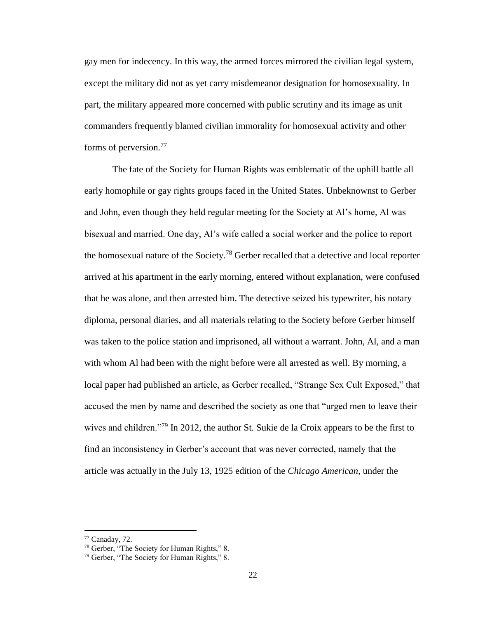gay men for indecency. In this way, the armed forces mirrored the civilian legal system, except the military did not as yet carry misdemeanor designation for homosexuality. In part, the military appeared more concerned with public scrutiny and its image as unit commanders frequently blamed civilian immorality for homosexual activity and other forms of perversion.<sup>77</sup>

The fate of the Society for Human Rights was emblematic of the uphill battle all early homophile or gay rights groups faced in the United States. Unbeknownst to Gerber and John, even though they held regular meeting for the Society at Al's home, Al was bisexual and married. One day, Al's wife called a social worker and the police to report the homosexual nature of the Society.<sup>78</sup> Gerber recalled that a detective and local reporter arrived at his apartment in the early morning, entered without explanation, were confused that he was alone, and then arrested him. The detective seized his typewriter, his notary diploma, personal diaries, and all materials relating to the Society before Gerber himself was taken to the police station and imprisoned, all without a warrant. John, Al, and a man with whom Al had been with the night before were all arrested as well. By morning, a local paper had published an article, as Gerber recalled, "Strange Sex Cult Exposed," that accused the men by name and described the society as one that "urged men to leave their wives and children."<sup>79</sup> In 2012, the author St. Sukie de la Croix appears to be the first to find an inconsistency in Gerber's account that was never corrected, namely that the article was actually in the July 13, 1925 edition of the *Chicago American,* under the

<sup>77</sup> Canaday, 72.

<sup>78</sup> Gerber, "The Society for Human Rights," 8.

<sup>79</sup> Gerber, "The Society for Human Rights," 8.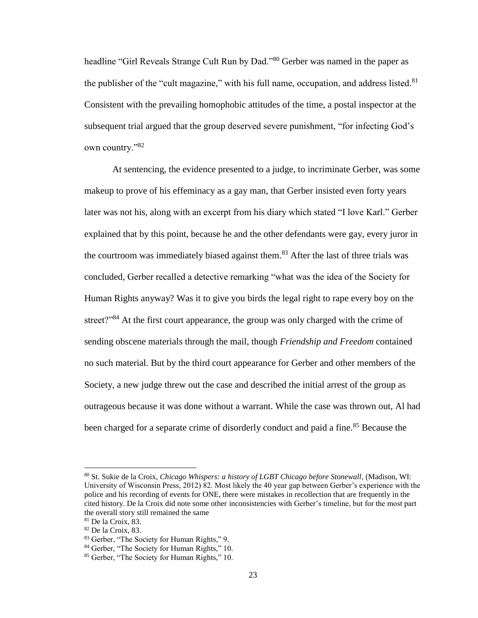headline "Girl Reveals Strange Cult Run by Dad."<sup>80</sup> Gerber was named in the paper as the publisher of the "cult magazine," with his full name, occupation, and address listed. $81$ Consistent with the prevailing homophobic attitudes of the time, a postal inspector at the subsequent trial argued that the group deserved severe punishment, "for infecting God's own country."<sup>82</sup>

At sentencing, the evidence presented to a judge, to incriminate Gerber, was some makeup to prove of his effeminacy as a gay man, that Gerber insisted even forty years later was not his, along with an excerpt from his diary which stated "I love Karl." Gerber explained that by this point, because he and the other defendants were gay, every juror in the courtroom was immediately biased against them.<sup>83</sup> After the last of three trials was concluded, Gerber recalled a detective remarking "what was the idea of the Society for Human Rights anyway? Was it to give you birds the legal right to rape every boy on the street?"<sup>84</sup> At the first court appearance, the group was only charged with the crime of sending obscene materials through the mail, though *Friendship and Freedom* contained no such material. But by the third court appearance for Gerber and other members of the Society, a new judge threw out the case and described the initial arrest of the group as outrageous because it was done without a warrant. While the case was thrown out, Al had been charged for a separate crime of disorderly conduct and paid a fine.<sup>85</sup> Because the

<sup>80</sup> St. Sukie de la Croix, *Chicago Whispers: a history of LGBT Chicago before Stonewall*, (Madison, WI: University of Wisconsin Press, 2012) 82. Most likely the 40 year gap between Gerber's experience with the police and his recording of events for ONE, there were mistakes in recollection that are frequently in the cited history. De la Croix did note some other inconsistencies with Gerber's timeline, but for the most part the overall story still remained the same

<sup>81</sup> De la Croix, 83.

<sup>82</sup> De la Croix, 83.

<sup>83</sup> Gerber, "The Society for Human Rights," 9.

<sup>84</sup> Gerber, "The Society for Human Rights," 10.

<sup>85</sup> Gerber, "The Society for Human Rights," 10.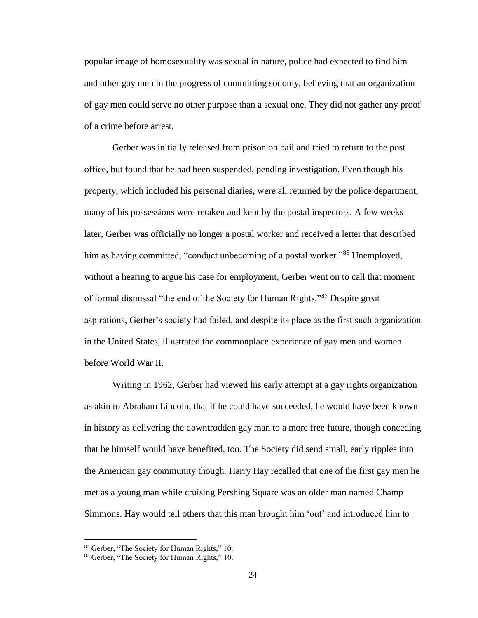popular image of homosexuality was sexual in nature, police had expected to find him and other gay men in the progress of committing sodomy, believing that an organization of gay men could serve no other purpose than a sexual one. They did not gather any proof of a crime before arrest.

Gerber was initially released from prison on bail and tried to return to the post office, but found that he had been suspended, pending investigation. Even though his property, which included his personal diaries, were all returned by the police department, many of his possessions were retaken and kept by the postal inspectors. A few weeks later, Gerber was officially no longer a postal worker and received a letter that described him as having committed, "conduct unbecoming of a postal worker."<sup>86</sup> Unemployed, without a hearing to argue his case for employment, Gerber went on to call that moment of formal dismissal "the end of the Society for Human Rights."<sup>87</sup> Despite great aspirations, Gerber's society had failed, and despite its place as the first such organization in the United States, illustrated the commonplace experience of gay men and women before World War II.

Writing in 1962, Gerber had viewed his early attempt at a gay rights organization as akin to Abraham Lincoln, that if he could have succeeded, he would have been known in history as delivering the downtrodden gay man to a more free future, though conceding that he himself would have benefited, too. The Society did send small, early ripples into the American gay community though. Harry Hay recalled that one of the first gay men he met as a young man while cruising Pershing Square was an older man named Champ Simmons. Hay would tell others that this man brought him 'out' and introduced him to

<sup>86</sup> Gerber, "The Society for Human Rights," 10.

<sup>87</sup> Gerber, "The Society for Human Rights," 10.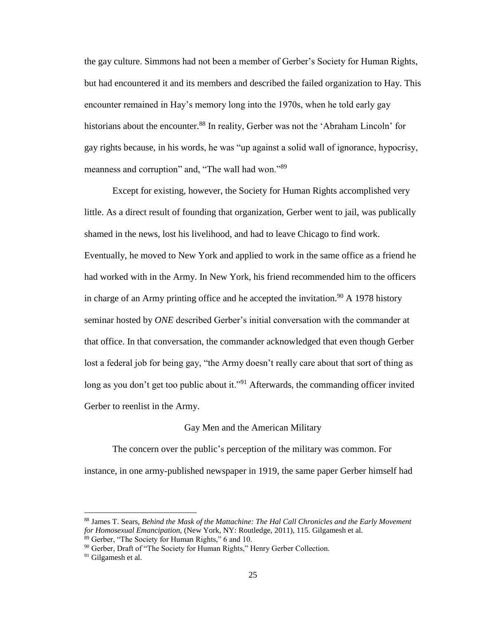the gay culture. Simmons had not been a member of Gerber's Society for Human Rights, but had encountered it and its members and described the failed organization to Hay. This encounter remained in Hay's memory long into the 1970s, when he told early gay historians about the encounter.<sup>88</sup> In reality, Gerber was not the 'Abraham Lincoln' for gay rights because, in his words, he was "up against a solid wall of ignorance, hypocrisy, meanness and corruption" and, "The wall had won."<sup>89</sup>

Except for existing, however, the Society for Human Rights accomplished very little. As a direct result of founding that organization, Gerber went to jail, was publically shamed in the news, lost his livelihood, and had to leave Chicago to find work. Eventually, he moved to New York and applied to work in the same office as a friend he had worked with in the Army. In New York, his friend recommended him to the officers in charge of an Army printing office and he accepted the invitation.<sup>90</sup> A 1978 history seminar hosted by *ONE* described Gerber's initial conversation with the commander at that office. In that conversation, the commander acknowledged that even though Gerber lost a federal job for being gay, "the Army doesn't really care about that sort of thing as long as you don't get too public about it."<sup>91</sup> Afterwards, the commanding officer invited Gerber to reenlist in the Army.

#### Gay Men and the American Military

The concern over the public's perception of the military was common. For instance, in one army-published newspaper in 1919, the same paper Gerber himself had

 $\overline{a}$ 

<sup>88</sup> James T. Sears, *Behind the Mask of the Mattachine: The Hal Call Chronicles and the Early Movement for Homosexual Emancipation,* (New York, NY: Routledge, 2011), 115. Gilgamesh et al. <sup>89</sup> Gerber, "The Society for Human Rights," 6 and 10.

<sup>&</sup>lt;sup>90</sup> Gerber, Draft of "The Society for Human Rights," Henry Gerber Collection.

<sup>&</sup>lt;sup>91</sup> Gilgamesh et al.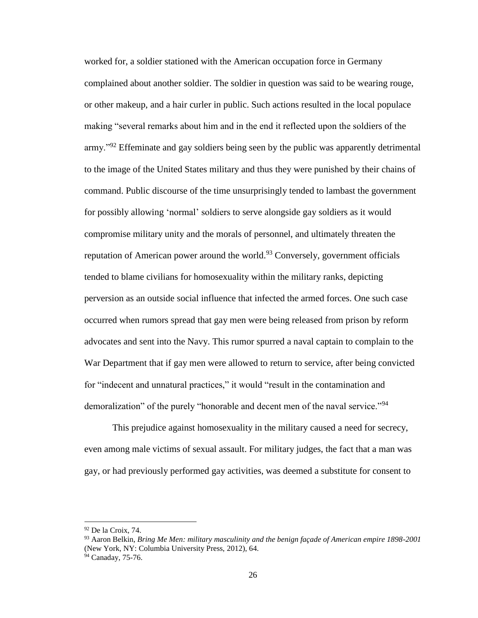worked for, a soldier stationed with the American occupation force in Germany complained about another soldier. The soldier in question was said to be wearing rouge, or other makeup, and a hair curler in public. Such actions resulted in the local populace making "several remarks about him and in the end it reflected upon the soldiers of the army."<sup>92</sup> Effeminate and gay soldiers being seen by the public was apparently detrimental to the image of the United States military and thus they were punished by their chains of command. Public discourse of the time unsurprisingly tended to lambast the government for possibly allowing 'normal' soldiers to serve alongside gay soldiers as it would compromise military unity and the morals of personnel, and ultimately threaten the reputation of American power around the world.<sup>93</sup> Conversely, government officials tended to blame civilians for homosexuality within the military ranks, depicting perversion as an outside social influence that infected the armed forces. One such case occurred when rumors spread that gay men were being released from prison by reform advocates and sent into the Navy. This rumor spurred a naval captain to complain to the War Department that if gay men were allowed to return to service, after being convicted for "indecent and unnatural practices," it would "result in the contamination and demoralization" of the purely "honorable and decent men of the naval service."<sup>94</sup>

This prejudice against homosexuality in the military caused a need for secrecy, even among male victims of sexual assault. For military judges, the fact that a man was gay, or had previously performed gay activities, was deemed a substitute for consent to

<sup>92</sup> De la Croix, 74.

<sup>93</sup> Aaron Belkin, *Bring Me Men: military masculinity and the benign façade of American empire 1898-2001* (New York, NY: Columbia University Press, 2012), 64.

<sup>&</sup>lt;sup>94</sup> Canaday, 75-76.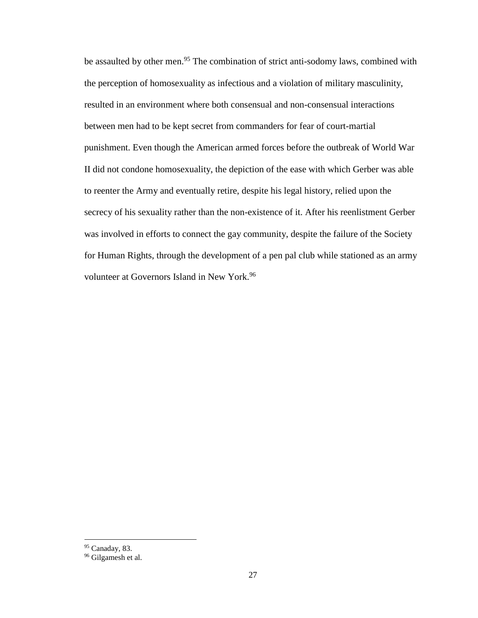be assaulted by other men.<sup>95</sup> The combination of strict anti-sodomy laws, combined with the perception of homosexuality as infectious and a violation of military masculinity, resulted in an environment where both consensual and non-consensual interactions between men had to be kept secret from commanders for fear of court-martial punishment. Even though the American armed forces before the outbreak of World War II did not condone homosexuality, the depiction of the ease with which Gerber was able to reenter the Army and eventually retire, despite his legal history, relied upon the secrecy of his sexuality rather than the non-existence of it. After his reenlistment Gerber was involved in efforts to connect the gay community, despite the failure of the Society for Human Rights, through the development of a pen pal club while stationed as an army volunteer at Governors Island in New York.<sup>96</sup>

<sup>95</sup> Canaday, 83.

<sup>&</sup>lt;sup>96</sup> Gilgamesh et al.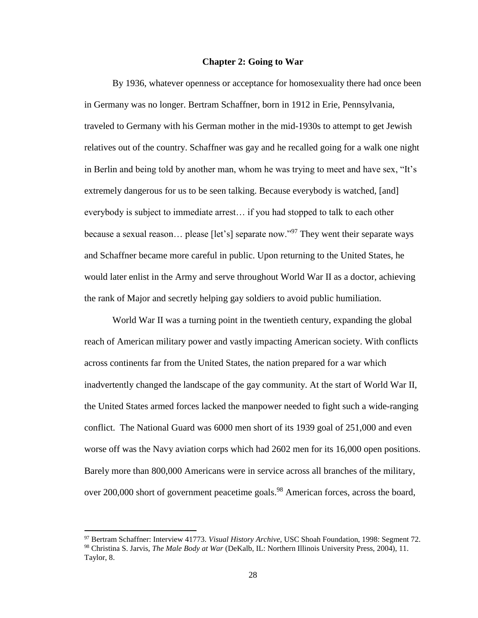#### **Chapter 2: Going to War**

By 1936, whatever openness or acceptance for homosexuality there had once been in Germany was no longer. Bertram Schaffner, born in 1912 in Erie, Pennsylvania, traveled to Germany with his German mother in the mid-1930s to attempt to get Jewish relatives out of the country. Schaffner was gay and he recalled going for a walk one night in Berlin and being told by another man, whom he was trying to meet and have sex, "It's extremely dangerous for us to be seen talking. Because everybody is watched, [and] everybody is subject to immediate arrest… if you had stopped to talk to each other because a sexual reason... please [let's] separate now."<sup>97</sup> They went their separate ways and Schaffner became more careful in public. Upon returning to the United States, he would later enlist in the Army and serve throughout World War II as a doctor, achieving the rank of Major and secretly helping gay soldiers to avoid public humiliation.

World War II was a turning point in the twentieth century, expanding the global reach of American military power and vastly impacting American society. With conflicts across continents far from the United States, the nation prepared for a war which inadvertently changed the landscape of the gay community. At the start of World War II, the United States armed forces lacked the manpower needed to fight such a wide-ranging conflict. The National Guard was 6000 men short of its 1939 goal of 251,000 and even worse off was the Navy aviation corps which had 2602 men for its 16,000 open positions. Barely more than 800,000 Americans were in service across all branches of the military, over 200,000 short of government peacetime goals.<sup>98</sup> American forces, across the board,

<sup>97</sup> Bertram Schaffner: Interview 41773. *Visual History Archive,* USC Shoah Foundation, 1998: Segment 72. <sup>98</sup> Christina S. Jarvis, *The Male Body at War* (DeKalb, IL: Northern Illinois University Press, 2004), 11. Taylor, 8.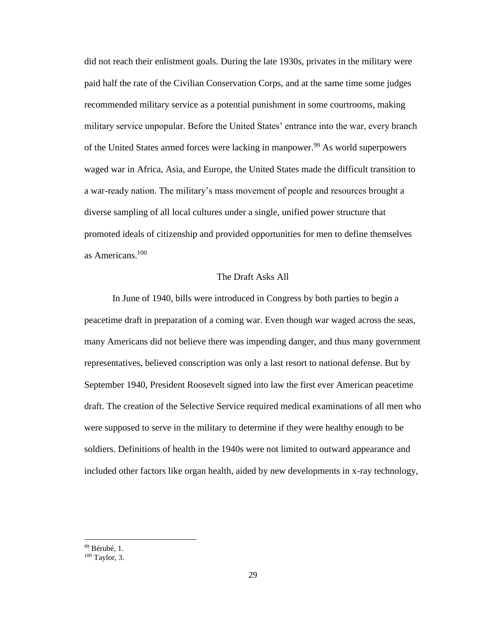did not reach their enlistment goals. During the late 1930s, privates in the military were paid half the rate of the Civilian Conservation Corps, and at the same time some judges recommended military service as a potential punishment in some courtrooms, making military service unpopular. Before the United States' entrance into the war, every branch of the United States armed forces were lacking in manpower.<sup>99</sup> As world superpowers waged war in Africa, Asia, and Europe, the United States made the difficult transition to a war-ready nation. The military's mass movement of people and resources brought a diverse sampling of all local cultures under a single, unified power structure that promoted ideals of citizenship and provided opportunities for men to define themselves as Americans.<sup>100</sup>

#### The Draft Asks All

In June of 1940, bills were introduced in Congress by both parties to begin a peacetime draft in preparation of a coming war. Even though war waged across the seas, many Americans did not believe there was impending danger, and thus many government representatives, believed conscription was only a last resort to national defense. But by September 1940, President Roosevelt signed into law the first ever American peacetime draft. The creation of the Selective Service required medical examinations of all men who were supposed to serve in the military to determine if they were healthy enough to be soldiers. Definitions of health in the 1940s were not limited to outward appearance and included other factors like organ health, aided by new developments in x-ray technology,

<sup>99</sup> Bérubé, 1.

<sup>100</sup> Taylor, 3.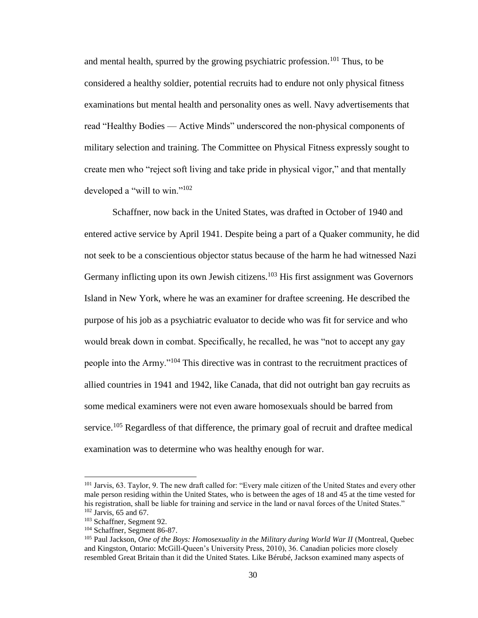and mental health, spurred by the growing psychiatric profession.<sup>101</sup> Thus, to be considered a healthy soldier, potential recruits had to endure not only physical fitness examinations but mental health and personality ones as well. Navy advertisements that read "Healthy Bodies — Active Minds" underscored the non-physical components of military selection and training. The Committee on Physical Fitness expressly sought to create men who "reject soft living and take pride in physical vigor," and that mentally developed a "will to win."<sup>102</sup>

Schaffner, now back in the United States, was drafted in October of 1940 and entered active service by April 1941. Despite being a part of a Quaker community, he did not seek to be a conscientious objector status because of the harm he had witnessed Nazi Germany inflicting upon its own Jewish citizens.<sup>103</sup> His first assignment was Governors Island in New York, where he was an examiner for draftee screening. He described the purpose of his job as a psychiatric evaluator to decide who was fit for service and who would break down in combat. Specifically, he recalled, he was "not to accept any gay people into the Army."<sup>104</sup> This directive was in contrast to the recruitment practices of allied countries in 1941 and 1942, like Canada, that did not outright ban gay recruits as some medical examiners were not even aware homosexuals should be barred from service.<sup>105</sup> Regardless of that difference, the primary goal of recruit and draftee medical examination was to determine who was healthy enough for war.

<sup>101</sup> Jarvis, 63. Taylor, 9. The new draft called for: "Every male citizen of the United States and every other male person residing within the United States, who is between the ages of 18 and 45 at the time vested for his registration, shall be liable for training and service in the land or naval forces of the United States."  $102$  Jarvis, 65 and 67.

<sup>103</sup> Schaffner, Segment 92.

<sup>104</sup> Schaffner, Segment 86-87.

<sup>&</sup>lt;sup>105</sup> Paul Jackson, *One of the Boys: Homosexuality in the Military during World War II* (Montreal, Quebec and Kingston, Ontario: McGill-Queen's University Press, 2010), 36. Canadian policies more closely resembled Great Britain than it did the United States. Like Bérubé, Jackson examined many aspects of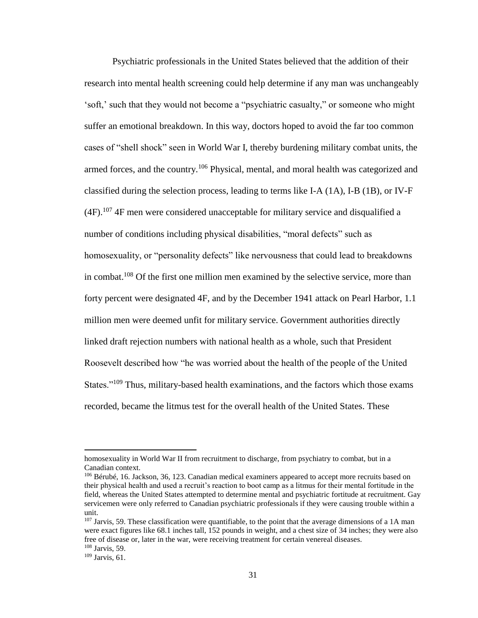Psychiatric professionals in the United States believed that the addition of their research into mental health screening could help determine if any man was unchangeably 'soft,' such that they would not become a "psychiatric casualty," or someone who might suffer an emotional breakdown. In this way, doctors hoped to avoid the far too common cases of "shell shock" seen in World War I, thereby burdening military combat units, the armed forces, and the country.<sup>106</sup> Physical, mental, and moral health was categorized and classified during the selection process, leading to terms like I-A (1A), I-B (1B), or IV-F  $(4F).$ <sup>107</sup> 4F men were considered unacceptable for military service and disqualified a number of conditions including physical disabilities, "moral defects" such as homosexuality, or "personality defects" like nervousness that could lead to breakdowns in combat.<sup>108</sup> Of the first one million men examined by the selective service, more than forty percent were designated 4F, and by the December 1941 attack on Pearl Harbor, 1.1 million men were deemed unfit for military service. Government authorities directly linked draft rejection numbers with national health as a whole, such that President Roosevelt described how "he was worried about the health of the people of the United States."<sup>109</sup> Thus, military-based health examinations, and the factors which those exams recorded, became the litmus test for the overall health of the United States. These

l

homosexuality in World War II from recruitment to discharge, from psychiatry to combat, but in a Canadian context.

<sup>106</sup> Bérubé, 16. Jackson, 36, 123. Canadian medical examiners appeared to accept more recruits based on their physical health and used a recruit's reaction to boot camp as a litmus for their mental fortitude in the field, whereas the United States attempted to determine mental and psychiatric fortitude at recruitment. Gay servicemen were only referred to Canadian psychiatric professionals if they were causing trouble within a unit.

<sup>&</sup>lt;sup>107</sup> Jarvis, 59. These classification were quantifiable, to the point that the average dimensions of a 1A man were exact figures like 68.1 inches tall, 152 pounds in weight, and a chest size of 34 inches; they were also free of disease or, later in the war, were receiving treatment for certain venereal diseases. <sup>108</sup> Jarvis, 59.

 $109$  Jarvis, 61.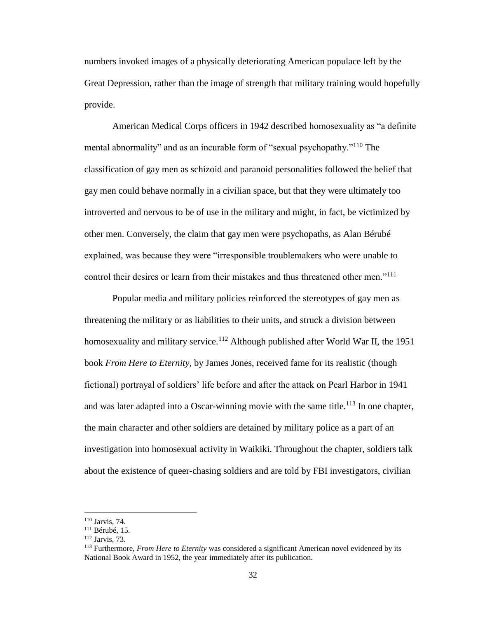numbers invoked images of a physically deteriorating American populace left by the Great Depression, rather than the image of strength that military training would hopefully provide.

American Medical Corps officers in 1942 described homosexuality as "a definite mental abnormality" and as an incurable form of "sexual psychopathy."<sup>110</sup> The classification of gay men as schizoid and paranoid personalities followed the belief that gay men could behave normally in a civilian space, but that they were ultimately too introverted and nervous to be of use in the military and might, in fact, be victimized by other men. Conversely, the claim that gay men were psychopaths, as Alan Bérubé explained, was because they were "irresponsible troublemakers who were unable to control their desires or learn from their mistakes and thus threatened other men."<sup>111</sup>

Popular media and military policies reinforced the stereotypes of gay men as threatening the military or as liabilities to their units, and struck a division between homosexuality and military service.<sup>112</sup> Although published after World War II, the 1951 book *From Here to Eternity,* by James Jones, received fame for its realistic (though fictional) portrayal of soldiers' life before and after the attack on Pearl Harbor in 1941 and was later adapted into a Oscar-winning movie with the same title.<sup>113</sup> In one chapter, the main character and other soldiers are detained by military police as a part of an investigation into homosexual activity in Waikiki. Throughout the chapter, soldiers talk about the existence of queer-chasing soldiers and are told by FBI investigators, civilian

<sup>110</sup> Jarvis, 74.

 $111$  Bérubé, 15.

<sup>112</sup> Jarvis, 73.

<sup>113</sup> Furthermore, *From Here to Eternity* was considered a significant American novel evidenced by its National Book Award in 1952, the year immediately after its publication.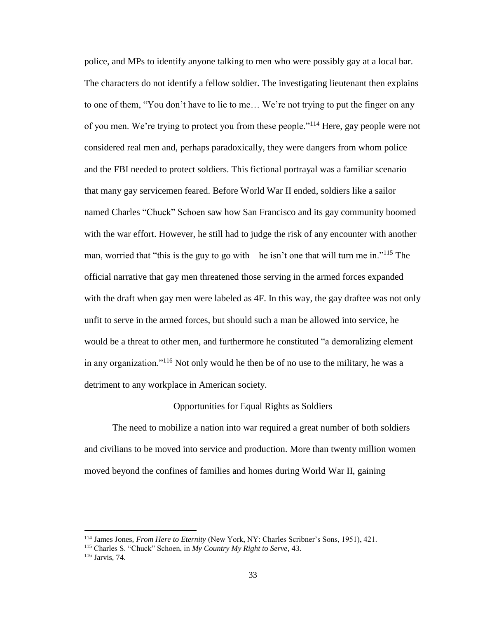police, and MPs to identify anyone talking to men who were possibly gay at a local bar. The characters do not identify a fellow soldier. The investigating lieutenant then explains to one of them, "You don't have to lie to me… We're not trying to put the finger on any of you men. We're trying to protect you from these people."<sup>114</sup> Here, gay people were not considered real men and, perhaps paradoxically, they were dangers from whom police and the FBI needed to protect soldiers. This fictional portrayal was a familiar scenario that many gay servicemen feared. Before World War II ended, soldiers like a sailor named Charles "Chuck" Schoen saw how San Francisco and its gay community boomed with the war effort. However, he still had to judge the risk of any encounter with another man, worried that "this is the guy to go with—he isn't one that will turn me in."<sup>115</sup> The official narrative that gay men threatened those serving in the armed forces expanded with the draft when gay men were labeled as 4F. In this way, the gay draftee was not only unfit to serve in the armed forces, but should such a man be allowed into service, he would be a threat to other men, and furthermore he constituted "a demoralizing element in any organization."<sup>116</sup> Not only would he then be of no use to the military, he was a detriment to any workplace in American society.

### Opportunities for Equal Rights as Soldiers

The need to mobilize a nation into war required a great number of both soldiers and civilians to be moved into service and production. More than twenty million women moved beyond the confines of families and homes during World War II, gaining

<sup>114</sup> James Jones, *From Here to Eternity* (New York, NY: Charles Scribner's Sons, 1951), 421.

<sup>115</sup> Charles S. "Chuck" Schoen, in *My Country My Right to Serve,* 43.

<sup>116</sup> Jarvis, 74.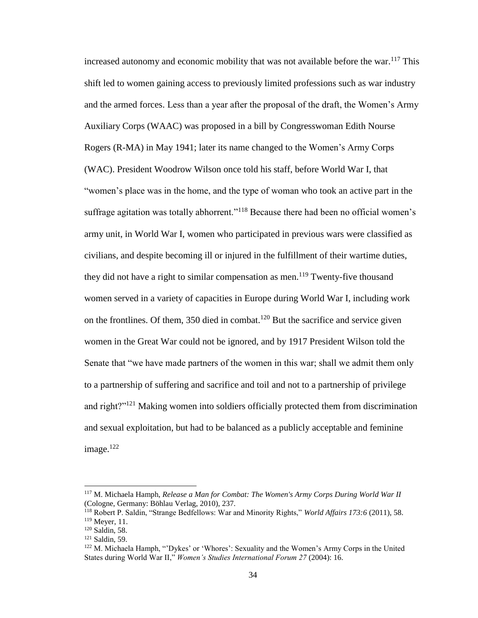increased autonomy and economic mobility that was not available before the war.<sup>117</sup> This shift led to women gaining access to previously limited professions such as war industry and the armed forces. Less than a year after the proposal of the draft, the Women's Army Auxiliary Corps (WAAC) was proposed in a bill by Congresswoman Edith Nourse Rogers (R-MA) in May 1941; later its name changed to the Women's Army Corps (WAC). President Woodrow Wilson once told his staff, before World War I, that "women's place was in the home, and the type of woman who took an active part in the suffrage agitation was totally abhorrent."<sup>118</sup> Because there had been no official women's army unit, in World War I, women who participated in previous wars were classified as civilians, and despite becoming ill or injured in the fulfillment of their wartime duties, they did not have a right to similar compensation as men.<sup>119</sup> Twenty-five thousand women served in a variety of capacities in Europe during World War I, including work on the frontlines. Of them, 350 died in combat.<sup>120</sup> But the sacrifice and service given women in the Great War could not be ignored, and by 1917 President Wilson told the Senate that "we have made partners of the women in this war; shall we admit them only to a partnership of suffering and sacrifice and toil and not to a partnership of privilege and right?"<sup>121</sup> Making women into soldiers officially protected them from discrimination and sexual exploitation, but had to be balanced as a publicly acceptable and feminine image.<sup>122</sup>

<sup>117</sup> M. Michaela Hamph, *Release a Man for Combat: The Women's Army Corps During World War II* (Cologne, Germany: Böhlau Verlag, 2010), 237.

<sup>118</sup> Robert P. Saldin, "Strange Bedfellows: War and Minority Rights," *World Affairs 173:6* (2011), 58. <sup>119</sup> Meyer, 11.

<sup>120</sup> Saldin, 58.

<sup>121</sup> Saldin, 59.

<sup>122</sup> M. Michaela Hamph, "'Dykes' or 'Whores': Sexuality and the Women's Army Corps in the United States during World War II," *Women's Studies International Forum 27* (2004): 16.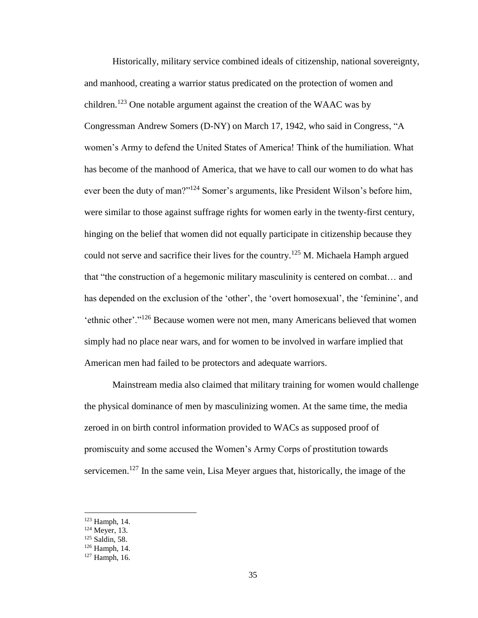Historically, military service combined ideals of citizenship, national sovereignty, and manhood, creating a warrior status predicated on the protection of women and children.<sup>123</sup> One notable argument against the creation of the WAAC was by Congressman Andrew Somers (D-NY) on March 17, 1942, who said in Congress, "A women's Army to defend the United States of America! Think of the humiliation. What has become of the manhood of America, that we have to call our women to do what has ever been the duty of man?"<sup>124</sup> Somer's arguments, like President Wilson's before him, were similar to those against suffrage rights for women early in the twenty-first century, hinging on the belief that women did not equally participate in citizenship because they could not serve and sacrifice their lives for the country.<sup>125</sup> M. Michaela Hamph argued that "the construction of a hegemonic military masculinity is centered on combat… and has depended on the exclusion of the 'other', the 'overt homosexual', the 'feminine', and 'ethnic other'."<sup>126</sup> Because women were not men, many Americans believed that women simply had no place near wars, and for women to be involved in warfare implied that American men had failed to be protectors and adequate warriors.

Mainstream media also claimed that military training for women would challenge the physical dominance of men by masculinizing women. At the same time, the media zeroed in on birth control information provided to WACs as supposed proof of promiscuity and some accused the Women's Army Corps of prostitution towards servicemen.<sup>127</sup> In the same vein, Lisa Meyer argues that, historically, the image of the

<sup>123</sup> Hamph, 14.

 $124$  Meyer, 13.

<sup>125</sup> Saldin, 58.

<sup>126</sup> Hamph, 14.

 $127$  Hamph, 16.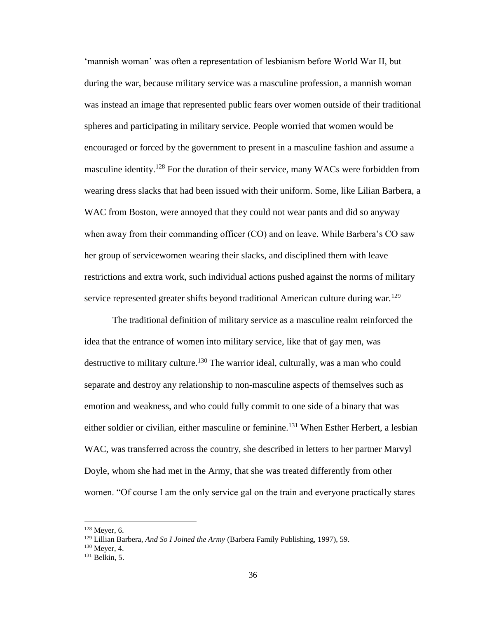'mannish woman' was often a representation of lesbianism before World War II, but during the war, because military service was a masculine profession, a mannish woman was instead an image that represented public fears over women outside of their traditional spheres and participating in military service. People worried that women would be encouraged or forced by the government to present in a masculine fashion and assume a masculine identity.<sup>128</sup> For the duration of their service, many WACs were forbidden from wearing dress slacks that had been issued with their uniform. Some, like Lilian Barbera, a WAC from Boston, were annoyed that they could not wear pants and did so anyway when away from their commanding officer (CO) and on leave. While Barbera's CO saw her group of servicewomen wearing their slacks, and disciplined them with leave restrictions and extra work, such individual actions pushed against the norms of military service represented greater shifts beyond traditional American culture during war.<sup>129</sup>

The traditional definition of military service as a masculine realm reinforced the idea that the entrance of women into military service, like that of gay men, was destructive to military culture.<sup>130</sup> The warrior ideal, culturally, was a man who could separate and destroy any relationship to non-masculine aspects of themselves such as emotion and weakness, and who could fully commit to one side of a binary that was either soldier or civilian, either masculine or feminine.<sup>131</sup> When Esther Herbert, a lesbian WAC, was transferred across the country, she described in letters to her partner Marvyl Doyle, whom she had met in the Army, that she was treated differently from other women. "Of course I am the only service gal on the train and everyone practically stares

 $128$  Meyer, 6.

<sup>129</sup> Lillian Barbera, *And So I Joined the Army* (Barbera Family Publishing, 1997), 59.

<sup>130</sup> Meyer, 4.

 $131$  Belkin, 5.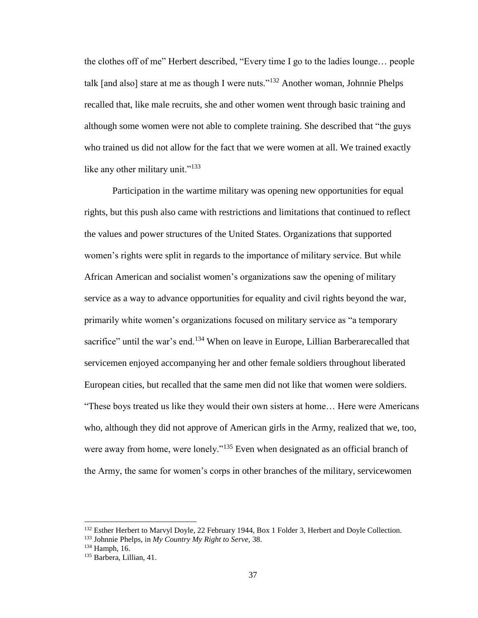the clothes off of me" Herbert described, "Every time I go to the ladies lounge… people talk [and also] stare at me as though I were nuts."<sup>132</sup> Another woman, Johnnie Phelps recalled that, like male recruits, she and other women went through basic training and although some women were not able to complete training. She described that "the guys who trained us did not allow for the fact that we were women at all. We trained exactly like any other military unit."<sup>133</sup>

Participation in the wartime military was opening new opportunities for equal rights, but this push also came with restrictions and limitations that continued to reflect the values and power structures of the United States. Organizations that supported women's rights were split in regards to the importance of military service. But while African American and socialist women's organizations saw the opening of military service as a way to advance opportunities for equality and civil rights beyond the war, primarily white women's organizations focused on military service as "a temporary sacrifice" until the war's end.<sup>134</sup> When on leave in Europe, Lillian Barberarecalled that servicemen enjoyed accompanying her and other female soldiers throughout liberated European cities, but recalled that the same men did not like that women were soldiers. "These boys treated us like they would their own sisters at home… Here were Americans who, although they did not approve of American girls in the Army, realized that we, too, were away from home, were lonely."<sup>135</sup> Even when designated as an official branch of the Army, the same for women's corps in other branches of the military, servicewomen

<sup>&</sup>lt;sup>132</sup> Esther Herbert to Marvyl Doyle, 22 February 1944, Box 1 Folder 3, Herbert and Doyle Collection.

<sup>133</sup> Johnnie Phelps, in *My Country My Right to Serve,* 38.

<sup>134</sup> Hamph, 16.

<sup>&</sup>lt;sup>135</sup> Barbera, Lillian, 41.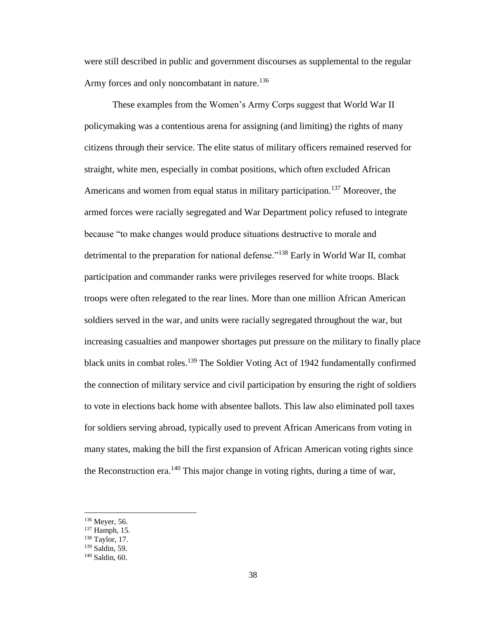were still described in public and government discourses as supplemental to the regular Army forces and only noncombatant in nature.<sup>136</sup>

These examples from the Women's Army Corps suggest that World War II policymaking was a contentious arena for assigning (and limiting) the rights of many citizens through their service. The elite status of military officers remained reserved for straight, white men, especially in combat positions, which often excluded African Americans and women from equal status in military participation.<sup>137</sup> Moreover, the armed forces were racially segregated and War Department policy refused to integrate because "to make changes would produce situations destructive to morale and detrimental to the preparation for national defense."<sup>138</sup> Early in World War II, combat participation and commander ranks were privileges reserved for white troops. Black troops were often relegated to the rear lines. More than one million African American soldiers served in the war, and units were racially segregated throughout the war, but increasing casualties and manpower shortages put pressure on the military to finally place black units in combat roles.<sup>139</sup> The Soldier Voting Act of 1942 fundamentally confirmed the connection of military service and civil participation by ensuring the right of soldiers to vote in elections back home with absentee ballots. This law also eliminated poll taxes for soldiers serving abroad, typically used to prevent African Americans from voting in many states, making the bill the first expansion of African American voting rights since the Reconstruction era.<sup>140</sup> This major change in voting rights, during a time of war,

<sup>136</sup> Meyer, 56.

<sup>137</sup> Hamph, 15.

<sup>138</sup> Taylor, 17.

<sup>139</sup> Saldin, 59.

<sup>140</sup> Saldin, 60.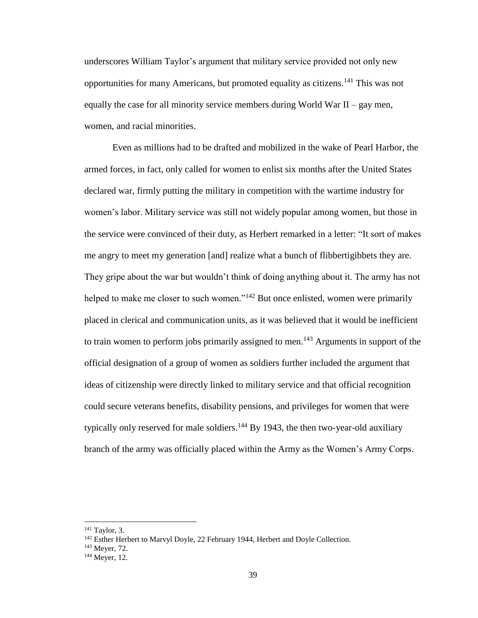underscores William Taylor's argument that military service provided not only new opportunities for many Americans, but promoted equality as citizens.<sup>141</sup> This was not equally the case for all minority service members during World War  $II - gay$  men, women, and racial minorities.

Even as millions had to be drafted and mobilized in the wake of Pearl Harbor, the armed forces, in fact, only called for women to enlist six months after the United States declared war, firmly putting the military in competition with the wartime industry for women's labor. Military service was still not widely popular among women, but those in the service were convinced of their duty, as Herbert remarked in a letter: "It sort of makes me angry to meet my generation [and] realize what a bunch of flibbertigibbets they are. They gripe about the war but wouldn't think of doing anything about it. The army has not helped to make me closer to such women."<sup>142</sup> But once enlisted, women were primarily placed in clerical and communication units, as it was believed that it would be inefficient to train women to perform jobs primarily assigned to men.<sup>143</sup> Arguments in support of the official designation of a group of women as soldiers further included the argument that ideas of citizenship were directly linked to military service and that official recognition could secure veterans benefits, disability pensions, and privileges for women that were typically only reserved for male soldiers.<sup>144</sup> By 1943, the then two-year-old auxiliary branch of the army was officially placed within the Army as the Women's Army Corps.

 $141$  Taylor, 3.

<sup>&</sup>lt;sup>142</sup> Esther Herbert to Marvyl Doyle, 22 February 1944, Herbert and Doyle Collection.

<sup>143</sup> Meyer, 72.

<sup>144</sup> Meyer, 12.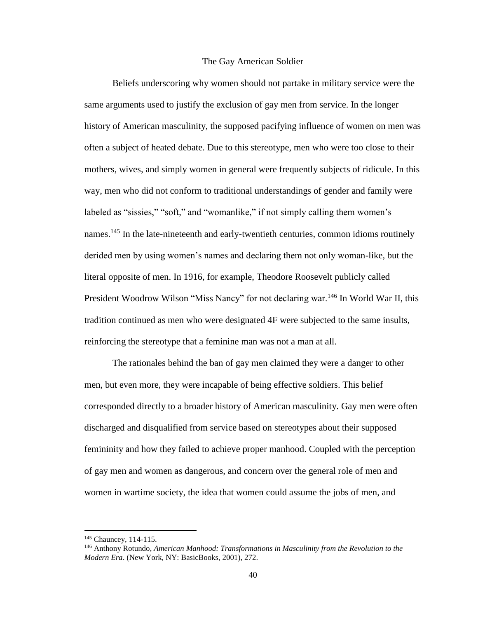#### The Gay American Soldier

Beliefs underscoring why women should not partake in military service were the same arguments used to justify the exclusion of gay men from service. In the longer history of American masculinity, the supposed pacifying influence of women on men was often a subject of heated debate. Due to this stereotype, men who were too close to their mothers, wives, and simply women in general were frequently subjects of ridicule. In this way, men who did not conform to traditional understandings of gender and family were labeled as "sissies," "soft," and "womanlike," if not simply calling them women's names.<sup>145</sup> In the late-nineteenth and early-twentieth centuries, common idioms routinely derided men by using women's names and declaring them not only woman-like, but the literal opposite of men. In 1916, for example, Theodore Roosevelt publicly called President Woodrow Wilson "Miss Nancy" for not declaring war.<sup>146</sup> In World War II, this tradition continued as men who were designated 4F were subjected to the same insults, reinforcing the stereotype that a feminine man was not a man at all.

The rationales behind the ban of gay men claimed they were a danger to other men, but even more, they were incapable of being effective soldiers. This belief corresponded directly to a broader history of American masculinity. Gay men were often discharged and disqualified from service based on stereotypes about their supposed femininity and how they failed to achieve proper manhood. Coupled with the perception of gay men and women as dangerous, and concern over the general role of men and women in wartime society, the idea that women could assume the jobs of men, and

<sup>145</sup> Chauncey, 114-115.

<sup>146</sup> Anthony Rotundo, *American Manhood: Transformations in Masculinity from the Revolution to the Modern Era*. (New York, NY: BasicBooks, 2001), 272.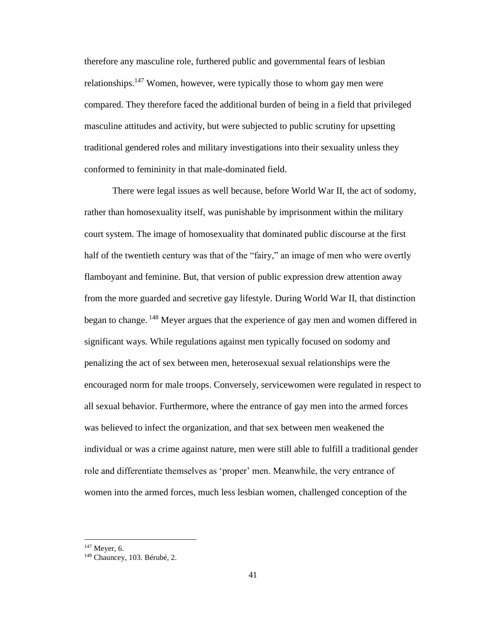therefore any masculine role, furthered public and governmental fears of lesbian relationships.<sup>147</sup> Women, however, were typically those to whom gay men were compared. They therefore faced the additional burden of being in a field that privileged masculine attitudes and activity, but were subjected to public scrutiny for upsetting traditional gendered roles and military investigations into their sexuality unless they conformed to femininity in that male-dominated field.

There were legal issues as well because, before World War II, the act of sodomy, rather than homosexuality itself, was punishable by imprisonment within the military court system. The image of homosexuality that dominated public discourse at the first half of the twentieth century was that of the "fairy," an image of men who were overtly flamboyant and feminine. But, that version of public expression drew attention away from the more guarded and secretive gay lifestyle. During World War II, that distinction began to change. <sup>148</sup> Meyer argues that the experience of gay men and women differed in significant ways. While regulations against men typically focused on sodomy and penalizing the act of sex between men, heterosexual sexual relationships were the encouraged norm for male troops. Conversely, servicewomen were regulated in respect to all sexual behavior. Furthermore, where the entrance of gay men into the armed forces was believed to infect the organization, and that sex between men weakened the individual or was a crime against nature, men were still able to fulfill a traditional gender role and differentiate themselves as 'proper' men. Meanwhile, the very entrance of women into the armed forces, much less lesbian women, challenged conception of the

<sup>147</sup> Meyer, 6.

<sup>&</sup>lt;sup>148</sup> Chauncey, 103. Bérubé, 2.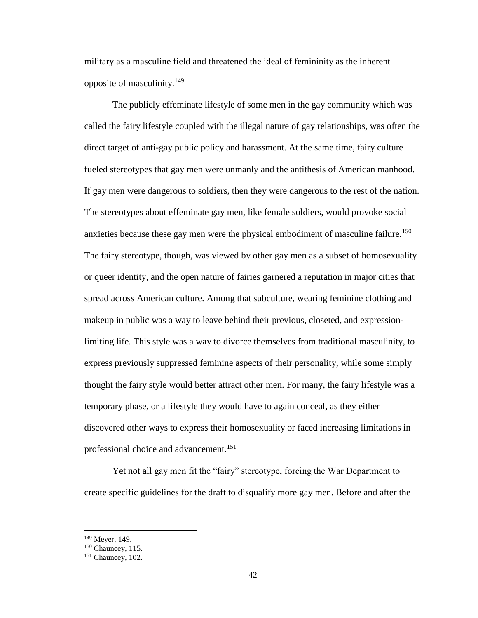military as a masculine field and threatened the ideal of femininity as the inherent opposite of masculinity.<sup>149</sup>

The publicly effeminate lifestyle of some men in the gay community which was called the fairy lifestyle coupled with the illegal nature of gay relationships, was often the direct target of anti-gay public policy and harassment. At the same time, fairy culture fueled stereotypes that gay men were unmanly and the antithesis of American manhood. If gay men were dangerous to soldiers, then they were dangerous to the rest of the nation. The stereotypes about effeminate gay men, like female soldiers, would provoke social anxieties because these gay men were the physical embodiment of masculine failure.<sup>150</sup> The fairy stereotype, though, was viewed by other gay men as a subset of homosexuality or queer identity, and the open nature of fairies garnered a reputation in major cities that spread across American culture. Among that subculture, wearing feminine clothing and makeup in public was a way to leave behind their previous, closeted, and expressionlimiting life. This style was a way to divorce themselves from traditional masculinity, to express previously suppressed feminine aspects of their personality, while some simply thought the fairy style would better attract other men. For many, the fairy lifestyle was a temporary phase, or a lifestyle they would have to again conceal, as they either discovered other ways to express their homosexuality or faced increasing limitations in professional choice and advancement.<sup>151</sup>

Yet not all gay men fit the "fairy" stereotype, forcing the War Department to create specific guidelines for the draft to disqualify more gay men. Before and after the

<sup>149</sup> Meyer, 149.

<sup>&</sup>lt;sup>150</sup> Chauncey, 115.

<sup>&</sup>lt;sup>151</sup> Chauncey, 102.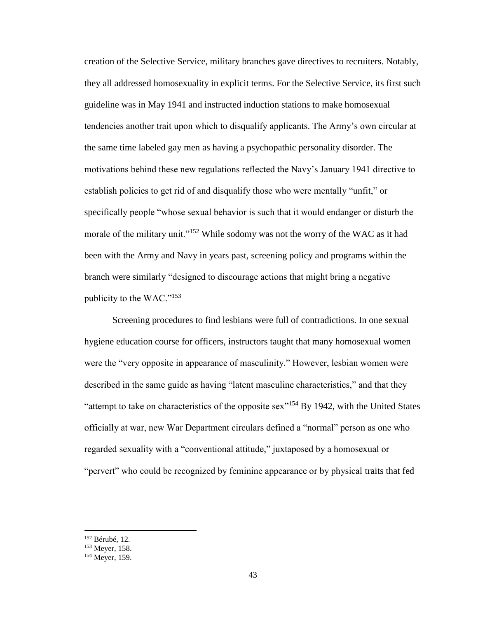creation of the Selective Service, military branches gave directives to recruiters. Notably, they all addressed homosexuality in explicit terms. For the Selective Service, its first such guideline was in May 1941 and instructed induction stations to make homosexual tendencies another trait upon which to disqualify applicants. The Army's own circular at the same time labeled gay men as having a psychopathic personality disorder. The motivations behind these new regulations reflected the Navy's January 1941 directive to establish policies to get rid of and disqualify those who were mentally "unfit," or specifically people "whose sexual behavior is such that it would endanger or disturb the morale of the military unit."<sup>152</sup> While sodomy was not the worry of the WAC as it had been with the Army and Navy in years past, screening policy and programs within the branch were similarly "designed to discourage actions that might bring a negative publicity to the WAC."<sup>153</sup>

Screening procedures to find lesbians were full of contradictions. In one sexual hygiene education course for officers, instructors taught that many homosexual women were the "very opposite in appearance of masculinity." However, lesbian women were described in the same guide as having "latent masculine characteristics," and that they "attempt to take on characteristics of the opposite sex"<sup>154</sup> By 1942, with the United States officially at war, new War Department circulars defined a "normal" person as one who regarded sexuality with a "conventional attitude," juxtaposed by a homosexual or "pervert" who could be recognized by feminine appearance or by physical traits that fed

<sup>152</sup> Bérubé, 12.

<sup>153</sup> Meyer, 158.

<sup>&</sup>lt;sup>154</sup> Meyer, 159.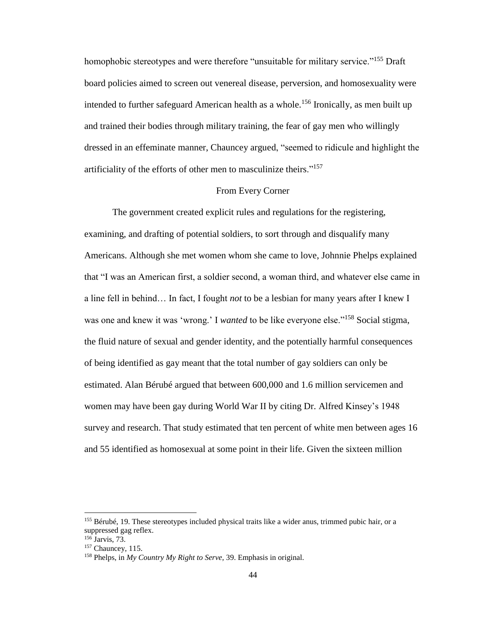homophobic stereotypes and were therefore "unsuitable for military service."<sup>155</sup> Draft board policies aimed to screen out venereal disease, perversion, and homosexuality were intended to further safeguard American health as a whole.<sup>156</sup> Ironically, as men built up and trained their bodies through military training, the fear of gay men who willingly dressed in an effeminate manner, Chauncey argued, "seemed to ridicule and highlight the artificiality of the efforts of other men to masculinize theirs."<sup>157</sup>

## From Every Corner

The government created explicit rules and regulations for the registering, examining, and drafting of potential soldiers, to sort through and disqualify many Americans. Although she met women whom she came to love, Johnnie Phelps explained that "I was an American first, a soldier second, a woman third, and whatever else came in a line fell in behind… In fact, I fought *not* to be a lesbian for many years after I knew I was one and knew it was 'wrong.' I *wanted* to be like everyone else."<sup>158</sup> Social stigma, the fluid nature of sexual and gender identity, and the potentially harmful consequences of being identified as gay meant that the total number of gay soldiers can only be estimated. Alan Bérubé argued that between 600,000 and 1.6 million servicemen and women may have been gay during World War II by citing Dr. Alfred Kinsey's 1948 survey and research. That study estimated that ten percent of white men between ages 16 and 55 identified as homosexual at some point in their life. Given the sixteen million

<sup>&</sup>lt;sup>155</sup> Bérubé, 19. These stereotypes included physical traits like a wider anus, trimmed pubic hair, or a suppressed gag reflex.

 $156$  Jarvis, 73. <sup>157</sup> Chauncey, 115.

<sup>158</sup> Phelps, in *My Country My Right to Serve,* 39. Emphasis in original.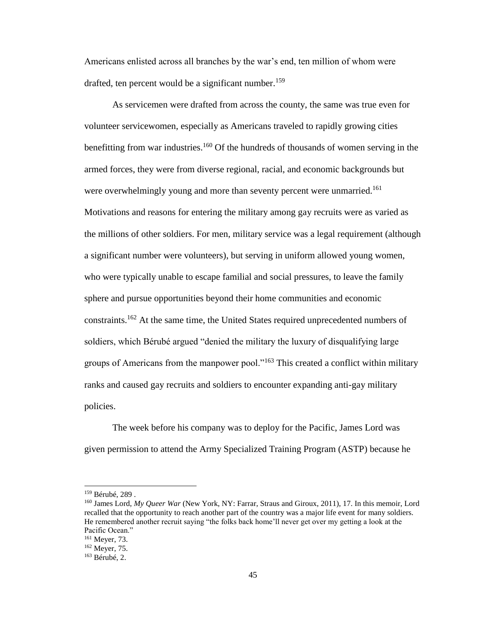Americans enlisted across all branches by the war's end, ten million of whom were drafted, ten percent would be a significant number.<sup>159</sup>

As servicemen were drafted from across the county, the same was true even for volunteer servicewomen, especially as Americans traveled to rapidly growing cities benefitting from war industries.<sup>160</sup> Of the hundreds of thousands of women serving in the armed forces, they were from diverse regional, racial, and economic backgrounds but were overwhelmingly young and more than seventy percent were unmarried.<sup>161</sup> Motivations and reasons for entering the military among gay recruits were as varied as the millions of other soldiers. For men, military service was a legal requirement (although a significant number were volunteers), but serving in uniform allowed young women, who were typically unable to escape familial and social pressures, to leave the family sphere and pursue opportunities beyond their home communities and economic constraints.<sup>162</sup> At the same time, the United States required unprecedented numbers of soldiers, which Bérubé argued "denied the military the luxury of disqualifying large groups of Americans from the manpower pool."<sup>163</sup> This created a conflict within military ranks and caused gay recruits and soldiers to encounter expanding anti-gay military policies.

The week before his company was to deploy for the Pacific, James Lord was given permission to attend the Army Specialized Training Program (ASTP) because he

<sup>159</sup> Bérubé, 289 .

<sup>160</sup> James Lord, *My Queer War* (New York, NY: Farrar, Straus and Giroux, 2011), 17. In this memoir, Lord recalled that the opportunity to reach another part of the country was a major life event for many soldiers. He remembered another recruit saying "the folks back home'll never get over my getting a look at the Pacific Ocean."

<sup>161</sup> Meyer, 73.

<sup>162</sup> Meyer, 75.

<sup>163</sup> Bérubé, 2.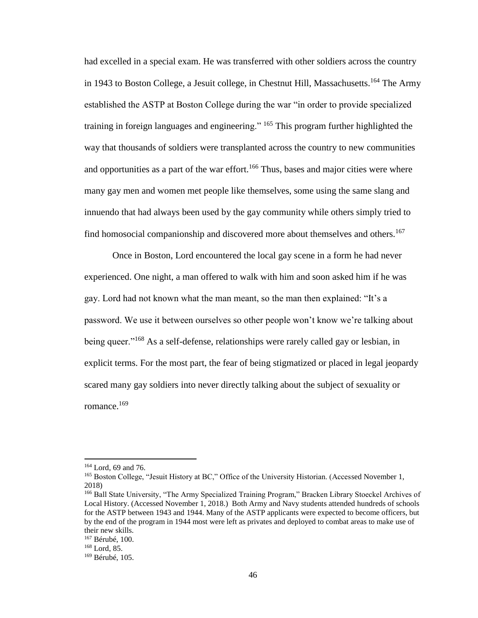had excelled in a special exam. He was transferred with other soldiers across the country in 1943 to Boston College, a Jesuit college, in Chestnut Hill, Massachusetts.<sup>164</sup> The Army established the ASTP at Boston College during the war "in order to provide specialized training in foreign languages and engineering." <sup>165</sup> This program further highlighted the way that thousands of soldiers were transplanted across the country to new communities and opportunities as a part of the war effort.<sup>166</sup> Thus, bases and major cities were where many gay men and women met people like themselves, some using the same slang and innuendo that had always been used by the gay community while others simply tried to find homosocial companionship and discovered more about themselves and others.<sup>167</sup>

Once in Boston, Lord encountered the local gay scene in a form he had never experienced. One night, a man offered to walk with him and soon asked him if he was gay. Lord had not known what the man meant, so the man then explained: "It's a password. We use it between ourselves so other people won't know we're talking about being queer."<sup>168</sup> As a self-defense, relationships were rarely called gay or lesbian, in explicit terms. For the most part, the fear of being stigmatized or placed in legal jeopardy scared many gay soldiers into never directly talking about the subject of sexuality or romance.<sup>169</sup>

<sup>164</sup> Lord, 69 and 76.

<sup>&</sup>lt;sup>165</sup> Boston College, "Jesuit History at BC," Office of the University Historian. (Accessed November 1, 2018)

<sup>166</sup> Ball State University, "The Army Specialized Training Program," Bracken Library Stoeckel Archives of Local History. (Accessed November 1, 2018.) Both Army and Navy students attended hundreds of schools for the ASTP between 1943 and 1944. Many of the ASTP applicants were expected to become officers, but by the end of the program in 1944 most were left as privates and deployed to combat areas to make use of their new skills.

<sup>167</sup> Bérubé, 100.

<sup>168</sup> Lord, 85.

<sup>169</sup> Bérubé, 105.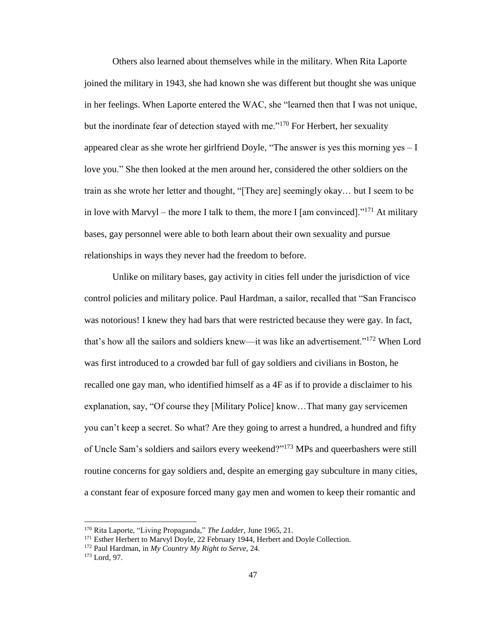Others also learned about themselves while in the military. When Rita Laporte joined the military in 1943, she had known she was different but thought she was unique in her feelings. When Laporte entered the WAC, she "learned then that I was not unique, but the inordinate fear of detection stayed with me."<sup>170</sup> For Herbert, her sexuality appeared clear as she wrote her girlfriend Doyle, "The answer is yes this morning yes – I love you." She then looked at the men around her, considered the other soldiers on the train as she wrote her letter and thought, "[They are] seemingly okay… but I seem to be in love with Marvyl – the more I talk to them, the more I [am convinced]."<sup>171</sup> At military bases, gay personnel were able to both learn about their own sexuality and pursue relationships in ways they never had the freedom to before.

Unlike on military bases, gay activity in cities fell under the jurisdiction of vice control policies and military police. Paul Hardman, a sailor, recalled that "San Francisco was notorious! I knew they had bars that were restricted because they were gay. In fact, that's how all the sailors and soldiers knew—it was like an advertisement."<sup>172</sup> When Lord was first introduced to a crowded bar full of gay soldiers and civilians in Boston, he recalled one gay man, who identified himself as a 4F as if to provide a disclaimer to his explanation, say, "Of course they [Military Police] know…That many gay servicemen you can't keep a secret. So what? Are they going to arrest a hundred, a hundred and fifty of Uncle Sam's soldiers and sailors every weekend?"<sup>173</sup> MPs and queerbashers were still routine concerns for gay soldiers and, despite an emerging gay subculture in many cities, a constant fear of exposure forced many gay men and women to keep their romantic and

<sup>170</sup> Rita Laporte, "Living Propaganda," *The Ladder,* June 1965, 21.

<sup>&</sup>lt;sup>171</sup> Esther Herbert to Marvyl Doyle, 22 February 1944, Herbert and Doyle Collection.

<sup>172</sup> Paul Hardman, in *My Country My Right to Serve,* 24.

<sup>173</sup> Lord, 97.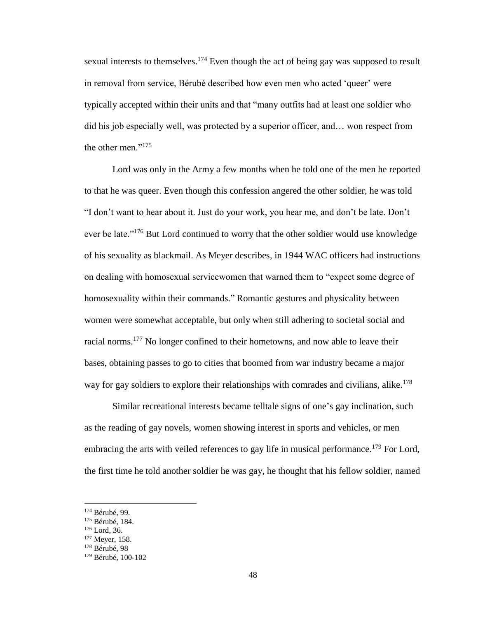sexual interests to themselves.<sup>174</sup> Even though the act of being gay was supposed to result in removal from service, Bérubé described how even men who acted 'queer' were typically accepted within their units and that "many outfits had at least one soldier who did his job especially well, was protected by a superior officer, and… won respect from the other men."<sup>175</sup>

Lord was only in the Army a few months when he told one of the men he reported to that he was queer. Even though this confession angered the other soldier, he was told "I don't want to hear about it. Just do your work, you hear me, and don't be late. Don't ever be late."<sup>176</sup> But Lord continued to worry that the other soldier would use knowledge of his sexuality as blackmail. As Meyer describes, in 1944 WAC officers had instructions on dealing with homosexual servicewomen that warned them to "expect some degree of homosexuality within their commands." Romantic gestures and physicality between women were somewhat acceptable, but only when still adhering to societal social and racial norms.<sup>177</sup> No longer confined to their hometowns, and now able to leave their bases, obtaining passes to go to cities that boomed from war industry became a major way for gay soldiers to explore their relationships with comrades and civilians, alike.<sup>178</sup>

Similar recreational interests became telltale signs of one's gay inclination, such as the reading of gay novels, women showing interest in sports and vehicles, or men embracing the arts with veiled references to gay life in musical performance.<sup>179</sup> For Lord, the first time he told another soldier he was gay, he thought that his fellow soldier, named

l

<sup>174</sup> Bérubé, 99.

<sup>175</sup> Bérubé, 184.

<sup>176</sup> Lord, 36.

<sup>&</sup>lt;sup>177</sup> Meyer, 158.

<sup>178</sup> Bérubé, 98

<sup>179</sup> Bérubé, 100-102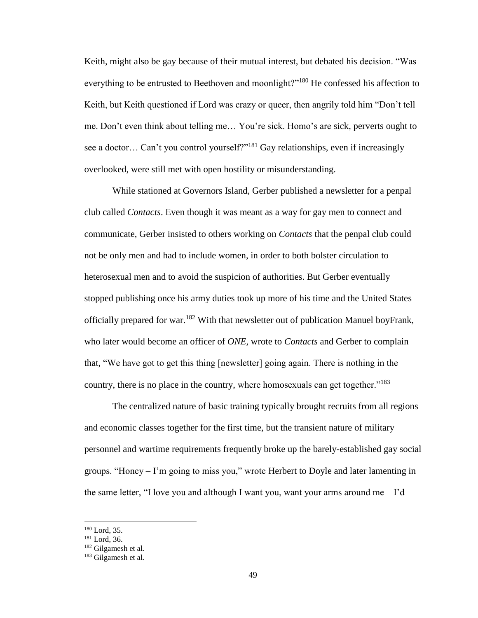Keith, might also be gay because of their mutual interest, but debated his decision. "Was everything to be entrusted to Beethoven and moonlight?"<sup>180</sup> He confessed his affection to Keith, but Keith questioned if Lord was crazy or queer, then angrily told him "Don't tell me. Don't even think about telling me… You're sick. Homo's are sick, perverts ought to see a doctor... Can't you control yourself?"<sup>181</sup> Gay relationships, even if increasingly overlooked, were still met with open hostility or misunderstanding.

While stationed at Governors Island, Gerber published a newsletter for a penpal club called *Contacts*. Even though it was meant as a way for gay men to connect and communicate, Gerber insisted to others working on *Contacts* that the penpal club could not be only men and had to include women, in order to both bolster circulation to heterosexual men and to avoid the suspicion of authorities. But Gerber eventually stopped publishing once his army duties took up more of his time and the United States officially prepared for war.<sup>182</sup> With that newsletter out of publication Manuel boyFrank, who later would become an officer of *ONE,* wrote to *Contacts* and Gerber to complain that*,* "We have got to get this thing [newsletter] going again. There is nothing in the country, there is no place in the country, where homosexuals can get together."<sup>183</sup>

The centralized nature of basic training typically brought recruits from all regions and economic classes together for the first time, but the transient nature of military personnel and wartime requirements frequently broke up the barely-established gay social groups. "Honey – I'm going to miss you," wrote Herbert to Doyle and later lamenting in the same letter, "I love you and although I want you, want your arms around me  $-1$ 'd

<sup>180</sup> Lord, 35.

<sup>181</sup> Lord, 36.

<sup>182</sup> Gilgamesh et al.

<sup>183</sup> Gilgamesh et al.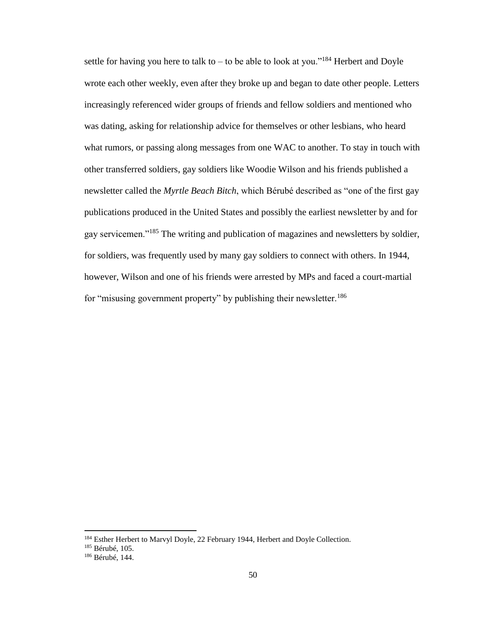settle for having you here to talk to – to be able to look at you."<sup>184</sup> Herbert and Doyle wrote each other weekly, even after they broke up and began to date other people. Letters increasingly referenced wider groups of friends and fellow soldiers and mentioned who was dating, asking for relationship advice for themselves or other lesbians, who heard what rumors, or passing along messages from one WAC to another. To stay in touch with other transferred soldiers, gay soldiers like Woodie Wilson and his friends published a newsletter called the *Myrtle Beach Bitch*, which Bérubé described as "one of the first gay publications produced in the United States and possibly the earliest newsletter by and for gay servicemen."<sup>185</sup> The writing and publication of magazines and newsletters by soldier, for soldiers, was frequently used by many gay soldiers to connect with others. In 1944, however, Wilson and one of his friends were arrested by MPs and faced a court-martial for "misusing government property" by publishing their newsletter.<sup>186</sup>

<sup>&</sup>lt;sup>184</sup> Esther Herbert to Marvyl Doyle, 22 February 1944, Herbert and Doyle Collection.

<sup>185</sup> Bérubé, 105.

<sup>186</sup> Bérubé, 144.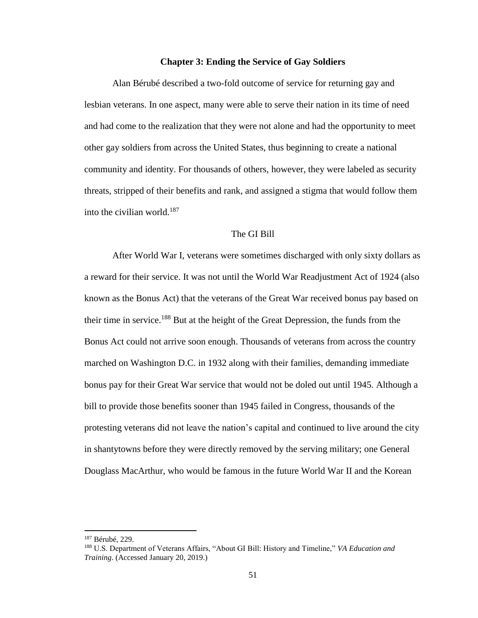## **Chapter 3: Ending the Service of Gay Soldiers**

Alan Bérubé described a two-fold outcome of service for returning gay and lesbian veterans. In one aspect, many were able to serve their nation in its time of need and had come to the realization that they were not alone and had the opportunity to meet other gay soldiers from across the United States, thus beginning to create a national community and identity. For thousands of others, however, they were labeled as security threats, stripped of their benefits and rank, and assigned a stigma that would follow them into the civilian world. $187$ 

## The GI Bill

After World War I, veterans were sometimes discharged with only sixty dollars as a reward for their service. It was not until the World War Readjustment Act of 1924 (also known as the Bonus Act) that the veterans of the Great War received bonus pay based on their time in service.<sup>188</sup> But at the height of the Great Depression, the funds from the Bonus Act could not arrive soon enough. Thousands of veterans from across the country marched on Washington D.C. in 1932 along with their families, demanding immediate bonus pay for their Great War service that would not be doled out until 1945. Although a bill to provide those benefits sooner than 1945 failed in Congress, thousands of the protesting veterans did not leave the nation's capital and continued to live around the city in shantytowns before they were directly removed by the serving military; one General Douglass MacArthur, who would be famous in the future World War II and the Korean

<sup>187</sup> Bérubé, 229.

<sup>188</sup> U.S. Department of Veterans Affairs, "About GI Bill: History and Timeline," *VA Education and Training*. (Accessed January 20, 2019.)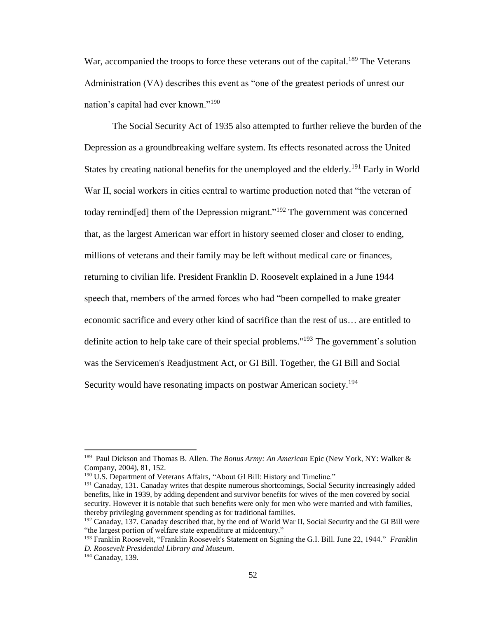War, accompanied the troops to force these veterans out of the capital.<sup>189</sup> The Veterans Administration (VA) describes this event as "one of the greatest periods of unrest our nation's capital had ever known."<sup>190</sup>

The Social Security Act of 1935 also attempted to further relieve the burden of the Depression as a groundbreaking welfare system. Its effects resonated across the United States by creating national benefits for the unemployed and the elderly.<sup>191</sup> Early in World War II, social workers in cities central to wartime production noted that "the veteran of today remind [ed] them of the Depression migrant."<sup>192</sup> The government was concerned that, as the largest American war effort in history seemed closer and closer to ending, millions of veterans and their family may be left without medical care or finances, returning to civilian life. President Franklin D. Roosevelt explained in a June 1944 speech that, members of the armed forces who had "been compelled to make greater economic sacrifice and every other kind of sacrifice than the rest of us… are entitled to definite action to help take care of their special problems."<sup>193</sup> The government's solution was the Servicemen's Readjustment Act, or GI Bill. Together, the GI Bill and Social Security would have resonating impacts on postwar American society.<sup>194</sup>

l

<sup>189</sup> Paul Dickson and Thomas B. Allen. *The Bonus Army: An American* Epic (New York, NY: Walker & Company, 2004), 81, 152.

<sup>&</sup>lt;sup>190</sup> U.S. Department of Veterans Affairs, "About GI Bill: History and Timeline."

<sup>&</sup>lt;sup>191</sup> Canaday, 131. Canaday writes that despite numerous shortcomings, Social Security increasingly added benefits, like in 1939, by adding dependent and survivor benefits for wives of the men covered by social security. However it is notable that such benefits were only for men who were married and with families, thereby privileging government spending as for traditional families.

<sup>&</sup>lt;sup>192</sup> Canaday, 137. Canaday described that, by the end of World War II, Social Security and the GI Bill were "the largest portion of welfare state expenditure at midcentury."

<sup>193</sup> Franklin Roosevelt, "Franklin Roosevelt's Statement on Signing the G.I. Bill. June 22, 1944." *Franklin D. Roosevelt Presidential Library and Museum*.

<sup>194</sup> Canaday, 139.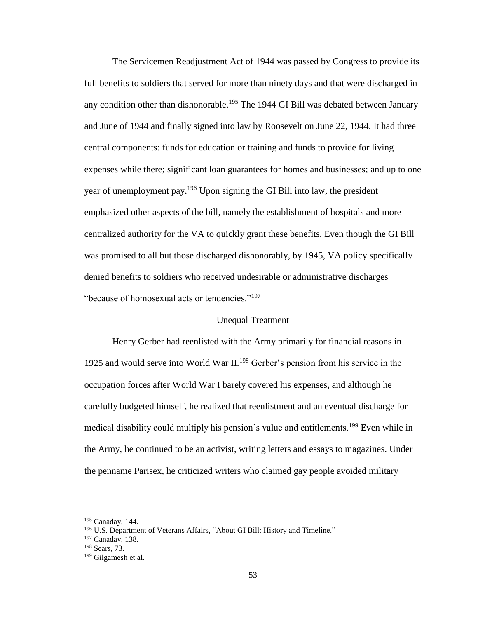The Servicemen Readjustment Act of 1944 was passed by Congress to provide its full benefits to soldiers that served for more than ninety days and that were discharged in any condition other than dishonorable.<sup>195</sup> The 1944 GI Bill was debated between January and June of 1944 and finally signed into law by Roosevelt on June 22, 1944. It had three central components: funds for education or training and funds to provide for living expenses while there; significant loan guarantees for homes and businesses; and up to one year of unemployment pay.<sup>196</sup> Upon signing the GI Bill into law, the president emphasized other aspects of the bill, namely the establishment of hospitals and more centralized authority for the VA to quickly grant these benefits. Even though the GI Bill was promised to all but those discharged dishonorably, by 1945, VA policy specifically denied benefits to soldiers who received undesirable or administrative discharges "because of homosexual acts or tendencies."<sup>197</sup>

# Unequal Treatment

Henry Gerber had reenlisted with the Army primarily for financial reasons in 1925 and would serve into World War II. <sup>198</sup> Gerber's pension from his service in the occupation forces after World War I barely covered his expenses, and although he carefully budgeted himself, he realized that reenlistment and an eventual discharge for medical disability could multiply his pension's value and entitlements.<sup>199</sup> Even while in the Army, he continued to be an activist, writing letters and essays to magazines. Under the penname Parisex, he criticized writers who claimed gay people avoided military

<sup>195</sup> Canaday, 144.

<sup>&</sup>lt;sup>196</sup> U.S. Department of Veterans Affairs, "About GI Bill: History and Timeline."

<sup>197</sup> Canaday, 138.

<sup>198</sup> Sears, 73.

<sup>199</sup> Gilgamesh et al.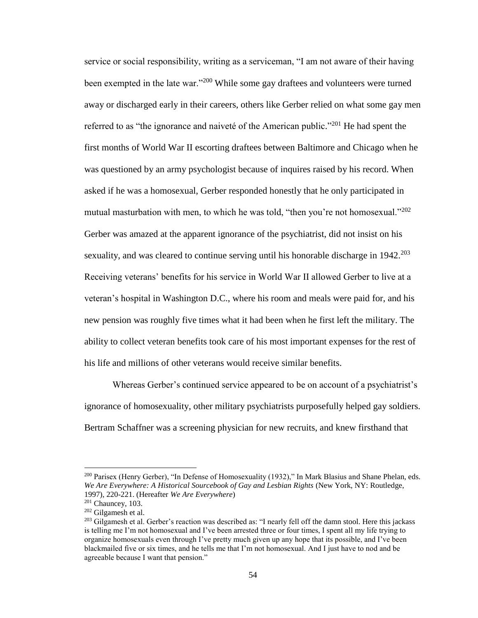service or social responsibility, writing as a serviceman, "I am not aware of their having been exempted in the late war."<sup>200</sup> While some gay draftees and volunteers were turned away or discharged early in their careers, others like Gerber relied on what some gay men referred to as "the ignorance and naiveté of the American public."<sup>201</sup> He had spent the first months of World War II escorting draftees between Baltimore and Chicago when he was questioned by an army psychologist because of inquires raised by his record. When asked if he was a homosexual, Gerber responded honestly that he only participated in mutual masturbation with men, to which he was told, "then you're not homosexual."<sup>202</sup> Gerber was amazed at the apparent ignorance of the psychiatrist, did not insist on his sexuality, and was cleared to continue serving until his honorable discharge in  $1942$ <sup>203</sup> Receiving veterans' benefits for his service in World War II allowed Gerber to live at a veteran's hospital in Washington D.C., where his room and meals were paid for, and his new pension was roughly five times what it had been when he first left the military. The ability to collect veteran benefits took care of his most important expenses for the rest of his life and millions of other veterans would receive similar benefits.

Whereas Gerber's continued service appeared to be on account of a psychiatrist's ignorance of homosexuality, other military psychiatrists purposefully helped gay soldiers. Bertram Schaffner was a screening physician for new recruits, and knew firsthand that

<sup>&</sup>lt;sup>200</sup> Parisex (Henry Gerber), "In Defense of Homosexuality (1932)," In Mark Blasius and Shane Phelan, eds. *We Are Everywhere: A Historical Sourcebook of Gay and Lesbian Rights* (New York, NY: Routledge, 1997), 220-221. (Hereafter *We Are Everywhere*)

 $201$  Chauncey, 103.

<sup>202</sup> Gilgamesh et al.

<sup>&</sup>lt;sup>203</sup> Gilgamesh et al. Gerber's reaction was described as: "I nearly fell off the damn stool. Here this jackass is telling me I'm not homosexual and I've been arrested three or four times, I spent all my life trying to organize homosexuals even through I've pretty much given up any hope that its possible, and I've been blackmailed five or six times, and he tells me that I'm not homosexual. And I just have to nod and be agreeable because I want that pension."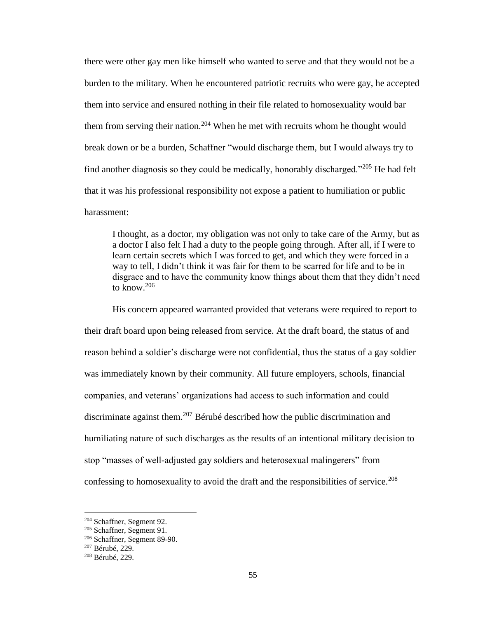there were other gay men like himself who wanted to serve and that they would not be a burden to the military. When he encountered patriotic recruits who were gay, he accepted them into service and ensured nothing in their file related to homosexuality would bar them from serving their nation.<sup>204</sup> When he met with recruits whom he thought would break down or be a burden, Schaffner "would discharge them, but I would always try to find another diagnosis so they could be medically, honorably discharged."<sup>205</sup> He had felt that it was his professional responsibility not expose a patient to humiliation or public harassment:

I thought, as a doctor, my obligation was not only to take care of the Army, but as a doctor I also felt I had a duty to the people going through. After all, if I were to learn certain secrets which I was forced to get, and which they were forced in a way to tell, I didn't think it was fair for them to be scarred for life and to be in disgrace and to have the community know things about them that they didn't need to know. $206$ 

His concern appeared warranted provided that veterans were required to report to their draft board upon being released from service. At the draft board, the status of and reason behind a soldier's discharge were not confidential, thus the status of a gay soldier was immediately known by their community. All future employers, schools, financial companies, and veterans' organizations had access to such information and could discriminate against them.<sup>207</sup> Bérubé described how the public discrimination and humiliating nature of such discharges as the results of an intentional military decision to stop "masses of well-adjusted gay soldiers and heterosexual malingerers" from confessing to homosexuality to avoid the draft and the responsibilities of service.<sup>208</sup>

<sup>204</sup> Schaffner, Segment 92.

<sup>205</sup> Schaffner, Segment 91.

<sup>206</sup> Schaffner, Segment 89-90.

<sup>207</sup> Bérubé, 229.

<sup>208</sup> Bérubé, 229.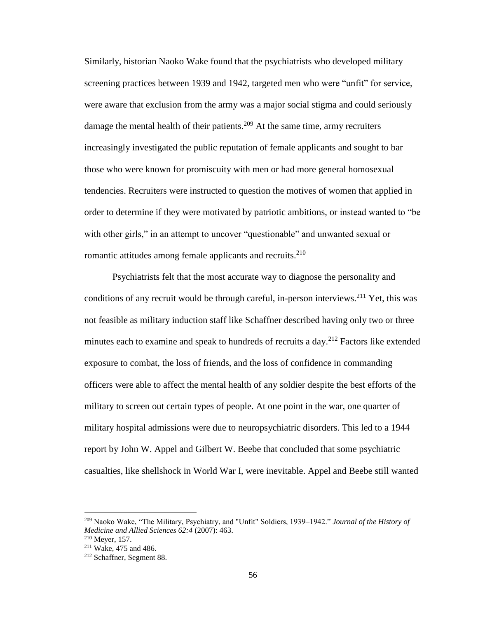Similarly, historian Naoko Wake found that the psychiatrists who developed military screening practices between 1939 and 1942, targeted men who were "unfit" for service, were aware that exclusion from the army was a major social stigma and could seriously damage the mental health of their patients.<sup>209</sup> At the same time, army recruiters increasingly investigated the public reputation of female applicants and sought to bar those who were known for promiscuity with men or had more general homosexual tendencies. Recruiters were instructed to question the motives of women that applied in order to determine if they were motivated by patriotic ambitions, or instead wanted to "be with other girls," in an attempt to uncover "questionable" and unwanted sexual or romantic attitudes among female applicants and recruits.<sup>210</sup>

Psychiatrists felt that the most accurate way to diagnose the personality and conditions of any recruit would be through careful, in-person interviews.<sup>211</sup> Yet, this was not feasible as military induction staff like Schaffner described having only two or three minutes each to examine and speak to hundreds of recruits a day.<sup>212</sup> Factors like extended exposure to combat, the loss of friends, and the loss of confidence in commanding officers were able to affect the mental health of any soldier despite the best efforts of the military to screen out certain types of people. At one point in the war, one quarter of military hospital admissions were due to neuropsychiatric disorders. This led to a 1944 report by John W. Appel and Gilbert W. Beebe that concluded that some psychiatric casualties, like shellshock in World War I, were inevitable. Appel and Beebe still wanted

<sup>209</sup> Naoko Wake, "The Military, Psychiatry, and "Unfit" Soldiers, 1939–1942." *Journal of the History of Medicine and Allied Sciences 62:4* (2007): 463.

<sup>210</sup> Meyer, 157.

<sup>211</sup> Wake, 475 and 486.

<sup>212</sup> Schaffner, Segment 88.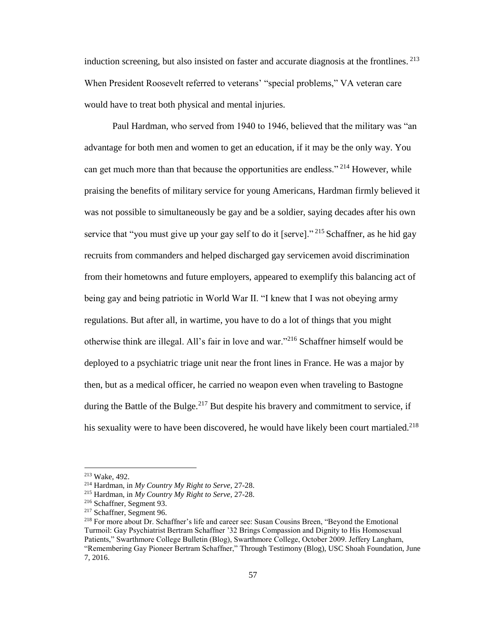induction screening, but also insisted on faster and accurate diagnosis at the frontlines. <sup>213</sup> When President Roosevelt referred to veterans' "special problems," VA veteran care would have to treat both physical and mental injuries.

Paul Hardman, who served from 1940 to 1946, believed that the military was "an advantage for both men and women to get an education, if it may be the only way. You can get much more than that because the opportunities are endless."<sup>214</sup> However, while praising the benefits of military service for young Americans, Hardman firmly believed it was not possible to simultaneously be gay and be a soldier, saying decades after his own service that "you must give up your gay self to do it [serve]."<sup>215</sup> Schaffner, as he hid gay recruits from commanders and helped discharged gay servicemen avoid discrimination from their hometowns and future employers, appeared to exemplify this balancing act of being gay and being patriotic in World War II. "I knew that I was not obeying army regulations. But after all, in wartime, you have to do a lot of things that you might otherwise think are illegal. All's fair in love and war."<sup>216</sup> Schaffner himself would be deployed to a psychiatric triage unit near the front lines in France. He was a major by then, but as a medical officer, he carried no weapon even when traveling to Bastogne during the Battle of the Bulge. $2^{17}$  But despite his bravery and commitment to service, if his sexuality were to have been discovered, he would have likely been court martialed.<sup>218</sup>

<sup>213</sup> Wake, 492.

<sup>214</sup> Hardman, in *My Country My Right to Serve,* 27-28.

<sup>215</sup> Hardman, in *My Country My Right to Serve,* 27-28.

<sup>216</sup> Schaffner, Segment 93.

<sup>217</sup> Schaffner, Segment 96.

<sup>218</sup> For more about Dr. Schaffner's life and career see: Susan Cousins Breen, "Beyond the Emotional Turmoil: Gay Psychiatrist Bertram Schaffner '32 Brings Compassion and Dignity to His Homosexual Patients," Swarthmore College Bulletin (Blog), Swarthmore College, October 2009. Jeffery Langham, "Remembering Gay Pioneer Bertram Schaffner," Through Testimony (Blog), USC Shoah Foundation, June 7, 2016.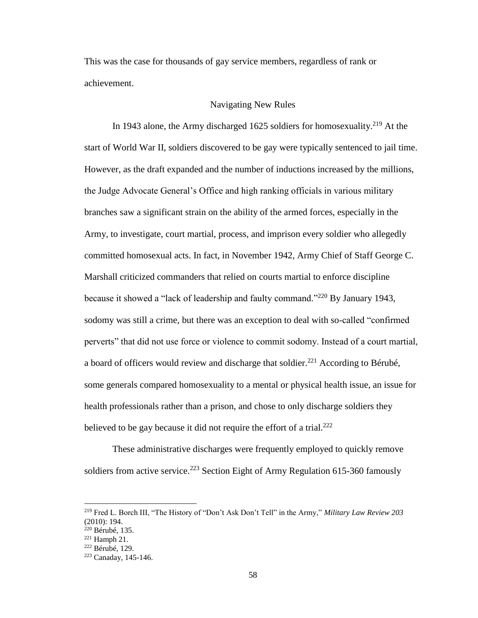This was the case for thousands of gay service members, regardless of rank or achievement.

# Navigating New Rules

In 1943 alone, the Army discharged 1625 soldiers for homosexuality.<sup>219</sup> At the start of World War II, soldiers discovered to be gay were typically sentenced to jail time. However, as the draft expanded and the number of inductions increased by the millions, the Judge Advocate General's Office and high ranking officials in various military branches saw a significant strain on the ability of the armed forces, especially in the Army, to investigate, court martial, process, and imprison every soldier who allegedly committed homosexual acts. In fact, in November 1942, Army Chief of Staff George C. Marshall criticized commanders that relied on courts martial to enforce discipline because it showed a "lack of leadership and faulty command."<sup>220</sup> By January 1943, sodomy was still a crime, but there was an exception to deal with so-called "confirmed perverts" that did not use force or violence to commit sodomy. Instead of a court martial, a board of officers would review and discharge that soldier.<sup>221</sup> According to Bérubé, some generals compared homosexuality to a mental or physical health issue, an issue for health professionals rather than a prison, and chose to only discharge soldiers they believed to be gay because it did not require the effort of a trial.<sup>222</sup>

These administrative discharges were frequently employed to quickly remove soldiers from active service.<sup>223</sup> Section Eight of Army Regulation  $615-360$  famously

l

<sup>219</sup> Fred L. Borch III, "The History of "Don't Ask Don't Tell" in the Army," *Military Law Review 203* (2010): 194.

<sup>220</sup> Bérubé, 135.

<sup>221</sup> Hamph 21.

<sup>222</sup> Bérubé, 129.

<sup>223</sup> Canaday, 145-146.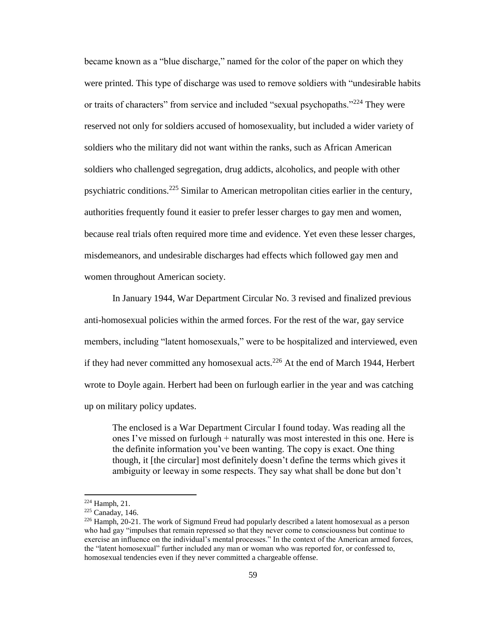became known as a "blue discharge," named for the color of the paper on which they were printed. This type of discharge was used to remove soldiers with "undesirable habits or traits of characters" from service and included "sexual psychopaths."<sup>224</sup> They were reserved not only for soldiers accused of homosexuality, but included a wider variety of soldiers who the military did not want within the ranks, such as African American soldiers who challenged segregation, drug addicts, alcoholics, and people with other psychiatric conditions.<sup>225</sup> Similar to American metropolitan cities earlier in the century, authorities frequently found it easier to prefer lesser charges to gay men and women, because real trials often required more time and evidence. Yet even these lesser charges, misdemeanors, and undesirable discharges had effects which followed gay men and women throughout American society.

In January 1944, War Department Circular No. 3 revised and finalized previous anti-homosexual policies within the armed forces. For the rest of the war, gay service members, including "latent homosexuals," were to be hospitalized and interviewed, even if they had never committed any homosexual acts.<sup>226</sup> At the end of March 1944, Herbert wrote to Doyle again. Herbert had been on furlough earlier in the year and was catching up on military policy updates.

The enclosed is a War Department Circular I found today. Was reading all the ones I've missed on furlough + naturally was most interested in this one. Here is the definite information you've been wanting. The copy is exact. One thing though, it [the circular] most definitely doesn't define the terms which gives it ambiguity or leeway in some respects. They say what shall be done but don't

 $224$  Hamph, 21.

<sup>225</sup> Canaday, 146.

 $226$  Hamph, 20-21. The work of Sigmund Freud had popularly described a latent homosexual as a person who had gay "impulses that remain repressed so that they never come to consciousness but continue to exercise an influence on the individual's mental processes." In the context of the American armed forces, the "latent homosexual" further included any man or woman who was reported for, or confessed to, homosexual tendencies even if they never committed a chargeable offense.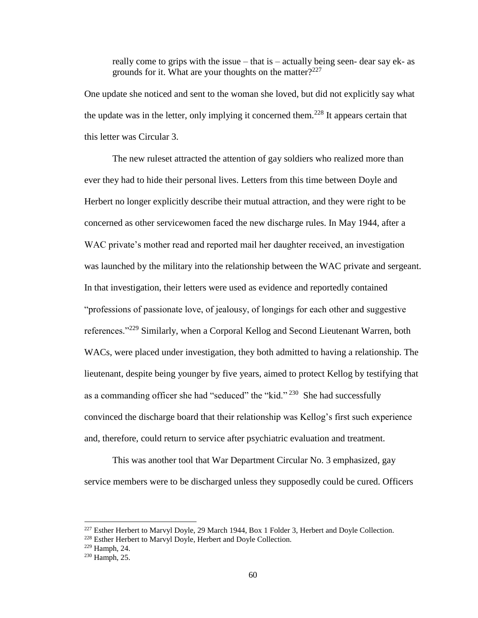really come to grips with the issue – that is – actually being seen- dear say ek- as grounds for it. What are your thoughts on the matter? $227$ 

One update she noticed and sent to the woman she loved, but did not explicitly say what the update was in the letter, only implying it concerned them.<sup>228</sup> It appears certain that this letter was Circular 3.

The new ruleset attracted the attention of gay soldiers who realized more than ever they had to hide their personal lives. Letters from this time between Doyle and Herbert no longer explicitly describe their mutual attraction, and they were right to be concerned as other servicewomen faced the new discharge rules. In May 1944, after a WAC private's mother read and reported mail her daughter received, an investigation was launched by the military into the relationship between the WAC private and sergeant. In that investigation, their letters were used as evidence and reportedly contained "professions of passionate love, of jealousy, of longings for each other and suggestive references."<sup>229</sup> Similarly, when a Corporal Kellog and Second Lieutenant Warren, both WACs, were placed under investigation, they both admitted to having a relationship. The lieutenant, despite being younger by five years, aimed to protect Kellog by testifying that as a commanding officer she had "seduced" the "kid."<sup>230</sup> She had successfully convinced the discharge board that their relationship was Kellog's first such experience and, therefore, could return to service after psychiatric evaluation and treatment.

This was another tool that War Department Circular No. 3 emphasized, gay service members were to be discharged unless they supposedly could be cured. Officers

<sup>&</sup>lt;sup>227</sup> Esther Herbert to Marvyl Doyle, 29 March 1944, Box 1 Folder 3, Herbert and Doyle Collection.

<sup>228</sup> Esther Herbert to Marvyl Doyle, Herbert and Doyle Collection.

<sup>229</sup> Hamph, 24.

 $230$  Hamph, 25.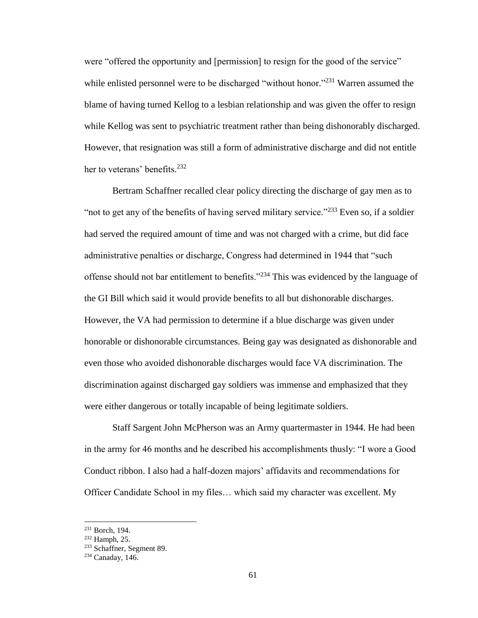were "offered the opportunity and [permission] to resign for the good of the service" while enlisted personnel were to be discharged "without honor."<sup>231</sup> Warren assumed the blame of having turned Kellog to a lesbian relationship and was given the offer to resign while Kellog was sent to psychiatric treatment rather than being dishonorably discharged. However, that resignation was still a form of administrative discharge and did not entitle her to veterans' benefits.<sup>232</sup>

Bertram Schaffner recalled clear policy directing the discharge of gay men as to "not to get any of the benefits of having served military service."<sup>233</sup> Even so, if a soldier had served the required amount of time and was not charged with a crime, but did face administrative penalties or discharge, Congress had determined in 1944 that "such offense should not bar entitlement to benefits."<sup>234</sup> This was evidenced by the language of the GI Bill which said it would provide benefits to all but dishonorable discharges. However, the VA had permission to determine if a blue discharge was given under honorable or dishonorable circumstances. Being gay was designated as dishonorable and even those who avoided dishonorable discharges would face VA discrimination. The discrimination against discharged gay soldiers was immense and emphasized that they were either dangerous or totally incapable of being legitimate soldiers.

Staff Sargent John McPherson was an Army quartermaster in 1944. He had been in the army for 46 months and he described his accomplishments thusly: "I wore a Good Conduct ribbon. I also had a half-dozen majors' affidavits and recommendations for Officer Candidate School in my files… which said my character was excellent. My

<sup>231</sup> Borch, 194.

<sup>232</sup> Hamph, 25.

<sup>&</sup>lt;sup>233</sup> Schaffner, Segment 89.

<sup>234</sup> Canaday, 146.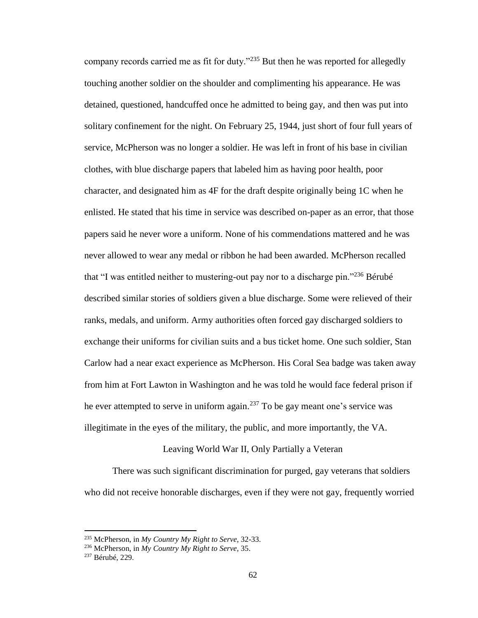company records carried me as fit for duty."<sup>235</sup> But then he was reported for allegedly touching another soldier on the shoulder and complimenting his appearance. He was detained, questioned, handcuffed once he admitted to being gay, and then was put into solitary confinement for the night. On February 25, 1944, just short of four full years of service, McPherson was no longer a soldier. He was left in front of his base in civilian clothes, with blue discharge papers that labeled him as having poor health, poor character, and designated him as 4F for the draft despite originally being 1C when he enlisted. He stated that his time in service was described on-paper as an error, that those papers said he never wore a uniform. None of his commendations mattered and he was never allowed to wear any medal or ribbon he had been awarded. McPherson recalled that "I was entitled neither to mustering-out pay nor to a discharge pin."<sup>236</sup> Bérubé described similar stories of soldiers given a blue discharge. Some were relieved of their ranks, medals, and uniform. Army authorities often forced gay discharged soldiers to exchange their uniforms for civilian suits and a bus ticket home. One such soldier, Stan Carlow had a near exact experience as McPherson. His Coral Sea badge was taken away from him at Fort Lawton in Washington and he was told he would face federal prison if he ever attempted to serve in uniform again.<sup>237</sup> To be gay meant one's service was illegitimate in the eyes of the military, the public, and more importantly, the VA.

### Leaving World War II, Only Partially a Veteran

There was such significant discrimination for purged, gay veterans that soldiers who did not receive honorable discharges, even if they were not gay, frequently worried

<sup>235</sup> McPherson, in *My Country My Right to Serve,* 32-33.

<sup>236</sup> McPherson, in *My Country My Right to Serve,* 35.

<sup>237</sup> Bérubé, 229.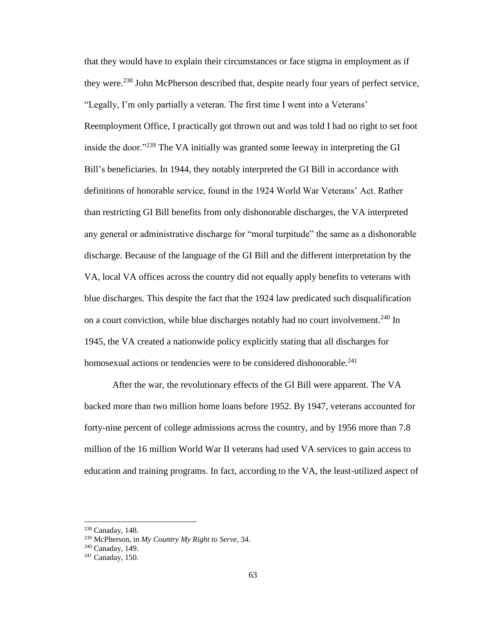that they would have to explain their circumstances or face stigma in employment as if they were.<sup>238</sup> John McPherson described that, despite nearly four years of perfect service, "Legally, I'm only partially a veteran. The first time I went into a Veterans' Reemployment Office, I practically got thrown out and was told I had no right to set foot inside the door."<sup>239</sup> The VA initially was granted some leeway in interpreting the GI Bill's beneficiaries. In 1944, they notably interpreted the GI Bill in accordance with definitions of honorable service, found in the 1924 World War Veterans' Act. Rather than restricting GI Bill benefits from only dishonorable discharges, the VA interpreted any general or administrative discharge for "moral turpitude" the same as a dishonorable discharge. Because of the language of the GI Bill and the different interpretation by the VA, local VA offices across the country did not equally apply benefits to veterans with blue discharges. This despite the fact that the 1924 law predicated such disqualification on a court conviction, while blue discharges notably had no court involvement.<sup>240</sup> In 1945, the VA created a nationwide policy explicitly stating that all discharges for homosexual actions or tendencies were to be considered dishonorable.<sup>241</sup>

After the war, the revolutionary effects of the GI Bill were apparent. The VA backed more than two million home loans before 1952. By 1947, veterans accounted for forty-nine percent of college admissions across the country, and by 1956 more than 7.8 million of the 16 million World War II veterans had used VA services to gain access to education and training programs. In fact, according to the VA, the least-utilized aspect of

<sup>238</sup> Canaday, 148.

<sup>239</sup> McPherson, in *My Country My Right to Serve*, 34.

<sup>240</sup> Canaday, 149.

 $241$  Canaday, 150.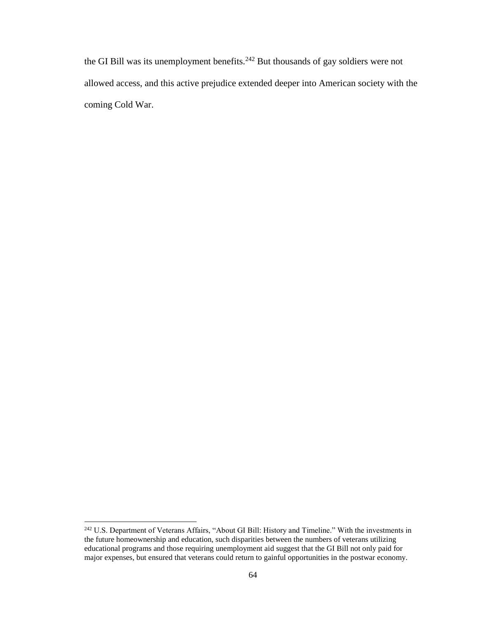the GI Bill was its unemployment benefits.<sup>242</sup> But thousands of gay soldiers were not allowed access, and this active prejudice extended deeper into American society with the coming Cold War.

<sup>&</sup>lt;sup>242</sup> U.S. Department of Veterans Affairs, "About GI Bill: History and Timeline." With the investments in the future homeownership and education, such disparities between the numbers of veterans utilizing educational programs and those requiring unemployment aid suggest that the GI Bill not only paid for major expenses, but ensured that veterans could return to gainful opportunities in the postwar economy.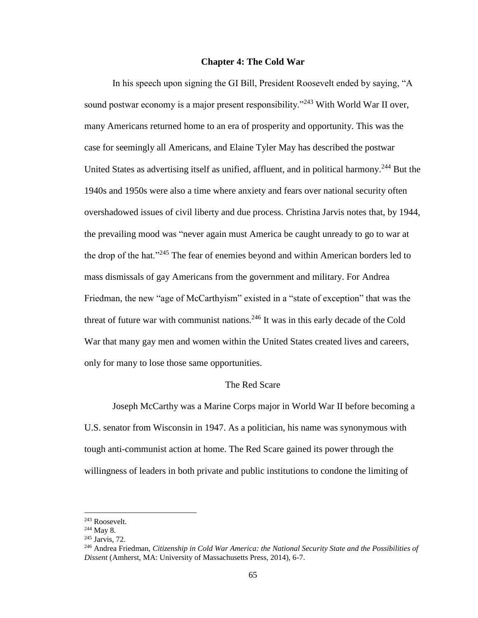## **Chapter 4: The Cold War**

In his speech upon signing the GI Bill, President Roosevelt ended by saying, "A sound postwar economy is a major present responsibility."<sup>243</sup> With World War II over, many Americans returned home to an era of prosperity and opportunity. This was the case for seemingly all Americans, and Elaine Tyler May has described the postwar United States as advertising itself as unified, affluent, and in political harmony.<sup>244</sup> But the 1940s and 1950s were also a time where anxiety and fears over national security often overshadowed issues of civil liberty and due process. Christina Jarvis notes that, by 1944, the prevailing mood was "never again must America be caught unready to go to war at the drop of the hat."<sup>245</sup> The fear of enemies beyond and within American borders led to mass dismissals of gay Americans from the government and military. For Andrea Friedman, the new "age of McCarthyism" existed in a "state of exception" that was the threat of future war with communist nations. $246$  It was in this early decade of the Cold War that many gay men and women within the United States created lives and careers, only for many to lose those same opportunities.

# The Red Scare

Joseph McCarthy was a Marine Corps major in World War II before becoming a U.S. senator from Wisconsin in 1947. As a politician, his name was synonymous with tough anti-communist action at home. The Red Scare gained its power through the willingness of leaders in both private and public institutions to condone the limiting of

<sup>243</sup> Roosevelt.

 $244$  May 8.

<sup>245</sup> Jarvis, 72.

<sup>246</sup> Andrea Friedman, *Citizenship in Cold War America: the National Security State and the Possibilities of Dissent* (Amherst, MA: University of Massachusetts Press, 2014), 6-7.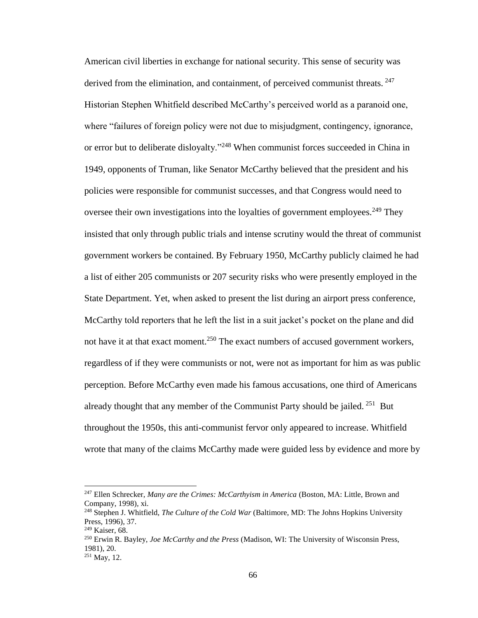American civil liberties in exchange for national security. This sense of security was derived from the elimination, and containment, of perceived communist threats. <sup>247</sup> Historian Stephen Whitfield described McCarthy's perceived world as a paranoid one, where "failures of foreign policy were not due to misjudgment, contingency, ignorance, or error but to deliberate disloyalty."<sup>248</sup> When communist forces succeeded in China in 1949, opponents of Truman, like Senator McCarthy believed that the president and his policies were responsible for communist successes, and that Congress would need to oversee their own investigations into the loyalties of government employees.<sup>249</sup> They insisted that only through public trials and intense scrutiny would the threat of communist government workers be contained. By February 1950, McCarthy publicly claimed he had a list of either 205 communists or 207 security risks who were presently employed in the State Department. Yet, when asked to present the list during an airport press conference, McCarthy told reporters that he left the list in a suit jacket's pocket on the plane and did not have it at that exact moment.<sup>250</sup> The exact numbers of accused government workers, regardless of if they were communists or not, were not as important for him as was public perception. Before McCarthy even made his famous accusations, one third of Americans already thought that any member of the Communist Party should be jailed.  $251$  But throughout the 1950s, this anti-communist fervor only appeared to increase. Whitfield wrote that many of the claims McCarthy made were guided less by evidence and more by

<sup>247</sup> Ellen Schrecker, *Many are the Crimes: McCarthyism in America* (Boston, MA: Little, Brown and Company, 1998)*,* xi.

<sup>248</sup> Stephen J. Whitfield, *The Culture of the Cold War* (Baltimore, MD: The Johns Hopkins University Press, 1996), 37.

<sup>&</sup>lt;sup>249</sup> Kaiser, 68.

<sup>250</sup> Erwin R. Bayley, *Joe McCarthy and the Press* (Madison, WI: The University of Wisconsin Press, 1981), 20.

<sup>251</sup> May, 12.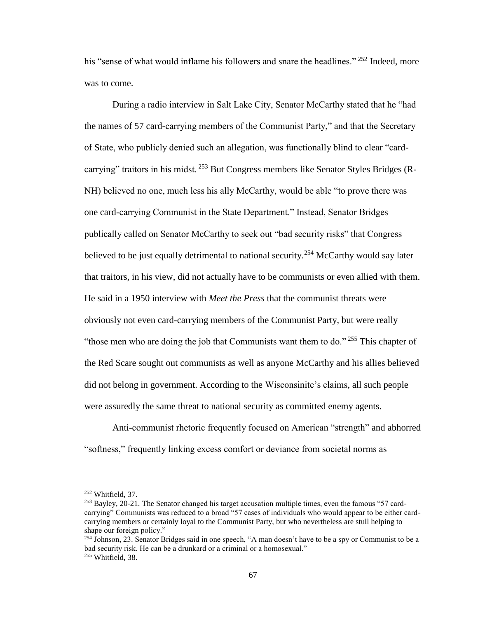his "sense of what would inflame his followers and snare the headlines." <sup>252</sup> Indeed, more was to come.

During a radio interview in Salt Lake City, Senator McCarthy stated that he "had the names of 57 card-carrying members of the Communist Party," and that the Secretary of State, who publicly denied such an allegation, was functionally blind to clear "cardcarrying" traitors in his midst. <sup>253</sup> But Congress members like Senator Styles Bridges (R-NH) believed no one, much less his ally McCarthy, would be able "to prove there was one card-carrying Communist in the State Department." Instead, Senator Bridges publically called on Senator McCarthy to seek out "bad security risks" that Congress believed to be just equally detrimental to national security.<sup>254</sup> McCarthy would say later that traitors, in his view, did not actually have to be communists or even allied with them. He said in a 1950 interview with *Meet the Press* that the communist threats were obviously not even card-carrying members of the Communist Party, but were really "those men who are doing the job that Communists want them to do."  $255$  This chapter of the Red Scare sought out communists as well as anyone McCarthy and his allies believed did not belong in government. According to the Wisconsinite's claims, all such people were assuredly the same threat to national security as committed enemy agents.

Anti-communist rhetoric frequently focused on American "strength" and abhorred "softness," frequently linking excess comfort or deviance from societal norms as

<sup>252</sup> Whitfield, 37.

<sup>&</sup>lt;sup>253</sup> Bayley, 20-21. The Senator changed his target accusation multiple times, even the famous "57 cardcarrying" Communists was reduced to a broad "57 cases of individuals who would appear to be either cardcarrying members or certainly loyal to the Communist Party, but who nevertheless are stull helping to shape our foreign policy."

<sup>254</sup> Johnson, 23. Senator Bridges said in one speech, "A man doesn't have to be a spy or Communist to be a bad security risk. He can be a drunkard or a criminal or a homosexual." <sup>255</sup> Whitfield, 38.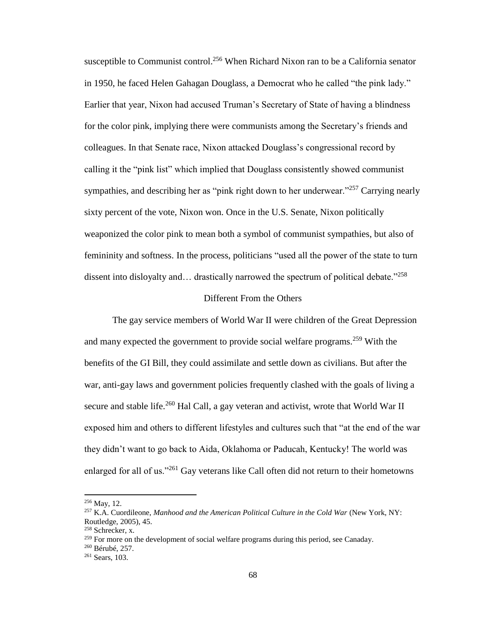susceptible to Communist control.<sup>256</sup> When Richard Nixon ran to be a California senator in 1950, he faced Helen Gahagan Douglass, a Democrat who he called "the pink lady." Earlier that year, Nixon had accused Truman's Secretary of State of having a blindness for the color pink, implying there were communists among the Secretary's friends and colleagues. In that Senate race, Nixon attacked Douglass's congressional record by calling it the "pink list" which implied that Douglass consistently showed communist sympathies, and describing her as "pink right down to her underwear."<sup>257</sup> Carrying nearly sixty percent of the vote, Nixon won. Once in the U.S. Senate, Nixon politically weaponized the color pink to mean both a symbol of communist sympathies, but also of femininity and softness. In the process, politicians "used all the power of the state to turn dissent into disloyalty and... drastically narrowed the spectrum of political debate."<sup>258</sup>

#### Different From the Others

The gay service members of World War II were children of the Great Depression and many expected the government to provide social welfare programs.<sup>259</sup> With the benefits of the GI Bill, they could assimilate and settle down as civilians. But after the war, anti-gay laws and government policies frequently clashed with the goals of living a secure and stable life.<sup>260</sup> Hal Call, a gay veteran and activist, wrote that World War II exposed him and others to different lifestyles and cultures such that "at the end of the war they didn't want to go back to Aida, Oklahoma or Paducah, Kentucky! The world was enlarged for all of us."<sup>261</sup> Gay veterans like Call often did not return to their hometowns

<sup>256</sup> May, 12.

<sup>257</sup> K.A. Cuordileone, *Manhood and the American Political Culture in the Cold War* (New York, NY: Routledge, 2005), 45.

<sup>258</sup> Schrecker, x.

<sup>&</sup>lt;sup>259</sup> For more on the development of social welfare programs during this period, see Canaday.

<sup>260</sup> Bérubé, 257.

<sup>261</sup> Sears, 103.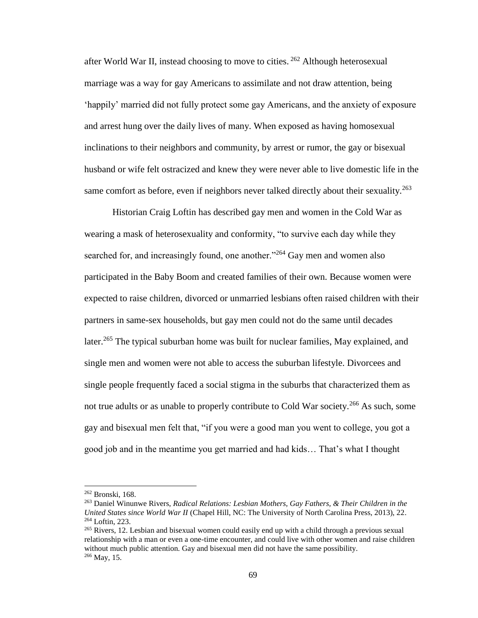after World War II, instead choosing to move to cities. <sup>262</sup> Although heterosexual marriage was a way for gay Americans to assimilate and not draw attention, being 'happily' married did not fully protect some gay Americans, and the anxiety of exposure and arrest hung over the daily lives of many. When exposed as having homosexual inclinations to their neighbors and community, by arrest or rumor, the gay or bisexual husband or wife felt ostracized and knew they were never able to live domestic life in the same comfort as before, even if neighbors never talked directly about their sexuality.<sup>263</sup>

Historian Craig Loftin has described gay men and women in the Cold War as wearing a mask of heterosexuality and conformity, "to survive each day while they searched for, and increasingly found, one another."<sup>264</sup> Gay men and women also participated in the Baby Boom and created families of their own. Because women were expected to raise children, divorced or unmarried lesbians often raised children with their partners in same-sex households, but gay men could not do the same until decades later.<sup>265</sup> The typical suburban home was built for nuclear families, May explained, and single men and women were not able to access the suburban lifestyle. Divorcees and single people frequently faced a social stigma in the suburbs that characterized them as not true adults or as unable to properly contribute to Cold War society.<sup>266</sup> As such, some gay and bisexual men felt that, "if you were a good man you went to college, you got a good job and in the meantime you get married and had kids… That's what I thought

<sup>262</sup> Bronski, 168.

<sup>263</sup> Daniel Winunwe Rivers, *Radical Relations: Lesbian Mothers, Gay Fathers, & Their Children in the United States since World War II* (Chapel Hill, NC: The University of North Carolina Press, 2013), 22. <sup>264</sup> Loftin, 223.

<sup>&</sup>lt;sup>265</sup> Rivers, 12. Lesbian and bisexual women could easily end up with a child through a previous sexual relationship with a man or even a one-time encounter, and could live with other women and raise children without much public attention. Gay and bisexual men did not have the same possibility.  $266$  May, 15.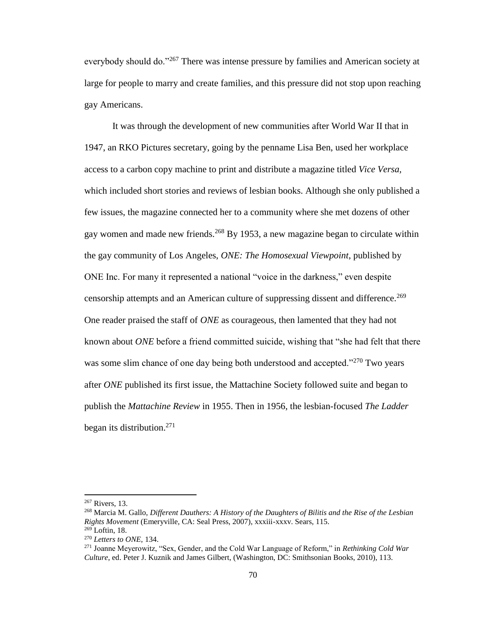everybody should do."<sup>267</sup> There was intense pressure by families and American society at large for people to marry and create families, and this pressure did not stop upon reaching gay Americans.

It was through the development of new communities after World War II that in 1947, an RKO Pictures secretary, going by the penname Lisa Ben, used her workplace access to a carbon copy machine to print and distribute a magazine titled *Vice Versa,*  which included short stories and reviews of lesbian books. Although she only published a few issues, the magazine connected her to a community where she met dozens of other gay women and made new friends.<sup>268</sup> By 1953, a new magazine began to circulate within the gay community of Los Angeles, *ONE: The Homosexual Viewpoint*, published by ONE Inc. For many it represented a national "voice in the darkness," even despite censorship attempts and an American culture of suppressing dissent and difference.<sup>269</sup> One reader praised the staff of *ONE* as courageous, then lamented that they had not known about *ONE* before a friend committed suicide, wishing that "she had felt that there was some slim chance of one day being both understood and accepted."<sup>270</sup> Two years after *ONE* published its first issue, the Mattachine Society followed suite and began to publish the *Mattachine Review* in 1955. Then in 1956, the lesbian-focused *The Ladder*  began its distribution.<sup>271</sup>

<sup>267</sup> Rivers, 13.

<sup>268</sup> Marcia M. Gallo, *Different Dauthers: A History of the Daughters of Bilitis and the Rise of the Lesbian Rights Movement* (Emeryville, CA: Seal Press, 2007), xxxiii-xxxv. Sears, 115.  $269$  Loftin, 18.

<sup>270</sup> *Letters to ONE,* 134.

<sup>271</sup> Joanne Meyerowitz, "Sex, Gender, and the Cold War Language of Reform," in *Rethinking Cold War Culture*, ed. Peter J. Kuznik and James Gilbert, (Washington, DC: Smithsonian Books, 2010), 113.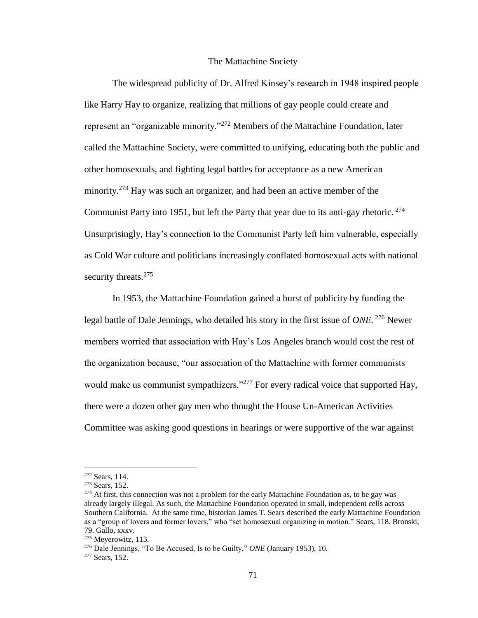#### The Mattachine Society

The widespread publicity of Dr. Alfred Kinsey's research in 1948 inspired people like Harry Hay to organize, realizing that millions of gay people could create and represent an "organizable minority."<sup>272</sup> Members of the Mattachine Foundation, later called the Mattachine Society, were committed to unifying, educating both the public and other homosexuals, and fighting legal battles for acceptance as a new American minority.<sup>273</sup> Hay was such an organizer, and had been an active member of the Communist Party into 1951, but left the Party that year due to its anti-gay rhetoric. <sup>274</sup> Unsurprisingly, Hay's connection to the Communist Party left him vulnerable, especially as Cold War culture and politicians increasingly conflated homosexual acts with national security threats.<sup>275</sup>

In 1953, the Mattachine Foundation gained a burst of publicity by funding the legal battle of Dale Jennings, who detailed his story in the first issue of *ONE.* <sup>276</sup> Newer members worried that association with Hay's Los Angeles branch would cost the rest of the organization because, "our association of the Mattachine with former communists would make us communist sympathizers."<sup>277</sup> For every radical voice that supported Hay, there were a dozen other gay men who thought the House Un-American Activities Committee was asking good questions in hearings or were supportive of the war against

<sup>272</sup> Sears, 114.

<sup>273</sup> Sears, 152.

<sup>&</sup>lt;sup>274</sup> At first, this connection was not a problem for the early Mattachine Foundation as, to be gay was already largely illegal. As such, the Mattachine Foundation operated in small, independent cells across Southern California. At the same time, historian James T. Sears described the early Mattachine Foundation as a "group of lovers and former lovers," who "set homosexual organizing in motion." Sears, 118. Bronski, 79. Gallo, xxxv.

<sup>275</sup> Meyerowitz, 113.

<sup>276</sup> Dale Jennings, "To Be Accused, Is to be Guilty," *ONE* (January 1953), 10.

<sup>277</sup> Sears, 152.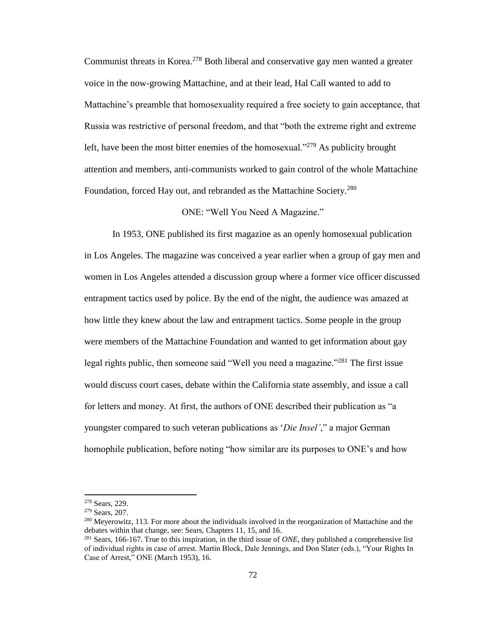Communist threats in Korea.<sup>278</sup> Both liberal and conservative gay men wanted a greater voice in the now-growing Mattachine, and at their lead, Hal Call wanted to add to Mattachine's preamble that homosexuality required a free society to gain acceptance, that Russia was restrictive of personal freedom, and that "both the extreme right and extreme left, have been the most bitter enemies of the homosexual."<sup>279</sup> As publicity brought attention and members, anti-communists worked to gain control of the whole Mattachine Foundation, forced Hay out, and rebranded as the Mattachine Society.<sup>280</sup>

## ONE: "Well You Need A Magazine."

In 1953, ONE published its first magazine as an openly homosexual publication in Los Angeles. The magazine was conceived a year earlier when a group of gay men and women in Los Angeles attended a discussion group where a former vice officer discussed entrapment tactics used by police. By the end of the night, the audience was amazed at how little they knew about the law and entrapment tactics. Some people in the group were members of the Mattachine Foundation and wanted to get information about gay legal rights public, then someone said "Well you need a magazine."<sup>281</sup> The first issue would discuss court cases, debate within the California state assembly, and issue a call for letters and money. At first, the authors of ONE described their publication as "a youngster compared to such veteran publications as '*Die Insel'*," a major German homophile publication, before noting "how similar are its purposes to ONE's and how

<sup>278</sup> Sears, 229.

<sup>279</sup> Sears, 207.

<sup>&</sup>lt;sup>280</sup> Meyerowitz, 113. For more about the individuals involved in the reorganization of Mattachine and the debates within that change, see: Sears, Chapters 11, 15, and 16.

<sup>281</sup> Sears, 166-167. True to this inspiration, in the third issue of *ONE*, they published a comprehensive list of individual rights in case of arrest. Martin Block, Dale Jennings, and Don Slater (eds.), "Your Rights In Case of Arrest," ONE (March 1953), 16.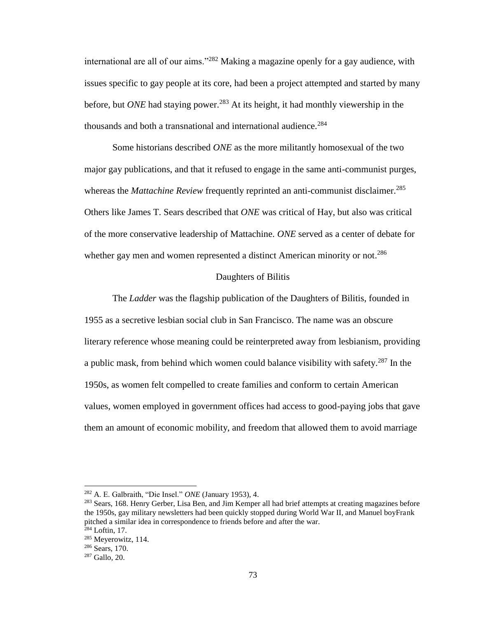international are all of our aims."<sup>282</sup> Making a magazine openly for a gay audience, with issues specific to gay people at its core, had been a project attempted and started by many before, but *ONE* had staying power.<sup>283</sup> At its height, it had monthly viewership in the thousands and both a transnational and international audience.<sup>284</sup>

Some historians described *ONE* as the more militantly homosexual of the two major gay publications, and that it refused to engage in the same anti-communist purges, whereas the *Mattachine Review* frequently reprinted an anti-communist disclaimer.<sup>285</sup> Others like James T. Sears described that *ONE* was critical of Hay, but also was critical of the more conservative leadership of Mattachine. *ONE* served as a center of debate for whether gay men and women represented a distinct American minority or not.<sup>286</sup>

#### Daughters of Bilitis

The *Ladder* was the flagship publication of the Daughters of Bilitis, founded in 1955 as a secretive lesbian social club in San Francisco. The name was an obscure literary reference whose meaning could be reinterpreted away from lesbianism, providing a public mask, from behind which women could balance visibility with safety.<sup>287</sup> In the 1950s, as women felt compelled to create families and conform to certain American values, women employed in government offices had access to good-paying jobs that gave them an amount of economic mobility, and freedom that allowed them to avoid marriage

<sup>282</sup> A. E. Galbraith, "Die Insel." *ONE* (January 1953), 4.

<sup>&</sup>lt;sup>283</sup> Sears, 168. Henry Gerber, Lisa Ben, and Jim Kemper all had brief attempts at creating magazines before the 1950s, gay military newsletters had been quickly stopped during World War II, and Manuel boyFrank pitched a similar idea in correspondence to friends before and after the war.  $284$  Loftin, 17.

<sup>285</sup> Meyerowitz, 114.

<sup>286</sup> Sears, 170.

<sup>287</sup> Gallo, 20.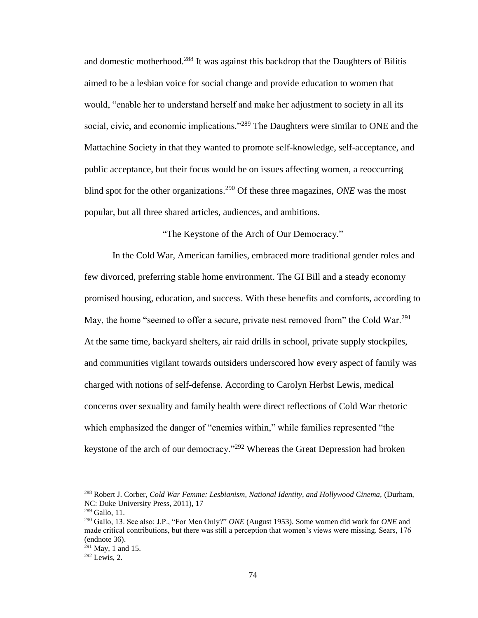and domestic motherhood.<sup>288</sup> It was against this backdrop that the Daughters of Bilitis aimed to be a lesbian voice for social change and provide education to women that would, "enable her to understand herself and make her adjustment to society in all its social, civic, and economic implications."<sup>289</sup> The Daughters were similar to ONE and the Mattachine Society in that they wanted to promote self-knowledge, self-acceptance, and public acceptance, but their focus would be on issues affecting women, a reoccurring blind spot for the other organizations.<sup>290</sup> Of these three magazines, *ONE* was the most popular, but all three shared articles, audiences, and ambitions.

"The Keystone of the Arch of Our Democracy."

In the Cold War, American families, embraced more traditional gender roles and few divorced, preferring stable home environment. The GI Bill and a steady economy promised housing, education, and success. With these benefits and comforts, according to May, the home "seemed to offer a secure, private nest removed from" the Cold War.<sup>291</sup> At the same time, backyard shelters, air raid drills in school, private supply stockpiles, and communities vigilant towards outsiders underscored how every aspect of family was charged with notions of self-defense. According to Carolyn Herbst Lewis, medical concerns over sexuality and family health were direct reflections of Cold War rhetoric which emphasized the danger of "enemies within," while families represented "the keystone of the arch of our democracy."<sup>292</sup> Whereas the Great Depression had broken

<sup>288</sup> Robert J. Corber, *Cold War Femme: Lesbianism, National Identity, and Hollywood Cinema,* (Durham, NC: Duke University Press, 2011), 17

<sup>289</sup> Gallo, 11.

<sup>290</sup> Gallo, 13. See also: J.P., "For Men Only?" *ONE* (August 1953). Some women did work for *ONE* and made critical contributions, but there was still a perception that women's views were missing. Sears, 176 (endnote 36).

 $^{291}$  May, 1 and 15.

 $292$  Lewis, 2.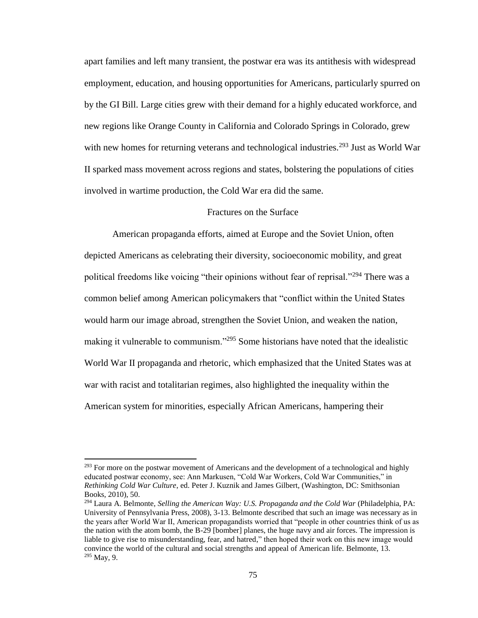apart families and left many transient, the postwar era was its antithesis with widespread employment, education, and housing opportunities for Americans, particularly spurred on by the GI Bill. Large cities grew with their demand for a highly educated workforce, and new regions like Orange County in California and Colorado Springs in Colorado, grew with new homes for returning veterans and technological industries.<sup>293</sup> Just as World War II sparked mass movement across regions and states, bolstering the populations of cities involved in wartime production, the Cold War era did the same.

# Fractures on the Surface

American propaganda efforts, aimed at Europe and the Soviet Union, often depicted Americans as celebrating their diversity, socioeconomic mobility, and great political freedoms like voicing "their opinions without fear of reprisal."<sup>294</sup> There was a common belief among American policymakers that "conflict within the United States would harm our image abroad, strengthen the Soviet Union, and weaken the nation, making it vulnerable to communism."<sup>295</sup> Some historians have noted that the idealistic World War II propaganda and rhetoric, which emphasized that the United States was at war with racist and totalitarian regimes, also highlighted the inequality within the American system for minorities, especially African Americans, hampering their

 $^{293}$  For more on the postwar movement of Americans and the development of a technological and highly educated postwar economy, see: Ann Markusen, "Cold War Workers, Cold War Communities," in *Rethinking Cold War Culture*, ed. Peter J. Kuznik and James Gilbert, (Washington, DC: Smithsonian Books, 2010), 50.

<sup>&</sup>lt;sup>294</sup> Laura A. Belmonte, *Selling the American Way: U.S. Propaganda and the Cold War* (Philadelphia, PA: University of Pennsylvania Press, 2008), 3-13. Belmonte described that such an image was necessary as in the years after World War II, American propagandists worried that "people in other countries think of us as the nation with the atom bomb, the B-29 [bomber] planes, the huge navy and air forces. The impression is liable to give rise to misunderstanding, fear, and hatred," then hoped their work on this new image would convince the world of the cultural and social strengths and appeal of American life. Belmonte, 13. <sup>295</sup> May, 9.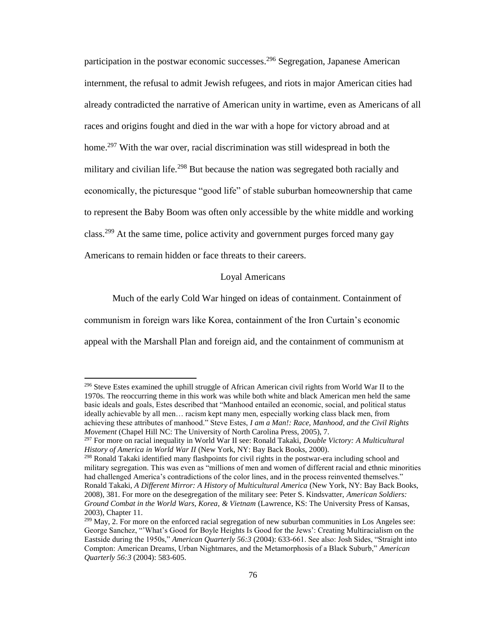participation in the postwar economic successes.<sup>296</sup> Segregation, Japanese American internment, the refusal to admit Jewish refugees, and riots in major American cities had already contradicted the narrative of American unity in wartime, even as Americans of all races and origins fought and died in the war with a hope for victory abroad and at home.<sup>297</sup> With the war over, racial discrimination was still widespread in both the military and civilian life.<sup>298</sup> But because the nation was segregated both racially and economically, the picturesque "good life" of stable suburban homeownership that came to represent the Baby Boom was often only accessible by the white middle and working class.<sup>299</sup> At the same time, police activity and government purges forced many gay Americans to remain hidden or face threats to their careers.

## Loyal Americans

Much of the early Cold War hinged on ideas of containment. Containment of communism in foreign wars like Korea, containment of the Iron Curtain's economic appeal with the Marshall Plan and foreign aid, and the containment of communism at

 $296$  Steve Estes examined the uphill struggle of African American civil rights from World War II to the 1970s. The reoccurring theme in this work was while both white and black American men held the same basic ideals and goals, Estes described that "Manhood entailed an economic, social, and political status ideally achievable by all men… racism kept many men, especially working class black men, from achieving these attributes of manhood." Steve Estes, *I am a Man!: Race, Manhood, and the Civil Rights Movement* (Chapel Hill NC: The University of North Carolina Press, 2005), 7.

<sup>297</sup> For more on racial inequality in World War II see: Ronald Takaki, *Double Victory: A Multicultural History of America in World War II* (New York, NY: Bay Back Books, 2000).

<sup>&</sup>lt;sup>298</sup> Ronald Takaki identified many flashpoints for civil rights in the postwar-era including school and military segregation. This was even as "millions of men and women of different racial and ethnic minorities had challenged America's contradictions of the color lines, and in the process reinvented themselves." Ronald Takaki, *A Different Mirror: A History of Multicultural America* (New York, NY: Bay Back Books, 2008), 381. For more on the desegregation of the military see: Peter S. Kindsvatter, *American Soldiers: Ground Combat in the World Wars, Korea, & Vietnam* (Lawrence, KS: The University Press of Kansas, 2003), Chapter 11.

<sup>&</sup>lt;sup>299</sup> May, 2. For more on the enforced racial segregation of new suburban communities in Los Angeles see: George Sanchez, "'What's Good for Boyle Heights Is Good for the Jews': Creating Multiracialism on the Eastside during the 1950s," *American Quarterly 56:3* (2004): 633-661. See also: Josh Sides, "Straight into Compton: American Dreams, Urban Nightmares, and the Metamorphosis of a Black Suburb," *American Quarterly 56:3* (2004): 583-605.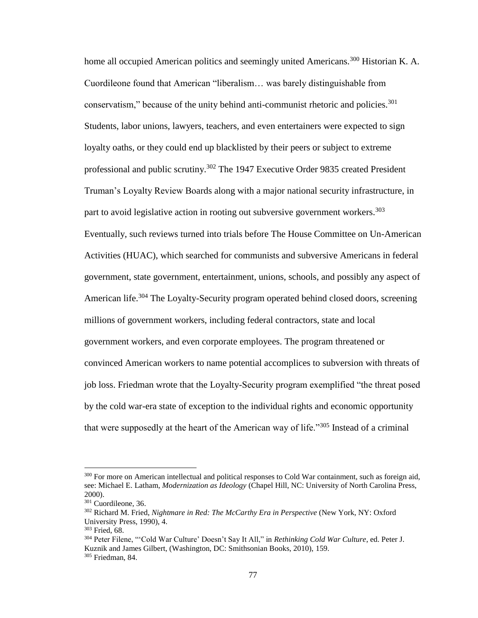home all occupied American politics and seemingly united Americans.<sup>300</sup> Historian K. A. Cuordileone found that American "liberalism… was barely distinguishable from conservatism," because of the unity behind anti-communist rhetoric and policies. $301$ Students, labor unions, lawyers, teachers, and even entertainers were expected to sign loyalty oaths, or they could end up blacklisted by their peers or subject to extreme professional and public scrutiny.<sup>302</sup> The 1947 Executive Order 9835 created President Truman's Loyalty Review Boards along with a major national security infrastructure, in part to avoid legislative action in rooting out subversive government workers.<sup>303</sup> Eventually, such reviews turned into trials before The House Committee on Un-American Activities (HUAC), which searched for communists and subversive Americans in federal government, state government, entertainment, unions, schools, and possibly any aspect of American life.<sup>304</sup> The Loyalty-Security program operated behind closed doors, screening millions of government workers, including federal contractors, state and local government workers, and even corporate employees. The program threatened or convinced American workers to name potential accomplices to subversion with threats of job loss. Friedman wrote that the Loyalty-Security program exemplified "the threat posed by the cold war-era state of exception to the individual rights and economic opportunity that were supposedly at the heart of the American way of life.<sup>3305</sup> Instead of a criminal

<sup>&</sup>lt;sup>300</sup> For more on American intellectual and political responses to Cold War containment, such as foreign aid, see: Michael E. Latham, *Modernization as Ideology* (Chapel Hill, NC: University of North Carolina Press, 2000).

<sup>&</sup>lt;sup>301</sup> Cuordileone, 36.

<sup>302</sup> Richard M. Fried, *Nightmare in Red: The McCarthy Era in Perspective* (New York, NY: Oxford University Press, 1990), 4.

<sup>303</sup> Fried, 68.

<sup>304</sup> Peter Filene, "'Cold War Culture' Doesn't Say It All," in *Rethinking Cold War Culture*, ed. Peter J. Kuznik and James Gilbert, (Washington, DC: Smithsonian Books, 2010), 159. <sup>305</sup> Friedman, 84.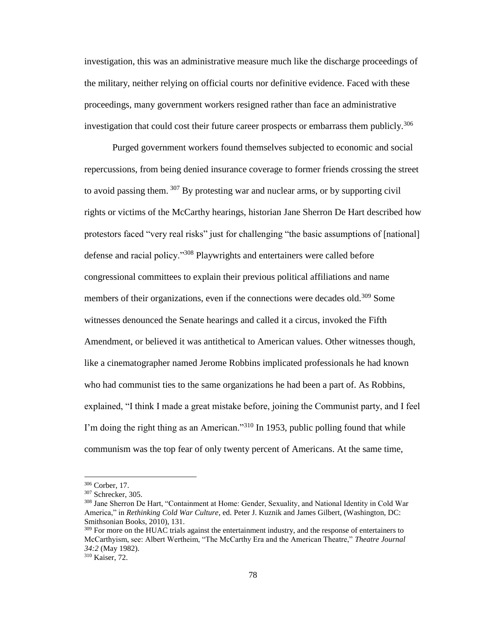investigation, this was an administrative measure much like the discharge proceedings of the military, neither relying on official courts nor definitive evidence. Faced with these proceedings, many government workers resigned rather than face an administrative investigation that could cost their future career prospects or embarrass them publicly.<sup>306</sup>

Purged government workers found themselves subjected to economic and social repercussions, from being denied insurance coverage to former friends crossing the street to avoid passing them.  $307$  By protesting war and nuclear arms, or by supporting civil rights or victims of the McCarthy hearings, historian Jane Sherron De Hart described how protestors faced "very real risks" just for challenging "the basic assumptions of [national] defense and racial policy."<sup>308</sup> Playwrights and entertainers were called before congressional committees to explain their previous political affiliations and name members of their organizations, even if the connections were decades old.<sup>309</sup> Some witnesses denounced the Senate hearings and called it a circus, invoked the Fifth Amendment, or believed it was antithetical to American values. Other witnesses though, like a cinematographer named Jerome Robbins implicated professionals he had known who had communist ties to the same organizations he had been a part of. As Robbins, explained, "I think I made a great mistake before, joining the Communist party, and I feel I'm doing the right thing as an American."<sup>310</sup> In 1953, public polling found that while communism was the top fear of only twenty percent of Americans. At the same time,

<sup>306</sup> Corber, 17.

<sup>307</sup> Schrecker, 305.

<sup>&</sup>lt;sup>308</sup> Jane Sherron De Hart, "Containment at Home: Gender, Sexuality, and National Identity in Cold War America," in *Rethinking Cold War Culture*, ed. Peter J. Kuznik and James Gilbert, (Washington, DC: Smithsonian Books, 2010), 131.

<sup>&</sup>lt;sup>309</sup> For more on the HUAC trials against the entertainment industry, and the response of entertainers to McCarthyism, see: Albert Wertheim, "The McCarthy Era and the American Theatre," *Theatre Journal 34:2* (May 1982).

<sup>310</sup> Kaiser, 72.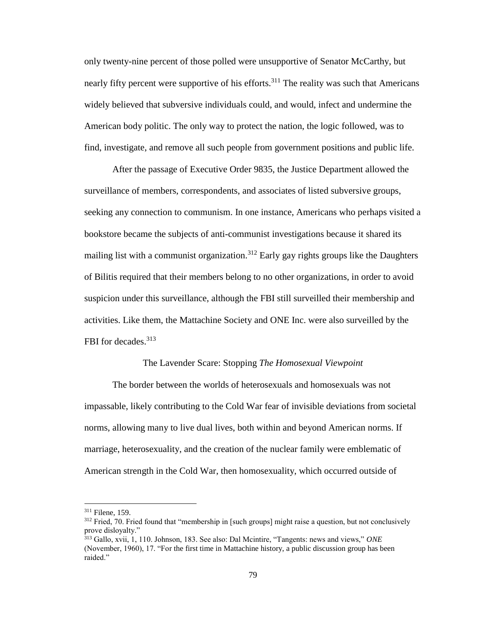only twenty-nine percent of those polled were unsupportive of Senator McCarthy, but nearly fifty percent were supportive of his efforts.<sup>311</sup> The reality was such that Americans widely believed that subversive individuals could, and would, infect and undermine the American body politic. The only way to protect the nation, the logic followed, was to find, investigate, and remove all such people from government positions and public life.

After the passage of Executive Order 9835, the Justice Department allowed the surveillance of members, correspondents, and associates of listed subversive groups, seeking any connection to communism. In one instance, Americans who perhaps visited a bookstore became the subjects of anti-communist investigations because it shared its mailing list with a communist organization.<sup>312</sup> Early gay rights groups like the Daughters of Bilitis required that their members belong to no other organizations, in order to avoid suspicion under this surveillance, although the FBI still surveilled their membership and activities. Like them, the Mattachine Society and ONE Inc. were also surveilled by the FBI for decades.<sup>313</sup>

#### The Lavender Scare: Stopping *The Homosexual Viewpoint*

The border between the worlds of heterosexuals and homosexuals was not impassable, likely contributing to the Cold War fear of invisible deviations from societal norms, allowing many to live dual lives, both within and beyond American norms. If marriage, heterosexuality, and the creation of the nuclear family were emblematic of American strength in the Cold War, then homosexuality, which occurred outside of

l

<sup>311</sup> Filene, 159.

<sup>&</sup>lt;sup>312</sup> Fried, 70. Fried found that "membership in [such groups] might raise a question, but not conclusively prove disloyalty."

<sup>313</sup> Gallo, xvii, 1, 110. Johnson, 183. See also: Dal Mcintire, "Tangents: news and views," *ONE* (November, 1960), 17. "For the first time in Mattachine history, a public discussion group has been raided."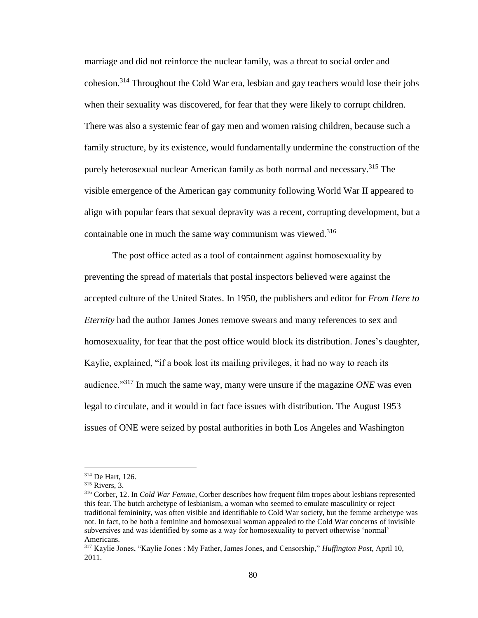marriage and did not reinforce the nuclear family, was a threat to social order and cohesion.<sup>314</sup> Throughout the Cold War era, lesbian and gay teachers would lose their jobs when their sexuality was discovered, for fear that they were likely to corrupt children. There was also a systemic fear of gay men and women raising children, because such a family structure, by its existence, would fundamentally undermine the construction of the purely heterosexual nuclear American family as both normal and necessary.<sup>315</sup> The visible emergence of the American gay community following World War II appeared to align with popular fears that sexual depravity was a recent, corrupting development, but a containable one in much the same way communism was viewed.<sup>316</sup>

The post office acted as a tool of containment against homosexuality by preventing the spread of materials that postal inspectors believed were against the accepted culture of the United States. In 1950, the publishers and editor for *From Here to Eternity* had the author James Jones remove swears and many references to sex and homosexuality, for fear that the post office would block its distribution. Jones's daughter, Kaylie, explained, "if a book lost its mailing privileges, it had no way to reach its audience."<sup>317</sup> In much the same way, many were unsure if the magazine *ONE* was even legal to circulate, and it would in fact face issues with distribution. The August 1953 issues of ONE were seized by postal authorities in both Los Angeles and Washington

<sup>314</sup> De Hart, 126.

<sup>315</sup> Rivers, 3.

<sup>316</sup> Corber, 12. In *Cold War Femme*, Corber describes how frequent film tropes about lesbians represented this fear. The butch archetype of lesbianism, a woman who seemed to emulate masculinity or reject traditional femininity, was often visible and identifiable to Cold War society, but the femme archetype was not. In fact, to be both a feminine and homosexual woman appealed to the Cold War concerns of invisible subversives and was identified by some as a way for homosexuality to pervert otherwise 'normal' Americans.

<sup>317</sup> Kaylie Jones, "Kaylie Jones : My Father, James Jones, and Censorship," *Huffington Post*, April 10, 2011.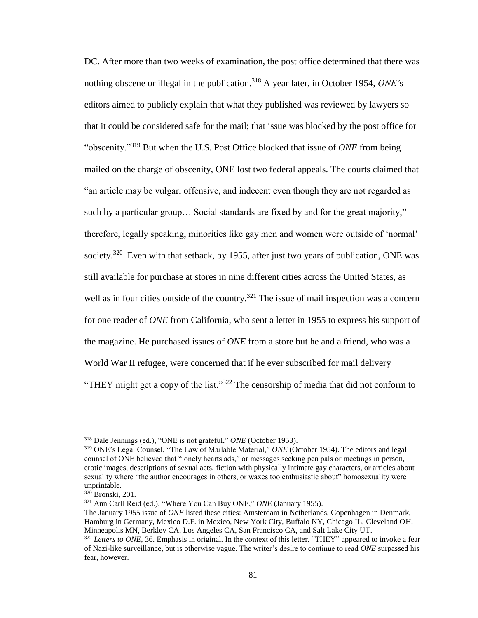DC. After more than two weeks of examination, the post office determined that there was nothing obscene or illegal in the publication.<sup>318</sup> A year later, in October 1954, *ONE*'s editors aimed to publicly explain that what they published was reviewed by lawyers so that it could be considered safe for the mail; that issue was blocked by the post office for "obscenity."<sup>319</sup> But when the U.S. Post Office blocked that issue of *ONE* from being mailed on the charge of obscenity, ONE lost two federal appeals. The courts claimed that "an article may be vulgar, offensive, and indecent even though they are not regarded as such by a particular group… Social standards are fixed by and for the great majority," therefore, legally speaking, minorities like gay men and women were outside of 'normal' society.<sup>320</sup> Even with that setback, by 1955, after just two years of publication, ONE was still available for purchase at stores in nine different cities across the United States, as well as in four cities outside of the country.<sup>321</sup> The issue of mail inspection was a concern for one reader of *ONE* from California, who sent a letter in 1955 to express his support of the magazine. He purchased issues of *ONE* from a store but he and a friend, who was a World War II refugee, were concerned that if he ever subscribed for mail delivery "THEY might get a copy of the list."<sup>322</sup> The censorship of media that did not conform to

<sup>318</sup> Dale Jennings (ed.), "ONE is not grateful," *ONE* (October 1953).

<sup>319</sup> ONE's Legal Counsel, "The Law of Mailable Material," *ONE* (October 1954). The editors and legal counsel of ONE believed that "lonely hearts ads," or messages seeking pen pals or meetings in person, erotic images, descriptions of sexual acts, fiction with physically intimate gay characters, or articles about sexuality where "the author encourages in others, or waxes too enthusiastic about" homosexuality were unprintable.

 $320$  Bronski, 201.

<sup>321</sup> Ann Carll Reid (ed.), "Where You Can Buy ONE," *ONE* (January 1955).

The January 1955 issue of *ONE* listed these cities: Amsterdam in Netherlands, Copenhagen in Denmark, Hamburg in Germany, Mexico D.F. in Mexico, New York City, Buffalo NY, Chicago IL, Cleveland OH, Minneapolis MN, Berkley CA, Los Angeles CA, San Francisco CA, and Salt Lake City UT.

<sup>322</sup> *Letters to ONE,* 36. Emphasis in original. In the context of this letter, "THEY" appeared to invoke a fear of Nazi-like surveillance, but is otherwise vague. The writer's desire to continue to read *ONE* surpassed his fear, however.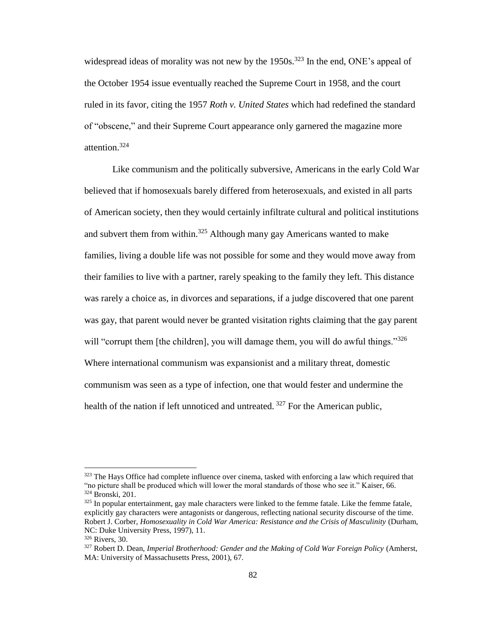widespread ideas of morality was not new by the 1950s.<sup>323</sup> In the end, ONE's appeal of the October 1954 issue eventually reached the Supreme Court in 1958, and the court ruled in its favor, citing the 1957 *Roth v. United States* which had redefined the standard of "obscene," and their Supreme Court appearance only garnered the magazine more attention.<sup>324</sup>

Like communism and the politically subversive, Americans in the early Cold War believed that if homosexuals barely differed from heterosexuals, and existed in all parts of American society, then they would certainly infiltrate cultural and political institutions and subvert them from within.<sup>325</sup> Although many gay Americans wanted to make families, living a double life was not possible for some and they would move away from their families to live with a partner, rarely speaking to the family they left. This distance was rarely a choice as, in divorces and separations, if a judge discovered that one parent was gay, that parent would never be granted visitation rights claiming that the gay parent will "corrupt them [the children], you will damage them, you will do awful things."<sup>326</sup> Where international communism was expansionist and a military threat, domestic communism was seen as a type of infection, one that would fester and undermine the health of the nation if left unnoticed and untreated. <sup>327</sup> For the American public,

<sup>&</sup>lt;sup>323</sup> The Hays Office had complete influence over cinema, tasked with enforcing a law which required that "no picture shall be produced which will lower the moral standards of those who see it." Kaiser, 66. <sup>324</sup> Bronski, 201.

 $325$  In popular entertainment, gay male characters were linked to the femme fatale. Like the femme fatale, explicitly gay characters were antagonists or dangerous, reflecting national security discourse of the time. Robert J. Corber, *Homosexuality in Cold War America: Resistance and the Crisis of Masculinity* (Durham, NC: Duke University Press, 1997), 11.

<sup>326</sup> Rivers, 30.

<sup>327</sup> Robert D. Dean, *Imperial Brotherhood: Gender and the Making of Cold War Foreign Policy* (Amherst, MA: University of Massachusetts Press, 2001), 67.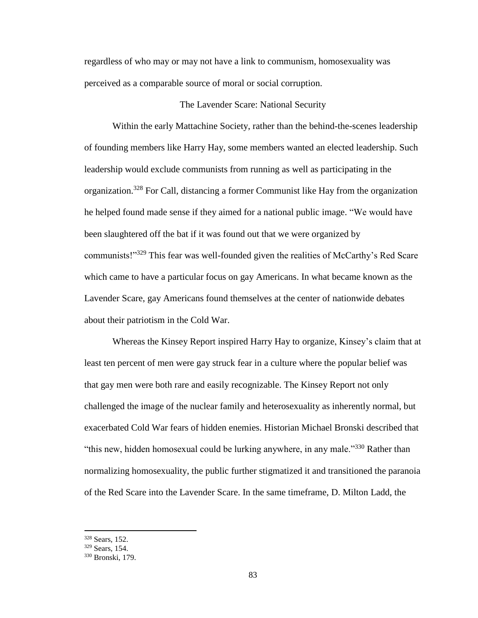regardless of who may or may not have a link to communism, homosexuality was perceived as a comparable source of moral or social corruption.

## The Lavender Scare: National Security

Within the early Mattachine Society, rather than the behind-the-scenes leadership of founding members like Harry Hay, some members wanted an elected leadership. Such leadership would exclude communists from running as well as participating in the organization.<sup>328</sup> For Call, distancing a former Communist like Hay from the organization he helped found made sense if they aimed for a national public image. "We would have been slaughtered off the bat if it was found out that we were organized by communists!"<sup>329</sup> This fear was well-founded given the realities of McCarthy's Red Scare which came to have a particular focus on gay Americans. In what became known as the Lavender Scare, gay Americans found themselves at the center of nationwide debates about their patriotism in the Cold War.

Whereas the Kinsey Report inspired Harry Hay to organize, Kinsey's claim that at least ten percent of men were gay struck fear in a culture where the popular belief was that gay men were both rare and easily recognizable. The Kinsey Report not only challenged the image of the nuclear family and heterosexuality as inherently normal, but exacerbated Cold War fears of hidden enemies. Historian Michael Bronski described that "this new, hidden homosexual could be lurking anywhere, in any male."<sup>330</sup> Rather than normalizing homosexuality, the public further stigmatized it and transitioned the paranoia of the Red Scare into the Lavender Scare. In the same timeframe, D. Milton Ladd, the

<sup>328</sup> Sears, 152.

<sup>329</sup> Sears, 154.

<sup>330</sup> Bronski, 179.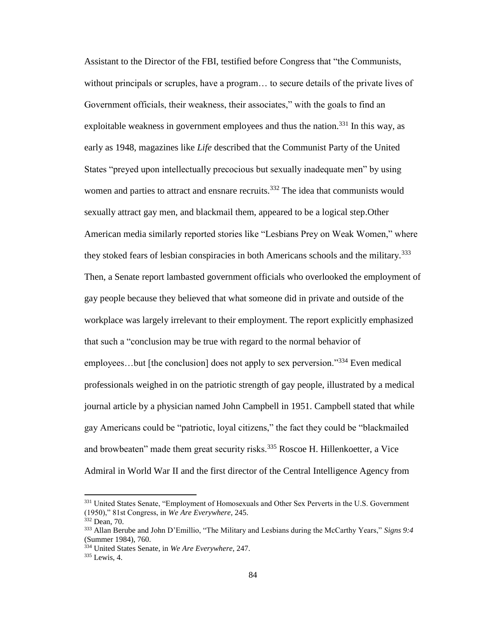Assistant to the Director of the FBI, testified before Congress that "the Communists, without principals or scruples, have a program… to secure details of the private lives of Government officials, their weakness, their associates," with the goals to find an exploitable weakness in government employees and thus the nation.<sup>331</sup> In this way, as early as 1948, magazines like *Life* described that the Communist Party of the United States "preyed upon intellectually precocious but sexually inadequate men" by using women and parties to attract and ensnare recruits.<sup>332</sup> The idea that communists would sexually attract gay men, and blackmail them, appeared to be a logical step.Other American media similarly reported stories like "Lesbians Prey on Weak Women," where they stoked fears of lesbian conspiracies in both Americans schools and the military.<sup>333</sup> Then, a Senate report lambasted government officials who overlooked the employment of gay people because they believed that what someone did in private and outside of the workplace was largely irrelevant to their employment. The report explicitly emphasized that such a "conclusion may be true with regard to the normal behavior of employees...but [the conclusion] does not apply to sex perversion."<sup>334</sup> Even medical professionals weighed in on the patriotic strength of gay people, illustrated by a medical journal article by a physician named John Campbell in 1951. Campbell stated that while gay Americans could be "patriotic, loyal citizens," the fact they could be "blackmailed and browbeaten" made them great security risks.<sup>335</sup> Roscoe H. Hillenkoetter, a Vice Admiral in World War II and the first director of the Central Intelligence Agency from

<sup>&</sup>lt;sup>331</sup> United States Senate, "Employment of Homosexuals and Other Sex Perverts in the U.S. Government (1950)," 81st Congress, in *We Are Everywhere*, 245.

<sup>332</sup> Dean, 70.

<sup>333</sup> Allan Berube and John D'Emillio, "The Military and Lesbians during the McCarthy Years," *Signs 9:4* (Summer 1984), 760.

<sup>334</sup> United States Senate, in *We Are Everywhere*, 247.

<sup>335</sup> Lewis, 4.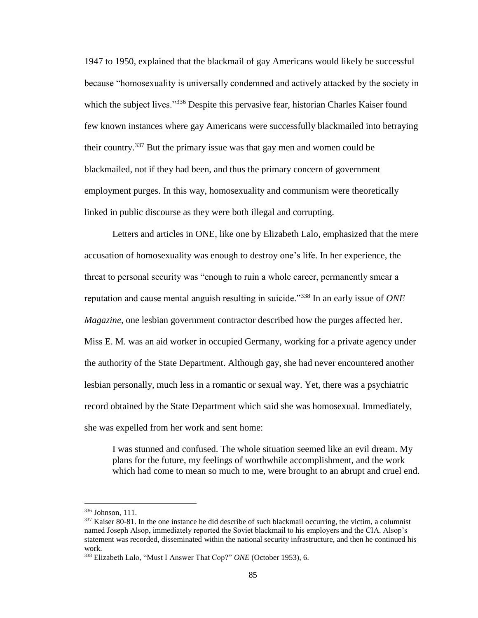1947 to 1950, explained that the blackmail of gay Americans would likely be successful because "homosexuality is universally condemned and actively attacked by the society in which the subject lives."<sup>336</sup> Despite this pervasive fear, historian Charles Kaiser found few known instances where gay Americans were successfully blackmailed into betraying their country.<sup>337</sup> But the primary issue was that gay men and women could be blackmailed, not if they had been, and thus the primary concern of government employment purges. In this way, homosexuality and communism were theoretically linked in public discourse as they were both illegal and corrupting.

Letters and articles in ONE, like one by Elizabeth Lalo, emphasized that the mere accusation of homosexuality was enough to destroy one's life. In her experience, the threat to personal security was "enough to ruin a whole career, permanently smear a reputation and cause mental anguish resulting in suicide."<sup>338</sup> In an early issue of *ONE Magazine*, one lesbian government contractor described how the purges affected her. Miss E. M. was an aid worker in occupied Germany, working for a private agency under the authority of the State Department. Although gay, she had never encountered another lesbian personally, much less in a romantic or sexual way. Yet, there was a psychiatric record obtained by the State Department which said she was homosexual. Immediately, she was expelled from her work and sent home:

I was stunned and confused. The whole situation seemed like an evil dream. My plans for the future, my feelings of worthwhile accomplishment, and the work which had come to mean so much to me, were brought to an abrupt and cruel end.

l

<sup>336</sup> Johnson, 111.

<sup>&</sup>lt;sup>337</sup> Kaiser 80-81. In the one instance he did describe of such blackmail occurring, the victim, a columnist named Joseph Alsop, immediately reported the Soviet blackmail to his employers and the CIA. Alsop's statement was recorded, disseminated within the national security infrastructure, and then he continued his work.

<sup>338</sup> Elizabeth Lalo, "Must I Answer That Cop?" *ONE* (October 1953), 6.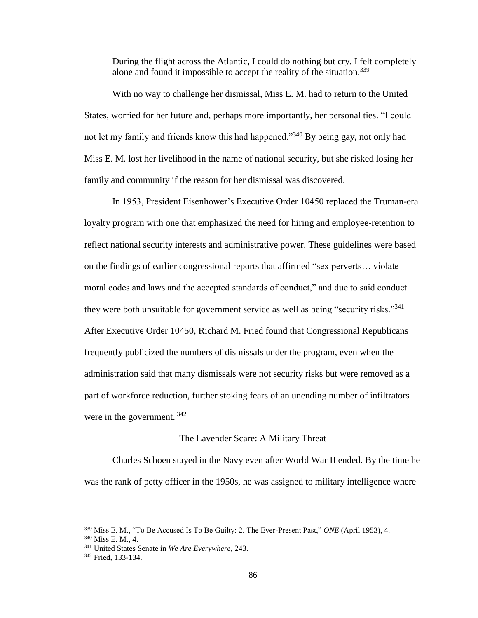During the flight across the Atlantic, I could do nothing but cry. I felt completely alone and found it impossible to accept the reality of the situation.<sup>339</sup>

With no way to challenge her dismissal, Miss E. M. had to return to the United States, worried for her future and, perhaps more importantly, her personal ties. "I could not let my family and friends know this had happened."<sup>340</sup> By being gay, not only had Miss E. M. lost her livelihood in the name of national security, but she risked losing her family and community if the reason for her dismissal was discovered.

In 1953, President Eisenhower's Executive Order 10450 replaced the Truman-era loyalty program with one that emphasized the need for hiring and employee-retention to reflect national security interests and administrative power. These guidelines were based on the findings of earlier congressional reports that affirmed "sex perverts… violate moral codes and laws and the accepted standards of conduct," and due to said conduct they were both unsuitable for government service as well as being "security risks."<sup>341</sup> After Executive Order 10450, Richard M. Fried found that Congressional Republicans frequently publicized the numbers of dismissals under the program, even when the administration said that many dismissals were not security risks but were removed as a part of workforce reduction, further stoking fears of an unending number of infiltrators were in the government.  $342$ 

## The Lavender Scare: A Military Threat

Charles Schoen stayed in the Navy even after World War II ended. By the time he was the rank of petty officer in the 1950s, he was assigned to military intelligence where

<sup>340</sup> Miss E. M., 4.

<sup>339</sup> Miss E. M., "To Be Accused Is To Be Guilty: 2. The Ever-Present Past," *ONE* (April 1953), 4.

<sup>341</sup> United States Senate in *We Are Everywhere*, 243.

<sup>&</sup>lt;sup>342</sup> Fried, 133-134.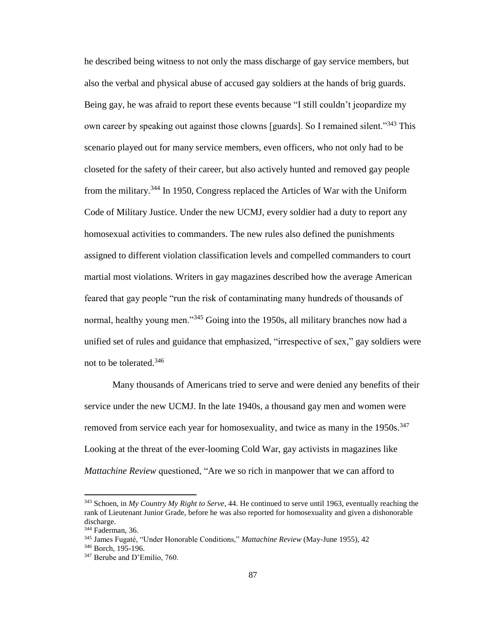he described being witness to not only the mass discharge of gay service members, but also the verbal and physical abuse of accused gay soldiers at the hands of brig guards. Being gay, he was afraid to report these events because "I still couldn't jeopardize my own career by speaking out against those clowns [guards]. So I remained silent."<sup>343</sup> This scenario played out for many service members, even officers, who not only had to be closeted for the safety of their career, but also actively hunted and removed gay people from the military.<sup>344</sup> In 1950, Congress replaced the Articles of War with the Uniform Code of Military Justice. Under the new UCMJ, every soldier had a duty to report any homosexual activities to commanders. The new rules also defined the punishments assigned to different violation classification levels and compelled commanders to court martial most violations. Writers in gay magazines described how the average American feared that gay people "run the risk of contaminating many hundreds of thousands of normal, healthy young men."<sup>345</sup> Going into the 1950s, all military branches now had a unified set of rules and guidance that emphasized, "irrespective of sex," gay soldiers were not to be tolerated.<sup>346</sup>

Many thousands of Americans tried to serve and were denied any benefits of their service under the new UCMJ. In the late 1940s, a thousand gay men and women were removed from service each year for homosexuality, and twice as many in the 1950s.<sup>347</sup> Looking at the threat of the ever-looming Cold War, gay activists in magazines like *Mattachine Review* questioned, "Are we so rich in manpower that we can afford to

<sup>343</sup> Schoen, in *My Country My Right to Serve*, 44. He continued to serve until 1963, eventually reaching the rank of Lieutenant Junior Grade, before he was also reported for homosexuality and given a dishonorable discharge.

<sup>344</sup> Faderman, 36.

<sup>345</sup> James Fugaté, "Under Honorable Conditions," *Mattachine Review* (May-June 1955), 42

<sup>346</sup> Borch, 195-196.

<sup>347</sup> Berube and D'Emilio, 760.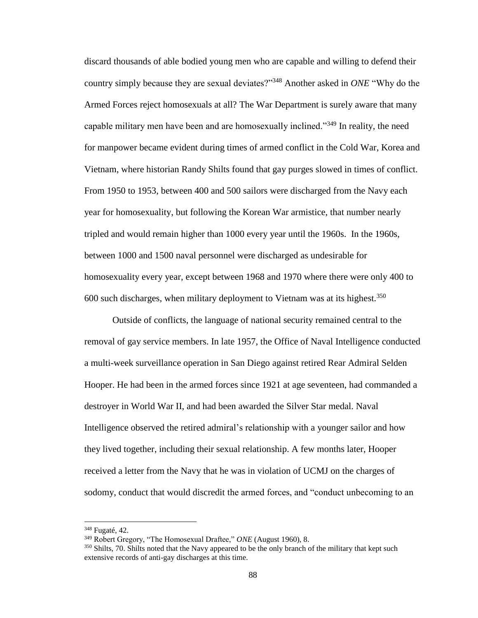discard thousands of able bodied young men who are capable and willing to defend their country simply because they are sexual deviates?"<sup>348</sup> Another asked in *ONE* "Why do the Armed Forces reject homosexuals at all? The War Department is surely aware that many capable military men have been and are homosexually inclined."<sup>349</sup> In reality, the need for manpower became evident during times of armed conflict in the Cold War, Korea and Vietnam, where historian Randy Shilts found that gay purges slowed in times of conflict. From 1950 to 1953, between 400 and 500 sailors were discharged from the Navy each year for homosexuality, but following the Korean War armistice, that number nearly tripled and would remain higher than 1000 every year until the 1960s. In the 1960s, between 1000 and 1500 naval personnel were discharged as undesirable for homosexuality every year, except between 1968 and 1970 where there were only 400 to 600 such discharges, when military deployment to Vietnam was at its highest.<sup>350</sup>

Outside of conflicts, the language of national security remained central to the removal of gay service members. In late 1957, the Office of Naval Intelligence conducted a multi-week surveillance operation in San Diego against retired Rear Admiral Selden Hooper. He had been in the armed forces since 1921 at age seventeen, had commanded a destroyer in World War II, and had been awarded the Silver Star medal. Naval Intelligence observed the retired admiral's relationship with a younger sailor and how they lived together, including their sexual relationship. A few months later, Hooper received a letter from the Navy that he was in violation of UCMJ on the charges of sodomy, conduct that would discredit the armed forces, and "conduct unbecoming to an

<sup>348</sup> Fugaté, 42.

<sup>349</sup> Robert Gregory, "The Homosexual Draftee," *ONE* (August 1960), 8.

<sup>&</sup>lt;sup>350</sup> Shilts, 70. Shilts noted that the Navy appeared to be the only branch of the military that kept such extensive records of anti-gay discharges at this time.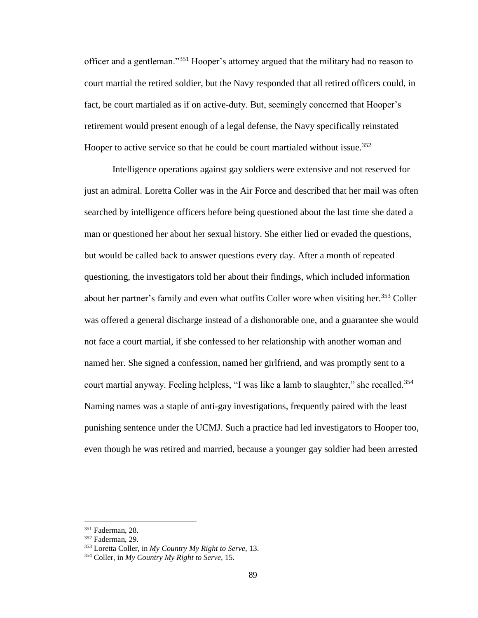officer and a gentleman."<sup>351</sup> Hooper's attorney argued that the military had no reason to court martial the retired soldier, but the Navy responded that all retired officers could, in fact, be court martialed as if on active-duty. But, seemingly concerned that Hooper's retirement would present enough of a legal defense, the Navy specifically reinstated Hooper to active service so that he could be court martialed without issue.<sup>352</sup>

Intelligence operations against gay soldiers were extensive and not reserved for just an admiral. Loretta Coller was in the Air Force and described that her mail was often searched by intelligence officers before being questioned about the last time she dated a man or questioned her about her sexual history. She either lied or evaded the questions, but would be called back to answer questions every day. After a month of repeated questioning, the investigators told her about their findings, which included information about her partner's family and even what outfits Coller wore when visiting her.<sup>353</sup> Coller was offered a general discharge instead of a dishonorable one, and a guarantee she would not face a court martial, if she confessed to her relationship with another woman and named her. She signed a confession, named her girlfriend, and was promptly sent to a court martial anyway. Feeling helpless, "I was like a lamb to slaughter," she recalled.<sup>354</sup> Naming names was a staple of anti-gay investigations, frequently paired with the least punishing sentence under the UCMJ. Such a practice had led investigators to Hooper too, even though he was retired and married, because a younger gay soldier had been arrested

<sup>351</sup> Faderman, 28.

<sup>352</sup> Faderman, 29.

<sup>353</sup> Loretta Coller, in *My Country My Right to Serve,* 13.

<sup>354</sup> Coller, in *My Country My Right to Serve,* 15.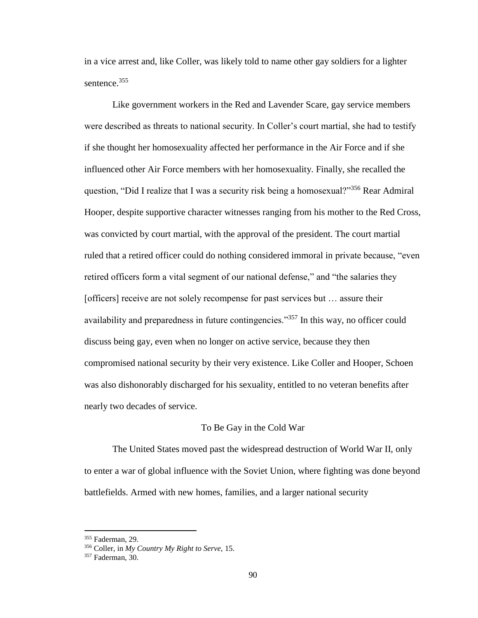in a vice arrest and, like Coller, was likely told to name other gay soldiers for a lighter sentence.<sup>355</sup>

Like government workers in the Red and Lavender Scare, gay service members were described as threats to national security. In Coller's court martial, she had to testify if she thought her homosexuality affected her performance in the Air Force and if she influenced other Air Force members with her homosexuality. Finally, she recalled the question, "Did I realize that I was a security risk being a homosexual?"<sup>356</sup> Rear Admiral Hooper, despite supportive character witnesses ranging from his mother to the Red Cross, was convicted by court martial, with the approval of the president. The court martial ruled that a retired officer could do nothing considered immoral in private because, "even retired officers form a vital segment of our national defense," and "the salaries they [officers] receive are not solely recompense for past services but … assure their availability and preparedness in future contingencies."<sup>357</sup> In this way, no officer could discuss being gay, even when no longer on active service, because they then compromised national security by their very existence. Like Coller and Hooper, Schoen was also dishonorably discharged for his sexuality, entitled to no veteran benefits after nearly two decades of service.

#### To Be Gay in the Cold War

The United States moved past the widespread destruction of World War II, only to enter a war of global influence with the Soviet Union, where fighting was done beyond battlefields. Armed with new homes, families, and a larger national security

<sup>355</sup> Faderman, 29.

<sup>356</sup> Coller, in *My Country My Right to Serve,* 15.

<sup>357</sup> Faderman, 30.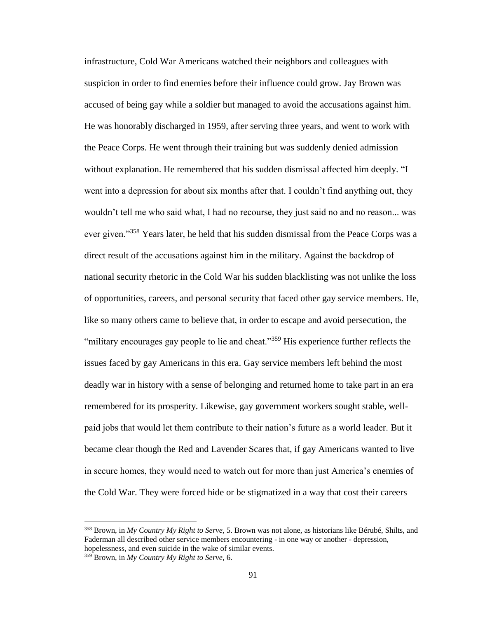infrastructure, Cold War Americans watched their neighbors and colleagues with suspicion in order to find enemies before their influence could grow. Jay Brown was accused of being gay while a soldier but managed to avoid the accusations against him. He was honorably discharged in 1959, after serving three years, and went to work with the Peace Corps. He went through their training but was suddenly denied admission without explanation. He remembered that his sudden dismissal affected him deeply. "I went into a depression for about six months after that. I couldn't find anything out, they wouldn't tell me who said what, I had no recourse, they just said no and no reason... was ever given."<sup>358</sup> Years later, he held that his sudden dismissal from the Peace Corps was a direct result of the accusations against him in the military. Against the backdrop of national security rhetoric in the Cold War his sudden blacklisting was not unlike the loss of opportunities, careers, and personal security that faced other gay service members. He, like so many others came to believe that, in order to escape and avoid persecution, the "military encourages gay people to lie and cheat."<sup>359</sup> His experience further reflects the issues faced by gay Americans in this era. Gay service members left behind the most deadly war in history with a sense of belonging and returned home to take part in an era remembered for its prosperity. Likewise, gay government workers sought stable, wellpaid jobs that would let them contribute to their nation's future as a world leader. But it became clear though the Red and Lavender Scares that, if gay Americans wanted to live in secure homes, they would need to watch out for more than just America's enemies of the Cold War. They were forced hide or be stigmatized in a way that cost their careers

<sup>358</sup> Brown, in *My Country My Right to Serve,* 5. Brown was not alone, as historians like Bérubé, Shilts, and Faderman all described other service members encountering - in one way or another - depression, hopelessness, and even suicide in the wake of similar events.

<sup>359</sup> Brown, in *My Country My Right to Serve,* 6.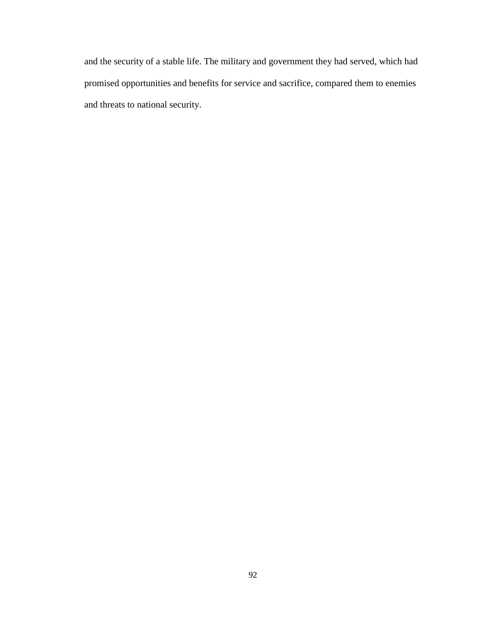and the security of a stable life. The military and government they had served, which had promised opportunities and benefits for service and sacrifice, compared them to enemies and threats to national security.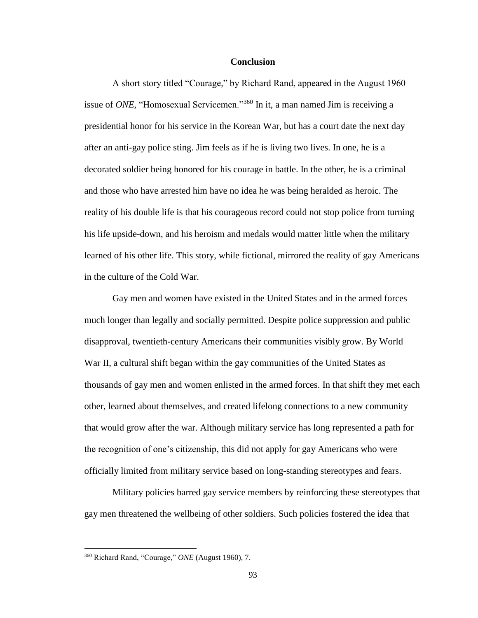#### **Conclusion**

A short story titled "Courage," by Richard Rand, appeared in the August 1960 issue of *ONE,* "Homosexual Servicemen."<sup>360</sup> In it, a man named Jim is receiving a presidential honor for his service in the Korean War, but has a court date the next day after an anti-gay police sting. Jim feels as if he is living two lives. In one, he is a decorated soldier being honored for his courage in battle. In the other, he is a criminal and those who have arrested him have no idea he was being heralded as heroic. The reality of his double life is that his courageous record could not stop police from turning his life upside-down, and his heroism and medals would matter little when the military learned of his other life. This story, while fictional, mirrored the reality of gay Americans in the culture of the Cold War.

Gay men and women have existed in the United States and in the armed forces much longer than legally and socially permitted. Despite police suppression and public disapproval, twentieth-century Americans their communities visibly grow. By World War II, a cultural shift began within the gay communities of the United States as thousands of gay men and women enlisted in the armed forces. In that shift they met each other, learned about themselves, and created lifelong connections to a new community that would grow after the war. Although military service has long represented a path for the recognition of one's citizenship, this did not apply for gay Americans who were officially limited from military service based on long-standing stereotypes and fears.

Military policies barred gay service members by reinforcing these stereotypes that gay men threatened the wellbeing of other soldiers. Such policies fostered the idea that

<sup>360</sup> Richard Rand, "Courage," *ONE* (August 1960), 7.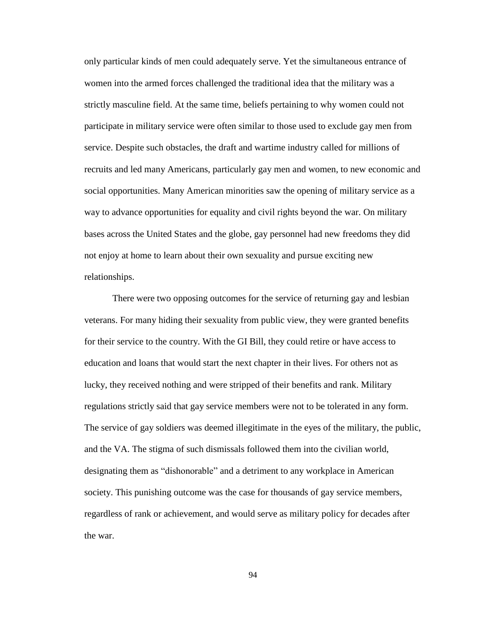only particular kinds of men could adequately serve. Yet the simultaneous entrance of women into the armed forces challenged the traditional idea that the military was a strictly masculine field. At the same time, beliefs pertaining to why women could not participate in military service were often similar to those used to exclude gay men from service. Despite such obstacles, the draft and wartime industry called for millions of recruits and led many Americans, particularly gay men and women, to new economic and social opportunities. Many American minorities saw the opening of military service as a way to advance opportunities for equality and civil rights beyond the war. On military bases across the United States and the globe, gay personnel had new freedoms they did not enjoy at home to learn about their own sexuality and pursue exciting new relationships.

There were two opposing outcomes for the service of returning gay and lesbian veterans. For many hiding their sexuality from public view, they were granted benefits for their service to the country. With the GI Bill, they could retire or have access to education and loans that would start the next chapter in their lives. For others not as lucky, they received nothing and were stripped of their benefits and rank. Military regulations strictly said that gay service members were not to be tolerated in any form. The service of gay soldiers was deemed illegitimate in the eyes of the military, the public, and the VA. The stigma of such dismissals followed them into the civilian world, designating them as "dishonorable" and a detriment to any workplace in American society. This punishing outcome was the case for thousands of gay service members, regardless of rank or achievement, and would serve as military policy for decades after the war.

94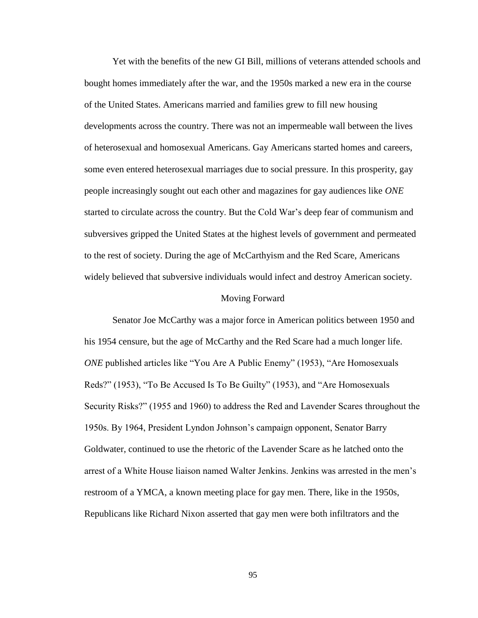Yet with the benefits of the new GI Bill, millions of veterans attended schools and bought homes immediately after the war, and the 1950s marked a new era in the course of the United States. Americans married and families grew to fill new housing developments across the country. There was not an impermeable wall between the lives of heterosexual and homosexual Americans. Gay Americans started homes and careers, some even entered heterosexual marriages due to social pressure. In this prosperity, gay people increasingly sought out each other and magazines for gay audiences like *ONE* started to circulate across the country. But the Cold War's deep fear of communism and subversives gripped the United States at the highest levels of government and permeated to the rest of society. During the age of McCarthyism and the Red Scare, Americans widely believed that subversive individuals would infect and destroy American society.

#### Moving Forward

Senator Joe McCarthy was a major force in American politics between 1950 and his 1954 censure, but the age of McCarthy and the Red Scare had a much longer life. *ONE* published articles like "You Are A Public Enemy" (1953), "Are Homosexuals Reds?" (1953), "To Be Accused Is To Be Guilty" (1953), and "Are Homosexuals Security Risks?" (1955 and 1960) to address the Red and Lavender Scares throughout the 1950s. By 1964, President Lyndon Johnson's campaign opponent, Senator Barry Goldwater, continued to use the rhetoric of the Lavender Scare as he latched onto the arrest of a White House liaison named Walter Jenkins. Jenkins was arrested in the men's restroom of a YMCA, a known meeting place for gay men. There, like in the 1950s, Republicans like Richard Nixon asserted that gay men were both infiltrators and the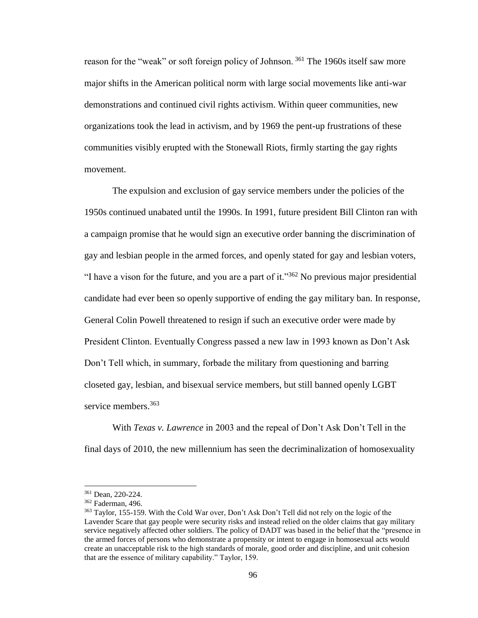reason for the "weak" or soft foreign policy of Johnson. <sup>361</sup> The 1960s itself saw more major shifts in the American political norm with large social movements like anti-war demonstrations and continued civil rights activism. Within queer communities, new organizations took the lead in activism, and by 1969 the pent-up frustrations of these communities visibly erupted with the Stonewall Riots, firmly starting the gay rights movement.

The expulsion and exclusion of gay service members under the policies of the 1950s continued unabated until the 1990s. In 1991, future president Bill Clinton ran with a campaign promise that he would sign an executive order banning the discrimination of gay and lesbian people in the armed forces, and openly stated for gay and lesbian voters, "I have a vison for the future, and you are a part of it."<sup>362</sup> No previous major presidential candidate had ever been so openly supportive of ending the gay military ban. In response, General Colin Powell threatened to resign if such an executive order were made by President Clinton. Eventually Congress passed a new law in 1993 known as Don't Ask Don't Tell which, in summary, forbade the military from questioning and barring closeted gay, lesbian, and bisexual service members, but still banned openly LGBT service members.<sup>363</sup>

With *Texas v. Lawrence* in 2003 and the repeal of Don't Ask Don't Tell in the final days of 2010, the new millennium has seen the decriminalization of homosexuality

<sup>361</sup> Dean, 220-224.

<sup>362</sup> Faderman, 496.

<sup>363</sup> Taylor, 155-159. With the Cold War over, Don't Ask Don't Tell did not rely on the logic of the Lavender Scare that gay people were security risks and instead relied on the older claims that gay military service negatively affected other soldiers. The policy of DADT was based in the belief that the "presence in the armed forces of persons who demonstrate a propensity or intent to engage in homosexual acts would create an unacceptable risk to the high standards of morale, good order and discipline, and unit cohesion that are the essence of military capability." Taylor, 159.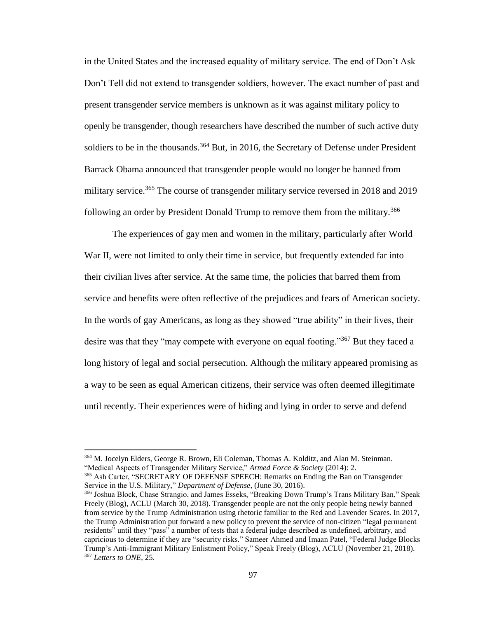in the United States and the increased equality of military service. The end of Don't Ask Don't Tell did not extend to transgender soldiers, however. The exact number of past and present transgender service members is unknown as it was against military policy to openly be transgender, though researchers have described the number of such active duty soldiers to be in the thousands.<sup>364</sup> But, in 2016, the Secretary of Defense under President Barrack Obama announced that transgender people would no longer be banned from military service.<sup>365</sup> The course of transgender military service reversed in 2018 and 2019 following an order by President Donald Trump to remove them from the military.<sup>366</sup>

The experiences of gay men and women in the military, particularly after World War II, were not limited to only their time in service, but frequently extended far into their civilian lives after service. At the same time, the policies that barred them from service and benefits were often reflective of the prejudices and fears of American society. In the words of gay Americans, as long as they showed "true ability" in their lives, their desire was that they "may compete with everyone on equal footing."<sup>367</sup> But they faced a long history of legal and social persecution. Although the military appeared promising as a way to be seen as equal American citizens, their service was often deemed illegitimate until recently. Their experiences were of hiding and lying in order to serve and defend

l

<sup>365</sup> Ash Carter, "SECRETARY OF DEFENSE SPEECH: Remarks on Ending the Ban on Transgender Service in the U.S. Military," *Department of Defense*, (June 30, 2016).

<sup>364</sup> M. Jocelyn Elders, George R. Brown, Eli Coleman, Thomas A. Kolditz, and Alan M. Steinman. "Medical Aspects of Transgender Military Service," *Armed Force & Society* (2014): 2.

<sup>366</sup> Joshua Block, Chase Strangio, and James Esseks, "Breaking Down Trump's Trans Military Ban," Speak Freely (Blog), ACLU (March 30, 2018). Transgender people are not the only people being newly banned from service by the Trump Administration using rhetoric familiar to the Red and Lavender Scares. In 2017, the Trump Administration put forward a new policy to prevent the service of non-citizen "legal permanent residents" until they "pass" a number of tests that a federal judge described as undefined, arbitrary, and capricious to determine if they are "security risks." Sameer Ahmed and Imaan Patel, "Federal Judge Blocks Trump's Anti-Immigrant Military Enlistment Policy," Speak Freely (Blog), ACLU (November 21, 2018). <sup>367</sup> *Letters to ONE*, 25.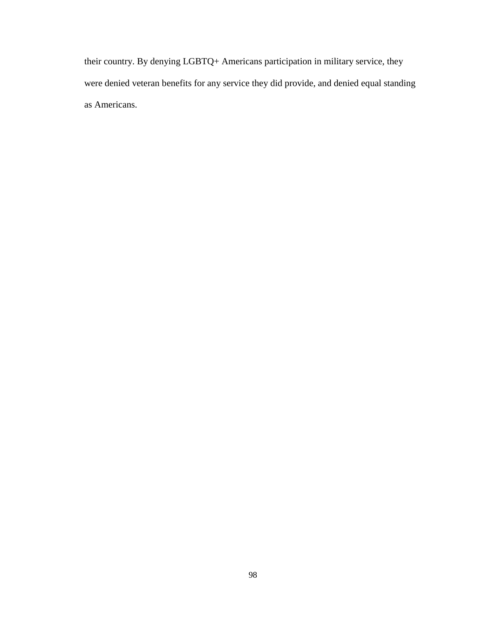their country. By denying LGBTQ+ Americans participation in military service, they were denied veteran benefits for any service they did provide, and denied equal standing as Americans.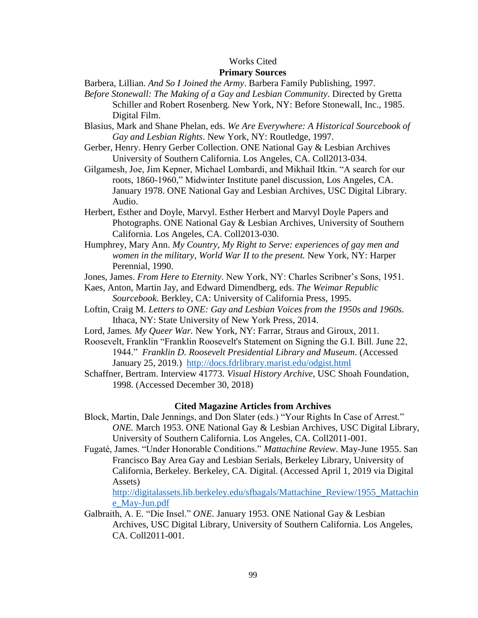## Works Cited

# **Primary Sources**

- Barbera, Lillian. *And So I Joined the Army*. Barbera Family Publishing, 1997.
- *Before Stonewall: The Making of a Gay and Lesbian Community*. Directed by Gretta Schiller and Robert Rosenberg. New York, NY: Before Stonewall, Inc., 1985. Digital Film.
- Blasius, Mark and Shane Phelan, eds. *We Are Everywhere: A Historical Sourcebook of Gay and Lesbian Rights*. New York, NY: Routledge, 1997.
- Gerber, Henry. Henry Gerber Collection. ONE National Gay & Lesbian Archives University of Southern California. Los Angeles, CA. Coll2013-034.
- Gilgamesh, Joe, Jim Kepner, Michael Lombardi, and Mikhail Itkin. "A search for our roots, 1860-1960," Midwinter Institute panel discussion, Los Angeles, CA. January 1978. ONE National Gay and Lesbian Archives, USC Digital Library. Audio.
- Herbert, Esther and Doyle, Marvyl. Esther Herbert and Marvyl Doyle Papers and Photographs. ONE National Gay & Lesbian Archives, University of Southern California. Los Angeles, CA. Coll2013-030.
- Humphrey, Mary Ann. *My Country, My Right to Serve: experiences of gay men and women in the military, World War II to the present.* New York, NY: Harper Perennial, 1990.
- Jones, James. *From Here to Eternity*. New York, NY: Charles Scribner's Sons, 1951.
- Kaes, Anton, Martin Jay, and Edward Dimendberg, eds. *The Weimar Republic Sourcebook*. Berkley, CA: University of California Press, 1995.
- Loftin, Craig M. *Letters to ONE: Gay and Lesbian Voices from the 1950s and 1960s.* Ithaca, NY: State University of New York Press, 2014.
- Lord, James*. My Queer War.* New York, NY: Farrar, Straus and Giroux, 2011.
- Roosevelt, Franklin "Franklin Roosevelt's Statement on Signing the G.I. Bill. June 22, 1944." *Franklin D. Roosevelt Presidential Library and Museum*. (Accessed January 25, 2019.)<http://docs.fdrlibrary.marist.edu/odgist.html>
- Schaffner, Bertram. Interview 41773. *Visual History Archive,* USC Shoah Foundation, 1998. (Accessed December 30, 2018)

#### **Cited Magazine Articles from Archives**

- Block, Martin, Dale Jennings, and Don Slater (eds.) "Your Rights In Case of Arrest." *ONE.* March 1953. ONE National Gay & Lesbian Archives, USC Digital Library, University of Southern California. Los Angeles, CA. Coll2011-001.
- Fugaté, James. "Under Honorable Conditions." *Mattachine Review*. May-June 1955. San Francisco Bay Area Gay and Lesbian Serials, Berkeley Library, University of California, Berkeley. Berkeley, CA. Digital. (Accessed April 1, 2019 via Digital Assets)

[http://digitalassets.lib.berkeley.edu/sfbagals/Mattachine\\_Review/1955\\_Mattachin](http://digitalassets.lib.berkeley.edu/sfbagals/Mattachine_Review/1955_Mattachine_May-Jun.pdf) [e\\_May-Jun.pdf](http://digitalassets.lib.berkeley.edu/sfbagals/Mattachine_Review/1955_Mattachine_May-Jun.pdf)

Galbraith, A. E. "Die Insel." *ONE*. January 1953. ONE National Gay & Lesbian Archives, USC Digital Library, University of Southern California. Los Angeles, CA. Coll2011-001.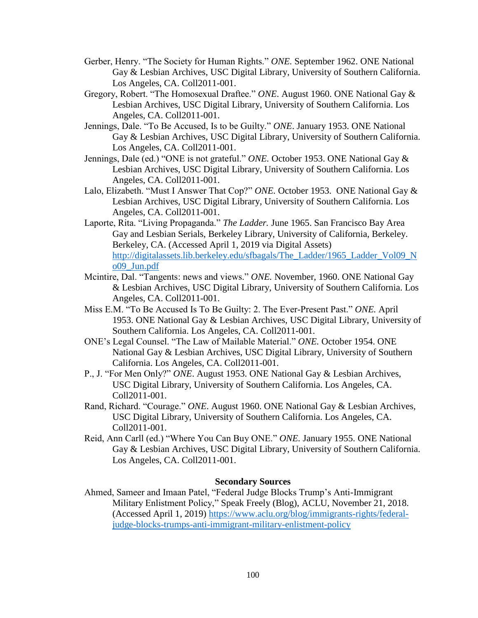- Gerber, Henry. "The Society for Human Rights." *ONE.* September 1962. ONE National Gay & Lesbian Archives, USC Digital Library, University of Southern California. Los Angeles, CA. Coll2011-001.
- Gregory, Robert. "The Homosexual Draftee." *ONE*. August 1960. ONE National Gay & Lesbian Archives, USC Digital Library, University of Southern California. Los Angeles, CA. Coll2011-001.
- Jennings, Dale. "To Be Accused, Is to be Guilty." *ONE*. January 1953. ONE National Gay & Lesbian Archives, USC Digital Library, University of Southern California. Los Angeles, CA. Coll2011-001.
- Jennings, Dale (ed.) "ONE is not grateful." *ONE.* October 1953. ONE National Gay & Lesbian Archives, USC Digital Library, University of Southern California. Los Angeles, CA. Coll2011-001.
- Lalo, Elizabeth. "Must I Answer That Cop?" *ONE.* October 1953.ONE National Gay & Lesbian Archives, USC Digital Library, University of Southern California. Los Angeles, CA. Coll2011-001.
- Laporte, Rita. "Living Propaganda." *The Ladder.* June 1965. San Francisco Bay Area Gay and Lesbian Serials, Berkeley Library, University of California, Berkeley. Berkeley, CA. (Accessed April 1, 2019 via Digital Assets) [http://digitalassets.lib.berkeley.edu/sfbagals/The\\_Ladder/1965\\_Ladder\\_Vol09\\_N](http://digitalassets.lib.berkeley.edu/sfbagals/The_Ladder/1965_Ladder_Vol09_No09_Jun.pdf) [o09\\_Jun.pdf](http://digitalassets.lib.berkeley.edu/sfbagals/The_Ladder/1965_Ladder_Vol09_No09_Jun.pdf)
- Mcintire, Dal. "Tangents: news and views." *ONE.* November, 1960. ONE National Gay & Lesbian Archives, USC Digital Library, University of Southern California. Los Angeles, CA. Coll2011-001.
- Miss E.M. "To Be Accused Is To Be Guilty: 2. The Ever-Present Past." *ONE.* April 1953. ONE National Gay & Lesbian Archives, USC Digital Library, University of Southern California. Los Angeles, CA. Coll2011-001.
- ONE's Legal Counsel. "The Law of Mailable Material." *ONE.* October 1954. ONE National Gay & Lesbian Archives, USC Digital Library, University of Southern California. Los Angeles, CA. Coll2011-001.
- P., J. "For Men Only?" *ONE*. August 1953. ONE National Gay & Lesbian Archives, USC Digital Library, University of Southern California. Los Angeles, CA. Coll2011-001.
- Rand, Richard. "Courage." *ONE*. August 1960. ONE National Gay & Lesbian Archives, USC Digital Library, University of Southern California. Los Angeles, CA. Coll2011-001.
- Reid, Ann Carll (ed.) "Where You Can Buy ONE." *ONE.* January 1955. ONE National Gay & Lesbian Archives, USC Digital Library, University of Southern California. Los Angeles, CA. Coll2011-001.

## **Secondary Sources**

Ahmed, Sameer and Imaan Patel, "Federal Judge Blocks Trump's Anti-Immigrant Military Enlistment Policy," Speak Freely (Blog), ACLU, November 21, 2018. (Accessed April 1, 2019) [https://www.aclu.org/blog/immigrants-rights/federal](https://www.aclu.org/blog/immigrants-rights/federal-judge-blocks-trumps-anti-immigrant-military-enlistment-policy)[judge-blocks-trumps-anti-immigrant-military-enlistment-policy](https://www.aclu.org/blog/immigrants-rights/federal-judge-blocks-trumps-anti-immigrant-military-enlistment-policy)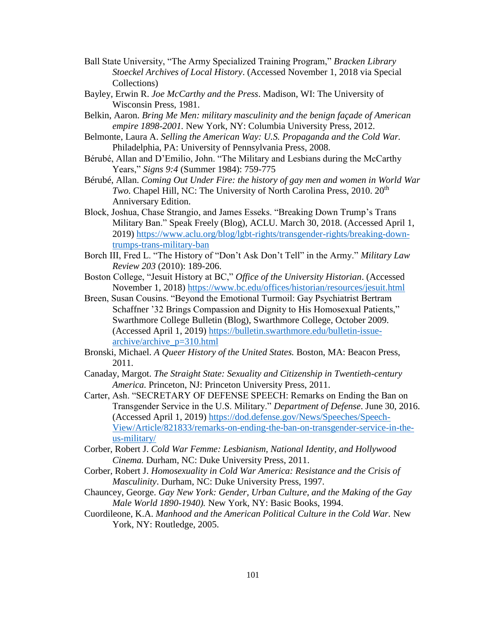- Ball State University, "The Army Specialized Training Program," *Bracken Library Stoeckel Archives of Local History*. (Accessed November 1, 2018 via Special Collections)
- Bayley, Erwin R. *Joe McCarthy and the Press*. Madison, WI: The University of Wisconsin Press, 1981.
- Belkin, Aaron. *Bring Me Men: military masculinity and the benign façade of American empire 1898-2001.* New York, NY: Columbia University Press, 2012.
- Belmonte, Laura A. *Selling the American Way: U.S. Propaganda and the Cold War.*  Philadelphia, PA: University of Pennsylvania Press, 2008.
- Bérubé, Allan and D'Emilio, John. "The Military and Lesbians during the McCarthy Years," *Signs 9:4* (Summer 1984): 759-775
- Bérubé, Allan. *Coming Out Under Fire: the history of gay men and women in World War Two.* Chapel Hill, NC: The University of North Carolina Press, 2010. 20<sup>th</sup> Anniversary Edition.
- Block, Joshua, Chase Strangio, and James Esseks. "Breaking Down Trump's Trans Military Ban." Speak Freely (Blog), ACLU*.* March 30, 2018. (Accessed April 1, 2019) [https://www.aclu.org/blog/lgbt-rights/transgender-rights/breaking-down](https://www.aclu.org/blog/lgbt-rights/transgender-rights/breaking-down-trumps-trans-military-ban)[trumps-trans-military-ban](https://www.aclu.org/blog/lgbt-rights/transgender-rights/breaking-down-trumps-trans-military-ban)
- Borch III, Fred L. "The History of "Don't Ask Don't Tell" in the Army." *Military Law Review 203* (2010): 189-206.
- Boston College, "Jesuit History at BC," *Office of the University Historian*. (Accessed November 1, 2018) <https://www.bc.edu/offices/historian/resources/jesuit.html>
- Breen, Susan Cousins. "Beyond the Emotional Turmoil: Gay Psychiatrist Bertram Schaffner '32 Brings Compassion and Dignity to His Homosexual Patients," Swarthmore College Bulletin (Blog), Swarthmore College, October 2009. (Accessed April 1, 2019) [https://bulletin.swarthmore.edu/bulletin-issue](https://bulletin.swarthmore.edu/bulletin-issue-archive/archive_p=310.html)[archive/archive\\_p=310.html](https://bulletin.swarthmore.edu/bulletin-issue-archive/archive_p=310.html)
- Bronski, Michael. *A Queer History of the United States.* Boston, MA: Beacon Press, 2011.
- Canaday, Margot. *The Straight State: Sexuality and Citizenship in Twentieth-century America.* Princeton, NJ: Princeton University Press, 2011.
- Carter, Ash. "SECRETARY OF DEFENSE SPEECH: Remarks on Ending the Ban on Transgender Service in the U.S. Military." *Department of Defense*. June 30, 2016. (Accessed April 1, 2019) [https://dod.defense.gov/News/Speeches/Speech-](https://dod.defense.gov/News/Speeches/Speech-View/Article/821833/remarks-on-ending-the-ban-on-transgender-service-in-the-us-military/)[View/Article/821833/remarks-on-ending-the-ban-on-transgender-service-in-the](https://dod.defense.gov/News/Speeches/Speech-View/Article/821833/remarks-on-ending-the-ban-on-transgender-service-in-the-us-military/)[us-military/](https://dod.defense.gov/News/Speeches/Speech-View/Article/821833/remarks-on-ending-the-ban-on-transgender-service-in-the-us-military/)
- Corber, Robert J. *Cold War Femme: Lesbianism, National Identity, and Hollywood Cinema.* Durham, NC: Duke University Press, 2011.
- Corber, Robert J. *Homosexuality in Cold War America: Resistance and the Crisis of Masculinity*. Durham, NC: Duke University Press, 1997.
- Chauncey, George. *Gay New York: Gender, Urban Culture, and the Making of the Gay Male World 1890-1940).* New York, NY: Basic Books, 1994.
- Cuordileone, K.A. *Manhood and the American Political Culture in the Cold War.* New York, NY: Routledge, 2005.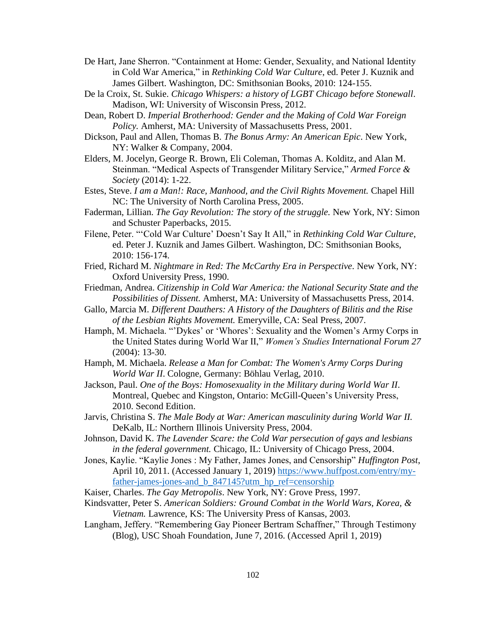- De Hart, Jane Sherron. "Containment at Home: Gender, Sexuality, and National Identity in Cold War America," in *Rethinking Cold War Culture*, ed. Peter J. Kuznik and James Gilbert. Washington, DC: Smithsonian Books, 2010: 124-155.
- De la Croix, St. Sukie. *Chicago Whispers: a history of LGBT Chicago before Stonewall*. Madison, WI: University of Wisconsin Press, 2012.
- Dean, Robert D. *Imperial Brotherhood: Gender and the Making of Cold War Foreign Policy.* Amherst, MA: University of Massachusetts Press, 2001.
- Dickson, Paul and Allen, Thomas B. *The Bonus Army: An American Epic*. New York, NY: Walker & Company, 2004.
- Elders, M. Jocelyn, George R. Brown, Eli Coleman, Thomas A. Kolditz, and Alan M. Steinman. "Medical Aspects of Transgender Military Service," *Armed Force & Society* (2014): 1-22.
- Estes, Steve. I am a Man!: Race, Manhood, and the Civil Rights Movement. Chapel Hill NC: The University of North Carolina Press, 2005.
- Faderman, Lillian. *The Gay Revolution: The story of the struggle.* New York, NY: Simon and Schuster Paperbacks, 2015.
- Filene, Peter. "'Cold War Culture' Doesn't Say It All," in *Rethinking Cold War Culture*, ed. Peter J. Kuznik and James Gilbert. Washington, DC: Smithsonian Books, 2010: 156-174.
- Fried, Richard M. *Nightmare in Red: The McCarthy Era in Perspective*. New York, NY: Oxford University Press, 1990.
- Friedman, Andrea. *Citizenship in Cold War America: the National Security State and the Possibilities of Dissent.* Amherst, MA: University of Massachusetts Press, 2014.
- Gallo, Marcia M. *Different Dauthers: A History of the Daughters of Bilitis and the Rise of the Lesbian Rights Movement.* Emeryville, CA: Seal Press, 2007.
- Hamph, M. Michaela. "'Dykes' or 'Whores': Sexuality and the Women's Army Corps in the United States during World War II," *Women's Studies International Forum 27* (2004): 13-30.
- Hamph, M. Michaela. *Release a Man for Combat: The Women's Army Corps During World War II*. Cologne, Germany: Böhlau Verlag, 2010.
- Jackson, Paul. *One of the Boys: Homosexuality in the Military during World War II*. Montreal, Quebec and Kingston, Ontario: McGill-Queen's University Press, 2010. Second Edition.
- Jarvis, Christina S. *The Male Body at War: American masculinity during World War II.* DeKalb, IL: Northern Illinois University Press, 2004.
- Johnson, David K. *The Lavender Scare: the Cold War persecution of gays and lesbians in the federal government.* Chicago, IL: University of Chicago Press, 2004.
- Jones, Kaylie. "Kaylie Jones : My Father, James Jones, and Censorship" *Huffington Post*, April 10, 2011. (Accessed January 1, 2019) [https://www.huffpost.com/entry/my](https://www.huffpost.com/entry/my-father-james-jones-and_b_847145?utm_hp_ref=censorship)[father-james-jones-and\\_b\\_847145?utm\\_hp\\_ref=censorship](https://www.huffpost.com/entry/my-father-james-jones-and_b_847145?utm_hp_ref=censorship)
- Kaiser, Charles. *The Gay Metropolis*. New York, NY: Grove Press, 1997.
- Kindsvatter, Peter S. *American Soldiers: Ground Combat in the World Wars, Korea, & Vietnam.* Lawrence, KS: The University Press of Kansas, 2003.
- Langham, Jeffery. "Remembering Gay Pioneer Bertram Schaffner," Through Testimony (Blog), USC Shoah Foundation, June 7, 2016. (Accessed April 1, 2019)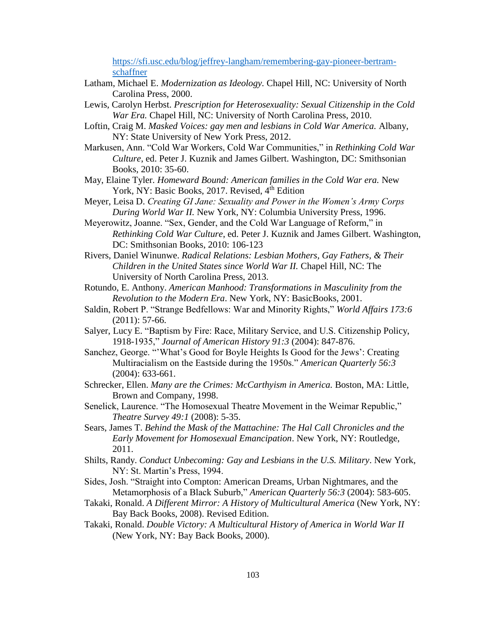[https://sfi.usc.edu/blog/jeffrey-langham/remembering-gay-pioneer-bertram](https://sfi.usc.edu/blog/jeffrey-langham/remembering-gay-pioneer-bertram-schaffner)[schaffner](https://sfi.usc.edu/blog/jeffrey-langham/remembering-gay-pioneer-bertram-schaffner)

- Latham, Michael E. *Modernization as Ideology.* Chapel Hill, NC: University of North Carolina Press, 2000.
- Lewis, Carolyn Herbst. *Prescription for Heterosexuality: Sexual Citizenship in the Cold War Era.* Chapel Hill, NC: University of North Carolina Press, 2010.
- Loftin, Craig M. *Masked Voices: gay men and lesbians in Cold War America.* Albany, NY: State University of New York Press, 2012.
- Markusen, Ann. "Cold War Workers, Cold War Communities," in *Rethinking Cold War Culture*, ed. Peter J. Kuznik and James Gilbert. Washington, DC: Smithsonian Books, 2010: 35-60.
- May, Elaine Tyler. *Homeward Bound: American families in the Cold War era.* New York, NY: Basic Books, 2017. Revised, 4<sup>th</sup> Edition
- Meyer, Leisa D. *Creating GI Jane: Sexuality and Power in the Women's Army Corps During World War II.* New York, NY: Columbia University Press, 1996.
- Meyerowitz, Joanne. "Sex, Gender, and the Cold War Language of Reform," in *Rethinking Cold War Culture*, ed. Peter J. Kuznik and James Gilbert. Washington, DC: Smithsonian Books, 2010: 106-123
- Rivers, Daniel Winunwe. *Radical Relations: Lesbian Mothers, Gay Fathers, & Their Children in the United States since World War II.* Chapel Hill, NC: The University of North Carolina Press, 2013.
- Rotundo, E. Anthony. *American Manhood: Transformations in Masculinity from the Revolution to the Modern Era*. New York, NY: BasicBooks, 2001.
- Saldin, Robert P. "Strange Bedfellows: War and Minority Rights," *World Affairs 173:6* (2011): 57-66.
- Salyer, Lucy E. "Baptism by Fire: Race, Military Service, and U.S. Citizenship Policy, 1918-1935," *Journal of American History 91:3* (2004): 847-876.
- Sanchez, George. "'What's Good for Boyle Heights Is Good for the Jews': Creating Multiracialism on the Eastside during the 1950s." *American Quarterly 56:3* (2004): 633-661.
- Schrecker, Ellen. *Many are the Crimes: McCarthyism in America.* Boston, MA: Little, Brown and Company, 1998.
- Senelick, Laurence. "The Homosexual Theatre Movement in the Weimar Republic," *Theatre Survey 49:1* (2008): 5-35.
- Sears, James T. *Behind the Mask of the Mattachine: The Hal Call Chronicles and the Early Movement for Homosexual Emancipation*. New York, NY: Routledge, 2011.
- Shilts, Randy. *Conduct Unbecoming: Gay and Lesbians in the U.S. Military*. New York, NY: St. Martin's Press, 1994.
- Sides, Josh. "Straight into Compton: American Dreams, Urban Nightmares, and the Metamorphosis of a Black Suburb," *American Quarterly 56:3* (2004): 583-605.
- Takaki, Ronald. *A Different Mirror: A History of Multicultural America* (New York, NY: Bay Back Books, 2008). Revised Edition.
- Takaki, Ronald. *Double Victory: A Multicultural History of America in World War II* (New York, NY: Bay Back Books, 2000).